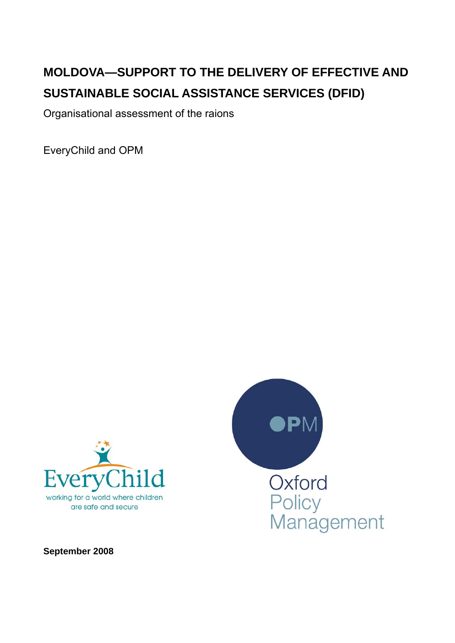# **MOLDOVA—SUPPORT TO THE DELIVERY OF EFFECTIVE AND SUSTAINABLE SOCIAL ASSISTANCE SERVICES (DFID)**

Organisational assessment of the raions

EveryChild and OPM





**September 2008**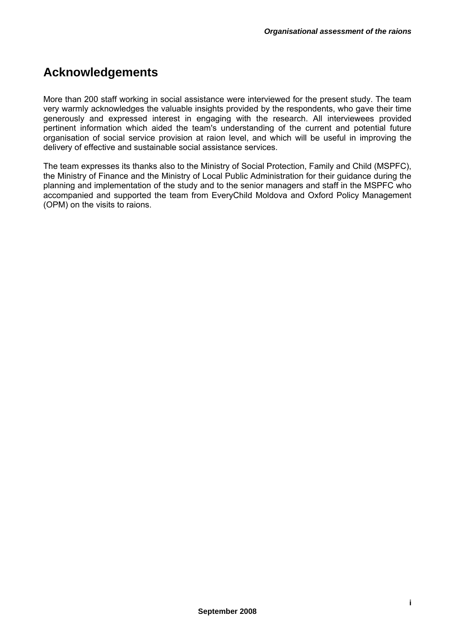# **Acknowledgements**

More than 200 staff working in social assistance were interviewed for the present study. The team very warmly acknowledges the valuable insights provided by the respondents, who gave their time generously and expressed interest in engaging with the research. All interviewees provided pertinent information which aided the team's understanding of the current and potential future organisation of social service provision at raion level, and which will be useful in improving the delivery of effective and sustainable social assistance services.

The team expresses its thanks also to the Ministry of Social Protection, Family and Child (MSPFC), the Ministry of Finance and the Ministry of Local Public Administration for their guidance during the planning and implementation of the study and to the senior managers and staff in the MSPFC who accompanied and supported the team from EveryChild Moldova and Oxford Policy Management (OPM) on the visits to raions.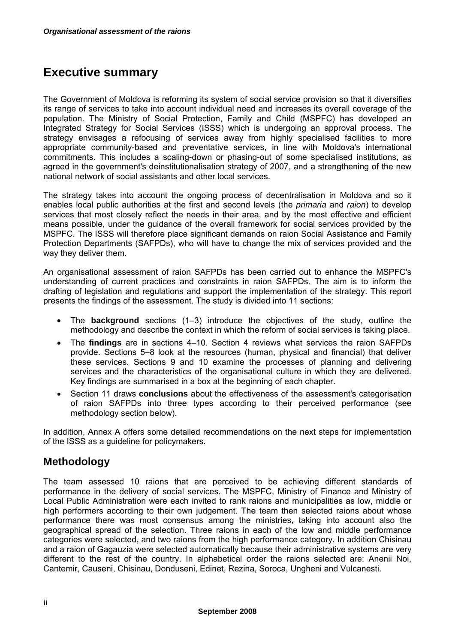# **Executive summary**

The Government of Moldova is reforming its system of social service provision so that it diversifies its range of services to take into account individual need and increases its overall coverage of the population. The Ministry of Social Protection, Family and Child (MSPFC) has developed an Integrated Strategy for Social Services (ISSS) which is undergoing an approval process. The strategy envisages a refocusing of services away from highly specialised facilities to more appropriate community-based and preventative services, in line with Moldova's international commitments. This includes a scaling-down or phasing-out of some specialised institutions, as agreed in the government's deinstitutionalisation strategy of 2007, and a strengthening of the new national network of social assistants and other local services.

The strategy takes into account the ongoing process of decentralisation in Moldova and so it enables local public authorities at the first and second levels (the *primaria* and *raion*) to develop services that most closely reflect the needs in their area, and by the most effective and efficient means possible, under the guidance of the overall framework for social services provided by the MSPFC. The ISSS will therefore place significant demands on raion Social Assistance and Family Protection Departments (SAFPDs), who will have to change the mix of services provided and the way they deliver them.

An organisational assessment of raion SAFPDs has been carried out to enhance the MSPFC's understanding of current practices and constraints in raion SAFPDs. The aim is to inform the drafting of legislation and regulations and support the implementation of the strategy. This report presents the findings of the assessment. The study is divided into 11 sections:

- The **background** sections (1–3) introduce the objectives of the study, outline the methodology and describe the context in which the reform of social services is taking place.
- The **findings** are in sections 4–10. Section 4 reviews what services the raion SAFPDs provide. Sections 5–8 look at the resources (human, physical and financial) that deliver these services. Sections 9 and 10 examine the processes of planning and delivering services and the characteristics of the organisational culture in which they are delivered. Key findings are summarised in a box at the beginning of each chapter.
- Section 11 draws **conclusions** about the effectiveness of the assessment's categorisation of raion SAFPDs into three types according to their perceived performance (see methodology section below).

In addition, Annex A offers some detailed recommendations on the next steps for implementation of the ISSS as a guideline for policymakers.

# **Methodology**

The team assessed 10 raions that are perceived to be achieving different standards of performance in the delivery of social services. The MSPFC, Ministry of Finance and Ministry of Local Public Administration were each invited to rank raions and municipalities as low, middle or high performers according to their own judgement. The team then selected raions about whose performance there was most consensus among the ministries, taking into account also the geographical spread of the selection. Three raions in each of the low and middle performance categories were selected, and two raions from the high performance category. In addition Chisinau and a raion of Gagauzia were selected automatically because their administrative systems are very different to the rest of the country. In alphabetical order the raions selected are: Anenii Noi, Cantemir, Causeni, Chisinau, Donduseni, Edinet, Rezina, Soroca, Ungheni and Vulcanesti.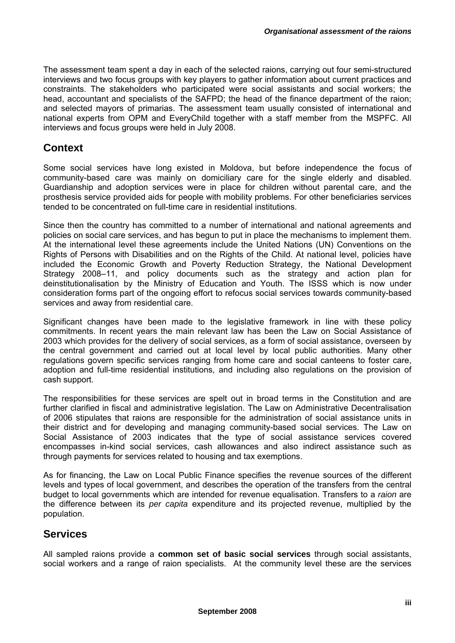The assessment team spent a day in each of the selected raions, carrying out four semi-structured interviews and two focus groups with key players to gather information about current practices and constraints. The stakeholders who participated were social assistants and social workers; the head, accountant and specialists of the SAFPD; the head of the finance department of the raion; and selected mayors of primarias. The assessment team usually consisted of international and national experts from OPM and EveryChild together with a staff member from the MSPFC. All interviews and focus groups were held in July 2008.

## **Context**

Some social services have long existed in Moldova, but before independence the focus of community-based care was mainly on domiciliary care for the single elderly and disabled. Guardianship and adoption services were in place for children without parental care, and the prosthesis service provided aids for people with mobility problems. For other beneficiaries services tended to be concentrated on full-time care in residential institutions.

Since then the country has committed to a number of international and national agreements and policies on social care services, and has begun to put in place the mechanisms to implement them. At the international level these agreements include the United Nations (UN) Conventions on the Rights of Persons with Disabilities and on the Rights of the Child. At national level, policies have included the Economic Growth and Poverty Reduction Strategy, the National Development Strategy 2008–11, and policy documents such as the strategy and action plan for deinstitutionalisation by the Ministry of Education and Youth. The ISSS which is now under consideration forms part of the ongoing effort to refocus social services towards community-based services and away from residential care.

Significant changes have been made to the legislative framework in line with these policy commitments. In recent years the main relevant law has been the Law on Social Assistance of 2003 which provides for the delivery of social services, as a form of social assistance, overseen by the central government and carried out at local level by local public authorities. Many other regulations govern specific services ranging from home care and social canteens to foster care, adoption and full-time residential institutions, and including also regulations on the provision of cash support.

The responsibilities for these services are spelt out in broad terms in the Constitution and are further clarified in fiscal and administrative legislation. The Law on Administrative Decentralisation of 2006 stipulates that raions are responsible for the administration of social assistance units in their district and for developing and managing community-based social services. The Law on Social Assistance of 2003 indicates that the type of social assistance services covered encompasses in-kind social services, cash allowances and also indirect assistance such as through payments for services related to housing and tax exemptions.

As for financing, the Law on Local Public Finance specifies the revenue sources of the different levels and types of local government, and describes the operation of the transfers from the central budget to local governments which are intended for revenue equalisation. Transfers to a *raion* are the difference between its *per capita* expenditure and its projected revenue, multiplied by the population.

# **Services**

All sampled raions provide a **common set of basic social services** through social assistants, social workers and a range of raion specialists. At the community level these are the services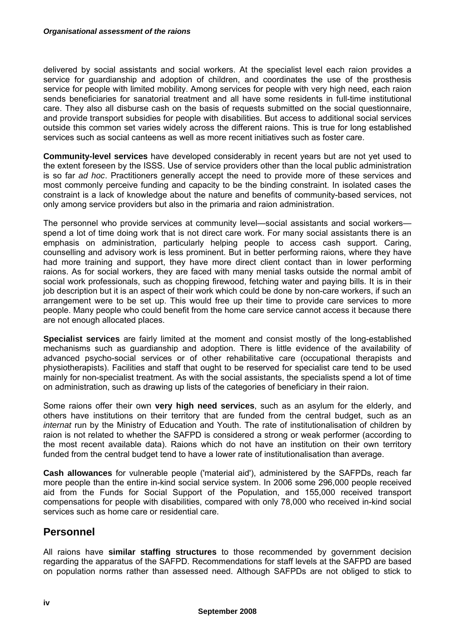delivered by social assistants and social workers. At the specialist level each raion provides a service for guardianship and adoption of children, and coordinates the use of the prosthesis service for people with limited mobility. Among services for people with very high need, each raion sends beneficiaries for sanatorial treatment and all have some residents in full-time institutional care. They also all disburse cash on the basis of requests submitted on the social questionnaire, and provide transport subsidies for people with disabilities. But access to additional social services outside this common set varies widely across the different raions. This is true for long established services such as social canteens as well as more recent initiatives such as foster care.

**Community-level services** have developed considerably in recent years but are not yet used to the extent foreseen by the ISSS. Use of service providers other than the local public administration is so far *ad hoc*. Practitioners generally accept the need to provide more of these services and most commonly perceive funding and capacity to be the binding constraint. In isolated cases the constraint is a lack of knowledge about the nature and benefits of community-based services, not only among service providers but also in the primaria and raion administration.

The personnel who provide services at community level—social assistants and social workers spend a lot of time doing work that is not direct care work. For many social assistants there is an emphasis on administration, particularly helping people to access cash support. Caring, counselling and advisory work is less prominent. But in better performing raions, where they have had more training and support, they have more direct client contact than in lower performing raions. As for social workers, they are faced with many menial tasks outside the normal ambit of social work professionals, such as chopping firewood, fetching water and paying bills. It is in their job description but it is an aspect of their work which could be done by non-care workers, if such an arrangement were to be set up. This would free up their time to provide care services to more people. Many people who could benefit from the home care service cannot access it because there are not enough allocated places.

**Specialist services** are fairly limited at the moment and consist mostly of the long-established mechanisms such as guardianship and adoption. There is little evidence of the availability of advanced psycho-social services or of other rehabilitative care (occupational therapists and physiotherapists). Facilities and staff that ought to be reserved for specialist care tend to be used mainly for non-specialist treatment. As with the social assistants, the specialists spend a lot of time on administration, such as drawing up lists of the categories of beneficiary in their raion.

Some raions offer their own **very high need services**, such as an asylum for the elderly, and others have institutions on their territory that are funded from the central budget, such as an *internat* run by the Ministry of Education and Youth. The rate of institutionalisation of children by raion is not related to whether the SAFPD is considered a strong or weak performer (according to the most recent available data). Raions which do not have an institution on their own territory funded from the central budget tend to have a lower rate of institutionalisation than average.

**Cash allowances** for vulnerable people ('material aid'), administered by the SAFPDs, reach far more people than the entire in-kind social service system. In 2006 some 296,000 people received aid from the Funds for Social Support of the Population, and 155,000 received transport compensations for people with disabilities, compared with only 78,000 who received in-kind social services such as home care or residential care.

# **Personnel**

All raions have **similar staffing structures** to those recommended by government decision regarding the apparatus of the SAFPD. Recommendations for staff levels at the SAFPD are based on population norms rather than assessed need. Although SAFPDs are not obliged to stick to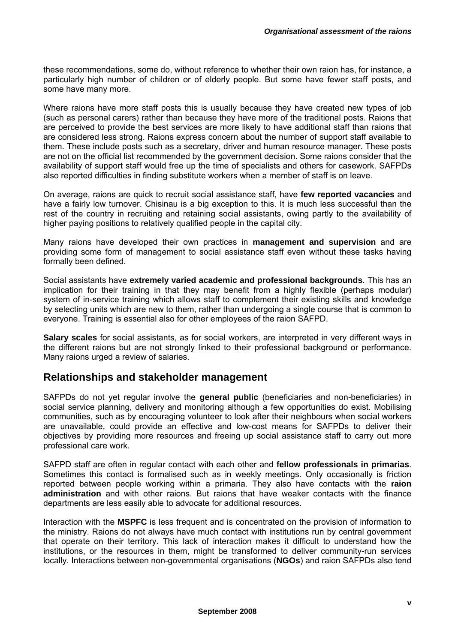these recommendations, some do, without reference to whether their own raion has, for instance, a particularly high number of children or of elderly people. But some have fewer staff posts, and some have many more.

Where raions have more staff posts this is usually because they have created new types of job (such as personal carers) rather than because they have more of the traditional posts. Raions that are perceived to provide the best services are more likely to have additional staff than raions that are considered less strong. Raions express concern about the number of support staff available to them. These include posts such as a secretary, driver and human resource manager. These posts are not on the official list recommended by the government decision. Some raions consider that the availability of support staff would free up the time of specialists and others for casework. SAFPDs also reported difficulties in finding substitute workers when a member of staff is on leave.

On average, raions are quick to recruit social assistance staff, have **few reported vacancies** and have a fairly low turnover. Chisinau is a big exception to this. It is much less successful than the rest of the country in recruiting and retaining social assistants, owing partly to the availability of higher paying positions to relatively qualified people in the capital city.

Many raions have developed their own practices in **management and supervision** and are providing some form of management to social assistance staff even without these tasks having formally been defined.

Social assistants have **extremely varied academic and professional backgrounds**. This has an implication for their training in that they may benefit from a highly flexible (perhaps modular) system of in-service training which allows staff to complement their existing skills and knowledge by selecting units which are new to them, rather than undergoing a single course that is common to everyone. Training is essential also for other employees of the raion SAFPD.

**Salary scales** for social assistants, as for social workers, are interpreted in very different ways in the different raions but are not strongly linked to their professional background or performance. Many raions urged a review of salaries.

## **Relationships and stakeholder management**

SAFPDs do not yet regular involve the **general public** (beneficiaries and non-beneficiaries) in social service planning, delivery and monitoring although a few opportunities do exist. Mobilising communities, such as by encouraging volunteer to look after their neighbours when social workers are unavailable, could provide an effective and low-cost means for SAFPDs to deliver their objectives by providing more resources and freeing up social assistance staff to carry out more professional care work.

SAFPD staff are often in regular contact with each other and **fellow professionals in primarias**. Sometimes this contact is formalised such as in weekly meetings. Only occasionally is friction reported between people working within a primaria. They also have contacts with the **raion administration** and with other raions. But raions that have weaker contacts with the finance departments are less easily able to advocate for additional resources.

Interaction with the **MSPFC** is less frequent and is concentrated on the provision of information to the ministry. Raions do not always have much contact with institutions run by central government that operate on their territory. This lack of interaction makes it difficult to understand how the institutions, or the resources in them, might be transformed to deliver community-run services locally. Interactions between non-governmental organisations (**NGOs**) and raion SAFPDs also tend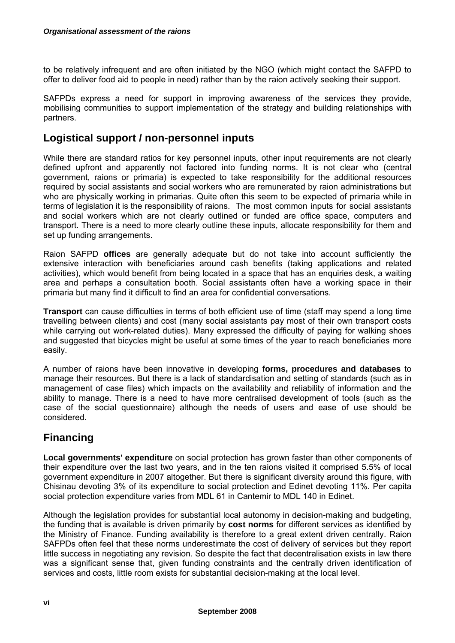to be relatively infrequent and are often initiated by the NGO (which might contact the SAFPD to offer to deliver food aid to people in need) rather than by the raion actively seeking their support.

SAFPDs express a need for support in improving awareness of the services they provide, mobilising communities to support implementation of the strategy and building relationships with partners.

# **Logistical support / non-personnel inputs**

While there are standard ratios for key personnel inputs, other input requirements are not clearly defined upfront and apparently not factored into funding norms. It is not clear who (central government, raions or primaria) is expected to take responsibility for the additional resources required by social assistants and social workers who are remunerated by raion administrations but who are physically working in primarias. Quite often this seem to be expected of primaria while in terms of legislation it is the responsibility of raions. The most common inputs for social assistants and social workers which are not clearly outlined or funded are office space, computers and transport. There is a need to more clearly outline these inputs, allocate responsibility for them and set up funding arrangements.

Raion SAFPD **offices** are generally adequate but do not take into account sufficiently the extensive interaction with beneficiaries around cash benefits (taking applications and related activities), which would benefit from being located in a space that has an enquiries desk, a waiting area and perhaps a consultation booth. Social assistants often have a working space in their primaria but many find it difficult to find an area for confidential conversations.

**Transport** can cause difficulties in terms of both efficient use of time (staff may spend a long time travelling between clients) and cost (many social assistants pay most of their own transport costs while carrying out work-related duties). Many expressed the difficulty of paying for walking shoes and suggested that bicycles might be useful at some times of the year to reach beneficiaries more easily.

A number of raions have been innovative in developing **forms, procedures and databases** to manage their resources. But there is a lack of standardisation and setting of standards (such as in management of case files) which impacts on the availability and reliability of information and the ability to manage. There is a need to have more centralised development of tools (such as the case of the social questionnaire) although the needs of users and ease of use should be considered.

# **Financing**

**Local governments' expenditure** on social protection has grown faster than other components of their expenditure over the last two years, and in the ten raions visited it comprised 5.5% of local government expenditure in 2007 altogether. But there is significant diversity around this figure, with Chisinau devoting 3% of its expenditure to social protection and Edinet devoting 11%. Per capita social protection expenditure varies from MDL 61 in Cantemir to MDL 140 in Edinet.

Although the legislation provides for substantial local autonomy in decision-making and budgeting, the funding that is available is driven primarily by **cost norms** for different services as identified by the Ministry of Finance. Funding availability is therefore to a great extent driven centrally. Raion SAFPDs often feel that these norms underestimate the cost of delivery of services but they report little success in negotiating any revision. So despite the fact that decentralisation exists in law there was a significant sense that, given funding constraints and the centrally driven identification of services and costs, little room exists for substantial decision-making at the local level.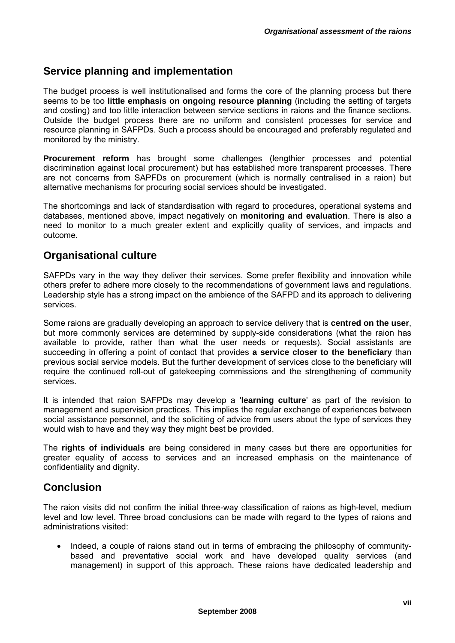# **Service planning and implementation**

The budget process is well institutionalised and forms the core of the planning process but there seems to be too **little emphasis on ongoing resource planning** (including the setting of targets and costing) and too little interaction between service sections in raions and the finance sections. Outside the budget process there are no uniform and consistent processes for service and resource planning in SAFPDs. Such a process should be encouraged and preferably regulated and monitored by the ministry.

**Procurement reform** has brought some challenges (lengthier processes and potential discrimination against local procurement) but has established more transparent processes. There are not concerns from SAPFDs on procurement (which is normally centralised in a raion) but alternative mechanisms for procuring social services should be investigated.

The shortcomings and lack of standardisation with regard to procedures, operational systems and databases, mentioned above, impact negatively on **monitoring and evaluation**. There is also a need to monitor to a much greater extent and explicitly quality of services, and impacts and outcome.

## **Organisational culture**

SAFPDs vary in the way they deliver their services. Some prefer flexibility and innovation while others prefer to adhere more closely to the recommendations of government laws and regulations. Leadership style has a strong impact on the ambience of the SAFPD and its approach to delivering services.

Some raions are gradually developing an approach to service delivery that is **centred on the user**, but more commonly services are determined by supply-side considerations (what the raion has available to provide, rather than what the user needs or requests). Social assistants are succeeding in offering a point of contact that provides **a service closer to the beneficiary** than previous social service models. But the further development of services close to the beneficiary will require the continued roll-out of gatekeeping commissions and the strengthening of community services.

It is intended that raion SAFPDs may develop a '**learning culture**' as part of the revision to management and supervision practices. This implies the regular exchange of experiences between social assistance personnel, and the soliciting of advice from users about the type of services they would wish to have and they way they might best be provided.

The **rights of individuals** are being considered in many cases but there are opportunities for greater equality of access to services and an increased emphasis on the maintenance of confidentiality and dignity.

# **Conclusion**

The raion visits did not confirm the initial three-way classification of raions as high-level, medium level and low level. Three broad conclusions can be made with regard to the types of raions and administrations visited:

• Indeed, a couple of raions stand out in terms of embracing the philosophy of communitybased and preventative social work and have developed quality services (and management) in support of this approach. These raions have dedicated leadership and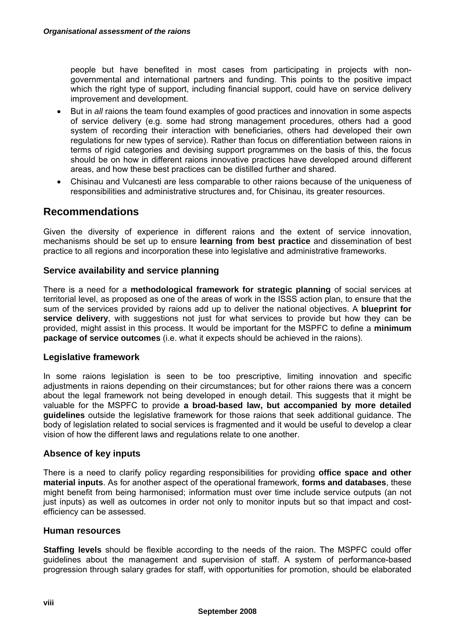people but have benefited in most cases from participating in projects with nongovernmental and international partners and funding. This points to the positive impact which the right type of support, including financial support, could have on service delivery improvement and development.

- But in *all* raions the team found examples of good practices and innovation in some aspects of service delivery (e.g. some had strong management procedures, others had a good system of recording their interaction with beneficiaries, others had developed their own regulations for new types of service). Rather than focus on differentiation between raions in terms of rigid categories and devising support programmes on the basis of this, the focus should be on how in different raions innovative practices have developed around different areas, and how these best practices can be distilled further and shared.
- Chisinau and Vulcanesti are less comparable to other raions because of the uniqueness of responsibilities and administrative structures and, for Chisinau, its greater resources.

# **Recommendations**

Given the diversity of experience in different raions and the extent of service innovation, mechanisms should be set up to ensure **learning from best practice** and dissemination of best practice to all regions and incorporation these into legislative and administrative frameworks.

## **Service availability and service planning**

There is a need for a **methodological framework for strategic planning** of social services at territorial level, as proposed as one of the areas of work in the ISSS action plan, to ensure that the sum of the services provided by raions add up to deliver the national objectives. A **blueprint for**  service delivery, with suggestions not just for what services to provide but how they can be provided, might assist in this process. It would be important for the MSPFC to define a **minimum package of service outcomes** (i.e. what it expects should be achieved in the raions).

## **Legislative framework**

In some raions legislation is seen to be too prescriptive, limiting innovation and specific adjustments in raions depending on their circumstances; but for other raions there was a concern about the legal framework not being developed in enough detail. This suggests that it might be valuable for the MSPFC to provide **a broad-based law, but accompanied by more detailed guidelines** outside the legislative framework for those raions that seek additional guidance. The body of legislation related to social services is fragmented and it would be useful to develop a clear vision of how the different laws and regulations relate to one another.

## **Absence of key inputs**

There is a need to clarify policy regarding responsibilities for providing **office space and other material inputs**. As for another aspect of the operational framework, **forms and databases**, these might benefit from being harmonised; information must over time include service outputs (an not just inputs) as well as outcomes in order not only to monitor inputs but so that impact and costefficiency can be assessed.

### **Human resources**

**Staffing levels** should be flexible according to the needs of the raion. The MSPFC could offer guidelines about the management and supervision of staff. A system of performance-based progression through salary grades for staff, with opportunities for promotion, should be elaborated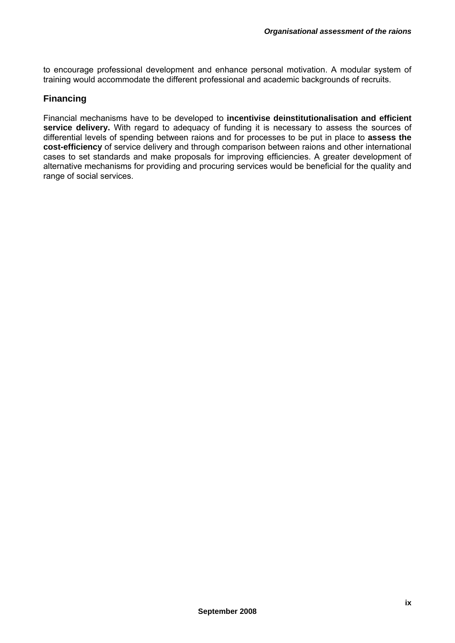to encourage professional development and enhance personal motivation. A modular system of training would accommodate the different professional and academic backgrounds of recruits.

## **Financing**

Financial mechanisms have to be developed to **incentivise deinstitutionalisation and efficient service delivery.** With regard to adequacy of funding it is necessary to assess the sources of differential levels of spending between raions and for processes to be put in place to **assess the cost-efficiency** of service delivery and through comparison between raions and other international cases to set standards and make proposals for improving efficiencies. A greater development of alternative mechanisms for providing and procuring services would be beneficial for the quality and range of social services.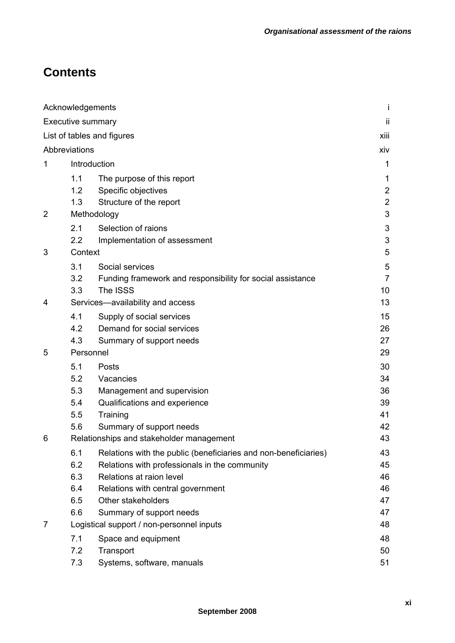# **Contents**

|                            | Acknowledgements                          |                                                                 | Ť                   |
|----------------------------|-------------------------------------------|-----------------------------------------------------------------|---------------------|
|                            | <b>Executive summary</b>                  |                                                                 | ji                  |
| List of tables and figures |                                           |                                                                 |                     |
|                            | Abbreviations                             |                                                                 | xiv                 |
| 1                          | Introduction                              |                                                                 |                     |
|                            |                                           |                                                                 | 1                   |
|                            | 1.1<br>1.2                                | The purpose of this report<br>Specific objectives               | 1<br>$\overline{2}$ |
|                            | 1.3                                       |                                                                 | $\mathbf{2}$        |
| $\overline{2}$             | Structure of the report                   |                                                                 | 3                   |
|                            | Methodology                               |                                                                 |                     |
|                            | 2.1                                       | Selection of raions                                             | 3                   |
|                            | 2.2                                       | Implementation of assessment                                    | 3                   |
| 3                          | Context                                   |                                                                 | 5                   |
|                            | 3.1                                       | Social services                                                 | 5                   |
|                            | 3.2                                       | Funding framework and responsibility for social assistance      | $\overline{7}$      |
|                            | 3.3                                       | The ISSS                                                        | 10                  |
| 4                          |                                           | Services-availability and access                                | 13                  |
|                            | 4.1                                       | Supply of social services                                       | 15                  |
|                            | 4.2                                       | Demand for social services                                      | 26                  |
|                            | 4.3                                       | Summary of support needs                                        | 27                  |
| 5                          | Personnel                                 |                                                                 | 29                  |
|                            | 5.1                                       | Posts                                                           | 30                  |
|                            | 5.2                                       | Vacancies                                                       | 34                  |
|                            | 5.3                                       | Management and supervision                                      | 36                  |
|                            | 5.4                                       | Qualifications and experience                                   | 39                  |
|                            | 5.5                                       | Training                                                        | 41                  |
|                            | 5.6                                       | Summary of support needs                                        | 42                  |
| 6                          | Relationships and stakeholder management  |                                                                 | 43                  |
|                            | 6.1                                       | Relations with the public (beneficiaries and non-beneficiaries) | 43                  |
|                            | 6.2                                       | Relations with professionals in the community                   | 45                  |
|                            | 6.3                                       | Relations at raion level                                        | 46                  |
|                            | 6.4                                       | Relations with central government                               | 46                  |
|                            | 6.5                                       | Other stakeholders                                              | 47                  |
|                            | 6.6                                       | Summary of support needs                                        | 47<br>48            |
| 7                          | Logistical support / non-personnel inputs |                                                                 |                     |
|                            | 7.1                                       | Space and equipment                                             | 48                  |
|                            | 7.2                                       | Transport                                                       | 50                  |
|                            | 7.3                                       | Systems, software, manuals                                      | 51                  |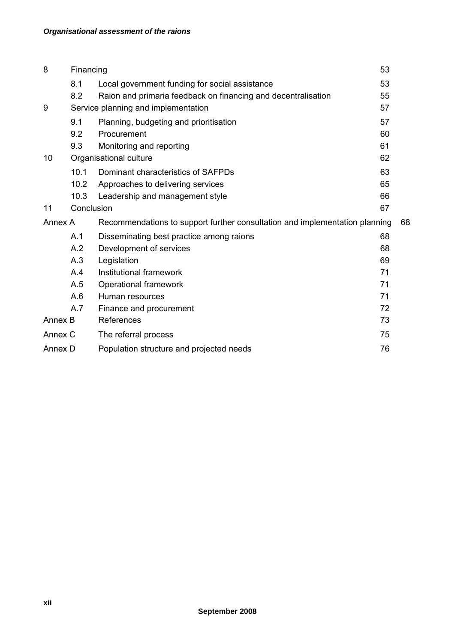| 8                | Financing                           |                                                                             | 53 |    |
|------------------|-------------------------------------|-----------------------------------------------------------------------------|----|----|
|                  | 8.1                                 | Local government funding for social assistance                              | 53 |    |
|                  | 8.2                                 | Raion and primaria feedback on financing and decentralisation               | 55 |    |
| 9                | Service planning and implementation |                                                                             | 57 |    |
|                  | 9.1                                 | Planning, budgeting and prioritisation                                      | 57 |    |
|                  | 9.2                                 | Procurement                                                                 | 60 |    |
|                  | 9.3                                 | Monitoring and reporting                                                    | 61 |    |
| 10               | Organisational culture              |                                                                             | 62 |    |
|                  | 10.1                                | Dominant characteristics of SAFPDs                                          | 63 |    |
|                  | 10.2                                | Approaches to delivering services                                           | 65 |    |
|                  | 10.3                                | Leadership and management style                                             | 66 |    |
| 11<br>Conclusion |                                     |                                                                             | 67 |    |
| Annex A          |                                     | Recommendations to support further consultation and implementation planning |    | 68 |
|                  | A.1                                 | Disseminating best practice among raions                                    | 68 |    |
|                  | A.2                                 | Development of services                                                     | 68 |    |
|                  | A.3                                 | Legislation                                                                 | 69 |    |
|                  | A.4                                 | Institutional framework                                                     | 71 |    |
|                  | A.5                                 | Operational framework                                                       | 71 |    |
|                  | A.6                                 | Human resources                                                             | 71 |    |
|                  | A.7                                 | Finance and procurement                                                     | 72 |    |
| Annex B          |                                     | References                                                                  | 73 |    |
| Annex C          |                                     | The referral process                                                        | 75 |    |
| Annex D          |                                     | Population structure and projected needs                                    | 76 |    |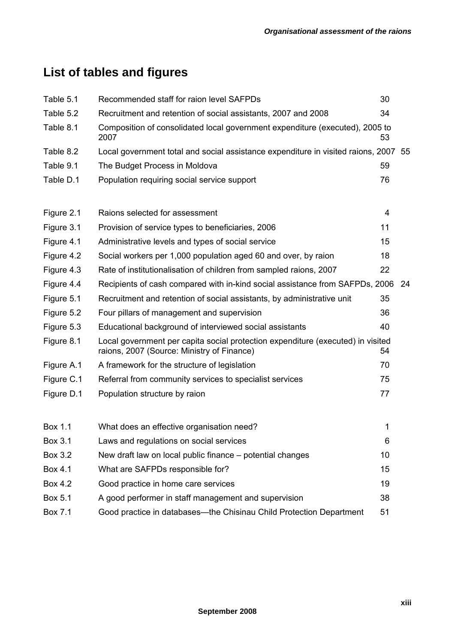# **List of tables and figures**

| Table 5.1  | Recommended staff for raion level SAFPDs                                                                                      | 30                      |     |
|------------|-------------------------------------------------------------------------------------------------------------------------------|-------------------------|-----|
| Table 5.2  | Recruitment and retention of social assistants, 2007 and 2008                                                                 | 34                      |     |
| Table 8.1  | Composition of consolidated local government expenditure (executed), 2005 to<br>2007                                          | 53                      |     |
| Table 8.2  | Local government total and social assistance expenditure in visited raions, 2007 55                                           |                         |     |
| Table 9.1  | The Budget Process in Moldova                                                                                                 | 59                      |     |
| Table D.1  | Population requiring social service support                                                                                   | 76                      |     |
| Figure 2.1 | Raions selected for assessment                                                                                                | $\overline{\mathbf{4}}$ |     |
| Figure 3.1 | Provision of service types to beneficiaries, 2006                                                                             | 11                      |     |
| Figure 4.1 | Administrative levels and types of social service                                                                             | 15                      |     |
| Figure 4.2 | Social workers per 1,000 population aged 60 and over, by raion                                                                | 18                      |     |
| Figure 4.3 | Rate of institutionalisation of children from sampled raions, 2007                                                            | 22                      |     |
| Figure 4.4 | Recipients of cash compared with in-kind social assistance from SAFPDs, 2006                                                  |                         | -24 |
| Figure 5.1 | Recruitment and retention of social assistants, by administrative unit                                                        | 35                      |     |
| Figure 5.2 | Four pillars of management and supervision                                                                                    | 36                      |     |
| Figure 5.3 | Educational background of interviewed social assistants                                                                       | 40                      |     |
| Figure 8.1 | Local government per capita social protection expenditure (executed) in visited<br>raions, 2007 (Source: Ministry of Finance) | 54                      |     |
| Figure A.1 | A framework for the structure of legislation                                                                                  | 70                      |     |
| Figure C.1 | Referral from community services to specialist services                                                                       | 75                      |     |
| Figure D.1 | Population structure by raion                                                                                                 | 77                      |     |
| Box 1.1    | What does an effective organisation need?                                                                                     | 1                       |     |
| Box 3.1    | Laws and regulations on social services                                                                                       | 6                       |     |
| Box 3.2    | New draft law on local public finance – potential changes                                                                     | 10                      |     |
| Box 4.1    | What are SAFPDs responsible for?                                                                                              | 15                      |     |
| Box 4.2    | Good practice in home care services                                                                                           | 19                      |     |
| Box 5.1    | A good performer in staff management and supervision                                                                          | 38                      |     |
| Box 7.1    | Good practice in databases—the Chisinau Child Protection Department                                                           | 51                      |     |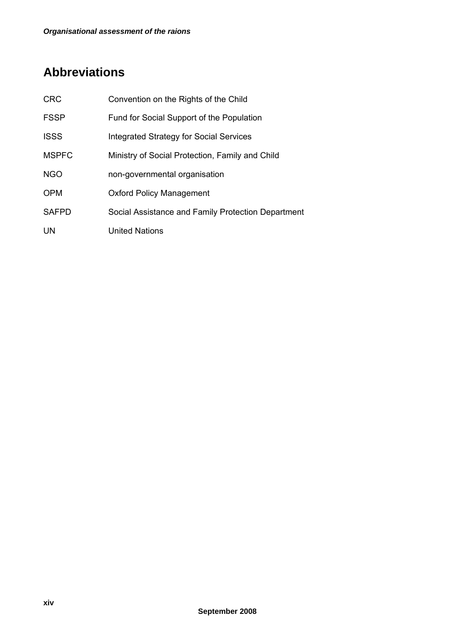# **Abbreviations**

| <b>CRC</b>   | Convention on the Rights of the Child              |
|--------------|----------------------------------------------------|
| <b>FSSP</b>  | Fund for Social Support of the Population          |
| <b>ISSS</b>  | <b>Integrated Strategy for Social Services</b>     |
| <b>MSPFC</b> | Ministry of Social Protection, Family and Child    |
| <b>NGO</b>   | non-governmental organisation                      |
| <b>OPM</b>   | <b>Oxford Policy Management</b>                    |
| <b>SAFPD</b> | Social Assistance and Family Protection Department |
| UN           | United Nations                                     |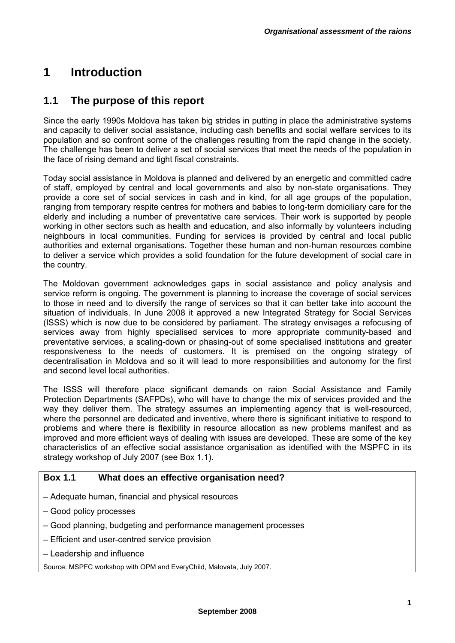# **1 Introduction**

# **1.1 The purpose of this report**

Since the early 1990s Moldova has taken big strides in putting in place the administrative systems and capacity to deliver social assistance, including cash benefits and social welfare services to its population and so confront some of the challenges resulting from the rapid change in the society. The challenge has been to deliver a set of social services that meet the needs of the population in the face of rising demand and tight fiscal constraints.

Today social assistance in Moldova is planned and delivered by an energetic and committed cadre of staff, employed by central and local governments and also by non-state organisations. They provide a core set of social services in cash and in kind, for all age groups of the population, ranging from temporary respite centres for mothers and babies to long-term domiciliary care for the elderly and including a number of preventative care services. Their work is supported by people working in other sectors such as health and education, and also informally by volunteers including neighbours in local communities. Funding for services is provided by central and local public authorities and external organisations. Together these human and non-human resources combine to deliver a service which provides a solid foundation for the future development of social care in the country.

The Moldovan government acknowledges gaps in social assistance and policy analysis and service reform is ongoing. The government is planning to increase the coverage of social services to those in need and to diversify the range of services so that it can better take into account the situation of individuals. In June 2008 it approved a new Integrated Strategy for Social Services (ISSS) which is now due to be considered by parliament. The strategy envisages a refocusing of services away from highly specialised services to more appropriate community-based and preventative services, a scaling-down or phasing-out of some specialised institutions and greater responsiveness to the needs of customers. It is premised on the ongoing strategy of decentralisation in Moldova and so it will lead to more responsibilities and autonomy for the first and second level local authorities.

The ISSS will therefore place significant demands on raion Social Assistance and Family Protection Departments (SAFPDs), who will have to change the mix of services provided and the way they deliver them. The strategy assumes an implementing agency that is well-resourced, where the personnel are dedicated and inventive, where there is significant initiative to respond to problems and where there is flexibility in resource allocation as new problems manifest and as improved and more efficient ways of dealing with issues are developed. These are some of the key characteristics of an effective social assistance organisation as identified with the MSPFC in its strategy workshop of July 2007 (see Box 1.1).

## **Box 1.1 What does an effective organisation need?**

- Adequate human, financial and physical resources
- Good policy processes
- Good planning, budgeting and performance management processes
- Efficient and user-centred service provision
- Leadership and influence

Source: MSPFC workshop with OPM and EveryChild, Malovata, July 2007.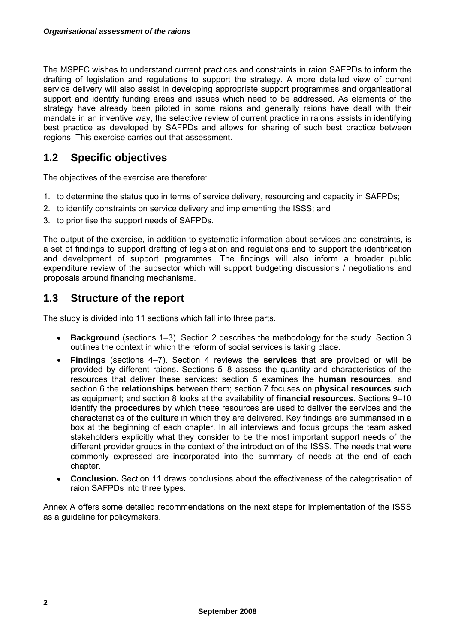The MSPFC wishes to understand current practices and constraints in raion SAFPDs to inform the drafting of legislation and regulations to support the strategy. A more detailed view of current service delivery will also assist in developing appropriate support programmes and organisational support and identify funding areas and issues which need to be addressed. As elements of the strategy have already been piloted in some raions and generally raions have dealt with their mandate in an inventive way, the selective review of current practice in raions assists in identifying best practice as developed by SAFPDs and allows for sharing of such best practice between regions. This exercise carries out that assessment.

# **1.2 Specific objectives**

The objectives of the exercise are therefore:

- 1. to determine the status quo in terms of service delivery, resourcing and capacity in SAFPDs;
- 2. to identify constraints on service delivery and implementing the ISSS; and
- 3. to prioritise the support needs of SAFPDs.

The output of the exercise, in addition to systematic information about services and constraints, is a set of findings to support drafting of legislation and regulations and to support the identification and development of support programmes. The findings will also inform a broader public expenditure review of the subsector which will support budgeting discussions / negotiations and proposals around financing mechanisms.

# **1.3 Structure of the report**

The study is divided into 11 sections which fall into three parts.

- **Background** (sections 1–3). Section 2 describes the methodology for the study. Section 3 outlines the context in which the reform of social services is taking place.
- **Findings** (sections 4–7). Section 4 reviews the **services** that are provided or will be provided by different raions. Sections 5–8 assess the quantity and characteristics of the resources that deliver these services: section 5 examines the **human resources**, and section 6 the **relationships** between them; section 7 focuses on **physical resources** such as equipment; and section 8 looks at the availability of **financial resources**. Sections 9–10 identify the **procedures** by which these resources are used to deliver the services and the characteristics of the **culture** in which they are delivered. Key findings are summarised in a box at the beginning of each chapter. In all interviews and focus groups the team asked stakeholders explicitly what they consider to be the most important support needs of the different provider groups in the context of the introduction of the ISSS. The needs that were commonly expressed are incorporated into the summary of needs at the end of each chapter.
- **Conclusion.** Section 11 draws conclusions about the effectiveness of the categorisation of raion SAFPDs into three types.

Annex A offers some detailed recommendations on the next steps for implementation of the ISSS as a guideline for policymakers.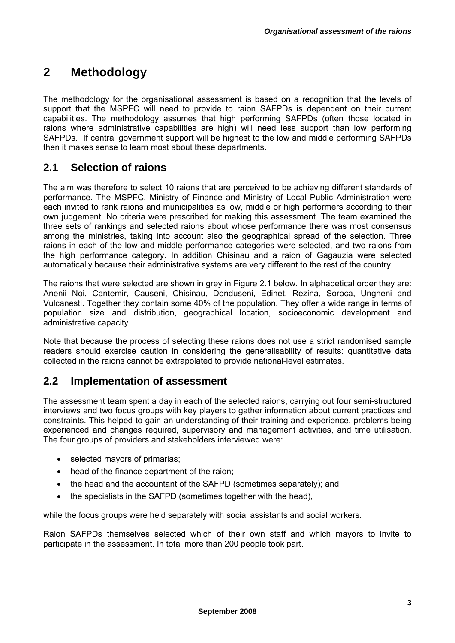# **2 Methodology**

The methodology for the organisational assessment is based on a recognition that the levels of support that the MSPFC will need to provide to raion SAFPDs is dependent on their current capabilities. The methodology assumes that high performing SAFPDs (often those located in raions where administrative capabilities are high) will need less support than low performing SAFPDs. If central government support will be highest to the low and middle performing SAFPDs then it makes sense to learn most about these departments.

# **2.1 Selection of raions**

The aim was therefore to select 10 raions that are perceived to be achieving different standards of performance. The MSPFC, Ministry of Finance and Ministry of Local Public Administration were each invited to rank raions and municipalities as low, middle or high performers according to their own judgement. No criteria were prescribed for making this assessment. The team examined the three sets of rankings and selected raions about whose performance there was most consensus among the ministries, taking into account also the geographical spread of the selection. Three raions in each of the low and middle performance categories were selected, and two raions from the high performance category. In addition Chisinau and a raion of Gagauzia were selected automatically because their administrative systems are very different to the rest of the country.

The raions that were selected are shown in grey in Figure 2.1 below. In alphabetical order they are: Anenii Noi, Cantemir, Causeni, Chisinau, Donduseni, Edinet, Rezina, Soroca, Ungheni and Vulcanesti. Together they contain some 40% of the population. They offer a wide range in terms of population size and distribution, geographical location, socioeconomic development and administrative capacity.

Note that because the process of selecting these raions does not use a strict randomised sample readers should exercise caution in considering the generalisability of results: quantitative data collected in the raions cannot be extrapolated to provide national-level estimates.

# **2.2 Implementation of assessment**

The assessment team spent a day in each of the selected raions, carrying out four semi-structured interviews and two focus groups with key players to gather information about current practices and constraints. This helped to gain an understanding of their training and experience, problems being experienced and changes required, supervisory and management activities, and time utilisation. The four groups of providers and stakeholders interviewed were:

- selected mayors of primarias;
- head of the finance department of the raion:
- the head and the accountant of the SAFPD (sometimes separately); and
- the specialists in the SAFPD (sometimes together with the head),

while the focus groups were held separately with social assistants and social workers.

Raion SAFPDs themselves selected which of their own staff and which mayors to invite to participate in the assessment. In total more than 200 people took part.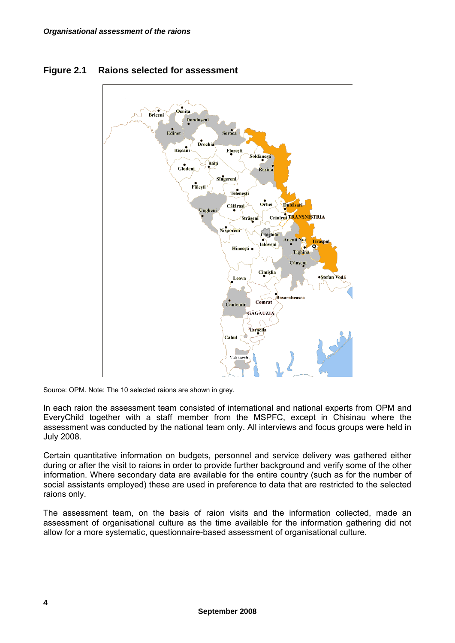

## **Figure 2.1 Raions selected for assessment**

Source: OPM. Note: The 10 selected raions are shown in grey.

In each raion the assessment team consisted of international and national experts from OPM and EveryChild together with a staff member from the MSPFC, except in Chisinau where the assessment was conducted by the national team only. All interviews and focus groups were held in July 2008.

Certain quantitative information on budgets, personnel and service delivery was gathered either during or after the visit to raions in order to provide further background and verify some of the other information. Where secondary data are available for the entire country (such as for the number of social assistants employed) these are used in preference to data that are restricted to the selected raions only.

The assessment team, on the basis of raion visits and the information collected, made an assessment of organisational culture as the time available for the information gathering did not allow for a more systematic, questionnaire-based assessment of organisational culture.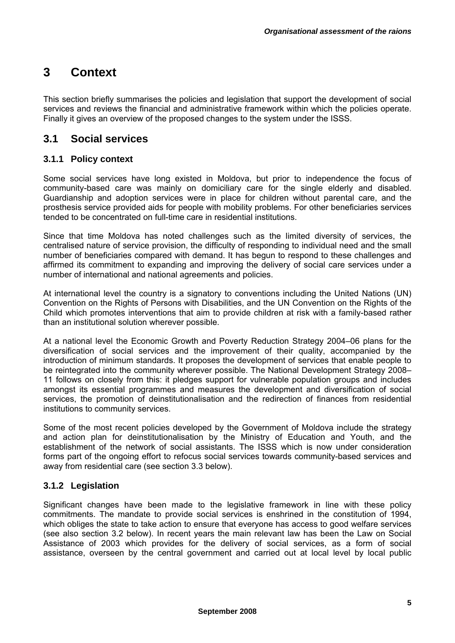# **3 Context**

This section briefly summarises the policies and legislation that support the development of social services and reviews the financial and administrative framework within which the policies operate. Finally it gives an overview of the proposed changes to the system under the ISSS.

# **3.1 Social services**

## **3.1.1 Policy context**

Some social services have long existed in Moldova, but prior to independence the focus of community-based care was mainly on domiciliary care for the single elderly and disabled. Guardianship and adoption services were in place for children without parental care, and the prosthesis service provided aids for people with mobility problems. For other beneficiaries services tended to be concentrated on full-time care in residential institutions.

Since that time Moldova has noted challenges such as the limited diversity of services, the centralised nature of service provision, the difficulty of responding to individual need and the small number of beneficiaries compared with demand. It has begun to respond to these challenges and affirmed its commitment to expanding and improving the delivery of social care services under a number of international and national agreements and policies.

At international level the country is a signatory to conventions including the United Nations (UN) Convention on the Rights of Persons with Disabilities, and the UN Convention on the Rights of the Child which promotes interventions that aim to provide children at risk with a family-based rather than an institutional solution wherever possible.

At a national level the Economic Growth and Poverty Reduction Strategy 2004–06 plans for the diversification of social services and the improvement of their quality, accompanied by the introduction of minimum standards. It proposes the development of services that enable people to be reintegrated into the community wherever possible. The National Development Strategy 2008– 11 follows on closely from this: it pledges support for vulnerable population groups and includes amongst its essential programmes and measures the development and diversification of social services, the promotion of deinstitutionalisation and the redirection of finances from residential institutions to community services.

Some of the most recent policies developed by the Government of Moldova include the strategy and action plan for deinstitutionalisation by the Ministry of Education and Youth, and the establishment of the network of social assistants. The ISSS which is now under consideration forms part of the ongoing effort to refocus social services towards community-based services and away from residential care (see section 3.3 below).

## **3.1.2 Legislation**

Significant changes have been made to the legislative framework in line with these policy commitments. The mandate to provide social services is enshrined in the constitution of 1994, which obliges the state to take action to ensure that everyone has access to good welfare services (see also section 3.2 below). In recent years the main relevant law has been the Law on Social Assistance of 2003 which provides for the delivery of social services, as a form of social assistance, overseen by the central government and carried out at local level by local public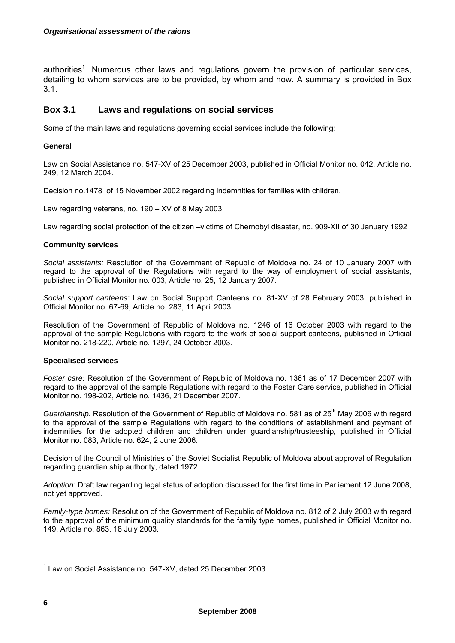authorities<sup>1</sup>. Numerous other laws and regulations govern the provision of particular services, detailing to whom services are to be provided, by whom and how. A summary is provided in Box 3.1.

### **Box 3.1 Laws and regulations on social services**

Some of the main laws and regulations governing social services include the following:

#### **General**

Law on Social Assistance no. 547-XV of 25 December 2003, published in Official Monitor no. 042, Article no. 249, 12 March 2004.

Decision no.1478 of 15 November 2002 regarding indemnities for families with children.

Law regarding veterans, no. 190 – XV of 8 May 2003

Law regarding social protection of the citizen –victims of Chernobyl disaster, no. 909-XII of 30 January 1992

#### **Community services**

*Social assistants:* Resolution of the Government of Republic of Moldova no. 24 of 10 January 2007 with regard to the approval of the Regulations with regard to the way of employment of social assistants, published in Official Monitor no. 003, Article no. 25, 12 January 2007.

*Social support canteens:* Law on Social Support Canteens no. 81-XV of 28 February 2003, published in Official Monitor no. 67-69, Article no. 283, 11 April 2003.

Resolution of the Government of Republic of Moldova no. 1246 of 16 October 2003 with regard to the approval of the sample Regulations with regard to the work of social support canteens, published in Official Monitor no. 218-220, Article no. 1297, 24 October 2003.

#### **Specialised services**

*Foster care:* Resolution of the Government of Republic of Moldova no. 1361 as of 17 December 2007 with regard to the approval of the sample Regulations with regard to the Foster Care service, published in Official Monitor no. 198-202, Article no. 1436, 21 December 2007.

*Guardianship:* Resolution of the Government of Republic of Moldova no. 581 as of 25<sup>th</sup> May 2006 with regard to the approval of the sample Regulations with regard to the conditions of establishment and payment of indemnities for the adopted children and children under guardianship/trusteeship, published in Official Monitor no. 083, Article no. 624, 2 June 2006.

Decision of the Council of Ministries of the Soviet Socialist Republic of Moldova about approval of Regulation regarding guardian ship authority, dated 1972.

*Adoption:* Draft law regarding legal status of adoption discussed for the first time in Parliament 12 June 2008, not yet approved.

*Family-type homes:* Resolution of the Government of Republic of Moldova no. 812 of 2 July 2003 with regard to the approval of the minimum quality standards for the family type homes, published in Official Monitor no. 149, Article no. 863, 18 July 2003.

 $\overline{a}$ <sup>1</sup> Law on Social Assistance no. 547-XV, dated 25 December 2003.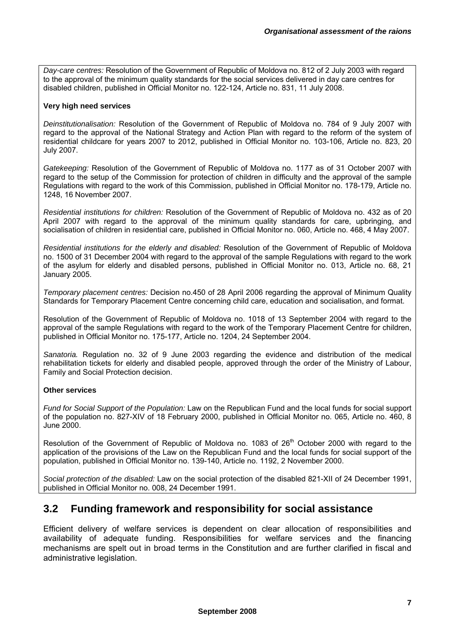*Day-care centres:* Resolution of the Government of Republic of Moldova no. 812 of 2 July 2003 with regard to the approval of the minimum quality standards for the social services delivered in day care centres for disabled children, published in Official Monitor no. 122-124, Article no. 831, 11 July 2008.

#### **Very high need services**

*Deinstitutionalisation:* Resolution of the Government of Republic of Moldova no. 784 of 9 July 2007 with regard to the approval of the National Strategy and Action Plan with regard to the reform of the system of residential childcare for years 2007 to 2012, published in Official Monitor no. 103-106, Article no. 823, 20 July 2007.

*Gatekeeping:* Resolution of the Government of Republic of Moldova no. 1177 as of 31 October 2007 with regard to the setup of the Commission for protection of children in difficulty and the approval of the sample Regulations with regard to the work of this Commission, published in Official Monitor no. 178-179, Article no. 1248, 16 November 2007.

*Residential institutions for children:* Resolution of the Government of Republic of Moldova no. 432 as of 20 April 2007 with regard to the approval of the minimum quality standards for care, upbringing, and socialisation of children in residential care, published in Official Monitor no. 060, Article no. 468, 4 May 2007.

*Residential institutions for the elderly and disabled:* Resolution of the Government of Republic of Moldova no. 1500 of 31 December 2004 with regard to the approval of the sample Regulations with regard to the work of the asylum for elderly and disabled persons, published in Official Monitor no. 013, Article no. 68, 21 January 2005.

*Temporary placement centres:* Decision no.450 of 28 April 2006 regarding the approval of Minimum Quality Standards for Temporary Placement Centre concerning child care, education and socialisation, and format.

Resolution of the Government of Republic of Moldova no. 1018 of 13 September 2004 with regard to the approval of the sample Regulations with regard to the work of the Temporary Placement Centre for children, published in Official Monitor no. 175-177, Article no. 1204, 24 September 2004.

*Sanatoria.* Regulation no. 32 of 9 June 2003 regarding the evidence and distribution of the medical rehabilitation tickets for elderly and disabled people, approved through the order of the Ministry of Labour, Family and Social Protection decision.

#### **Other services**

*Fund for Social Support of the Population:* Law on the Republican Fund and the local funds for social support of the population no. 827-XIV of 18 February 2000, published in Official Monitor no. 065, Article no. 460, 8 June 2000.

Resolution of the Government of Republic of Moldova no. 1083 of 26<sup>th</sup> October 2000 with regard to the application of the provisions of the Law on the Republican Fund and the local funds for social support of the population, published in Official Monitor no. 139-140, Article no. 1192, 2 November 2000.

*Social protection of the disabled:* Law on the social protection of the disabled 821-XII of 24 December 1991, published in Official Monitor no. 008, 24 December 1991.

# **3.2 Funding framework and responsibility for social assistance**

Efficient delivery of welfare services is dependent on clear allocation of responsibilities and availability of adequate funding. Responsibilities for welfare services and the financing mechanisms are spelt out in broad terms in the Constitution and are further clarified in fiscal and administrative legislation.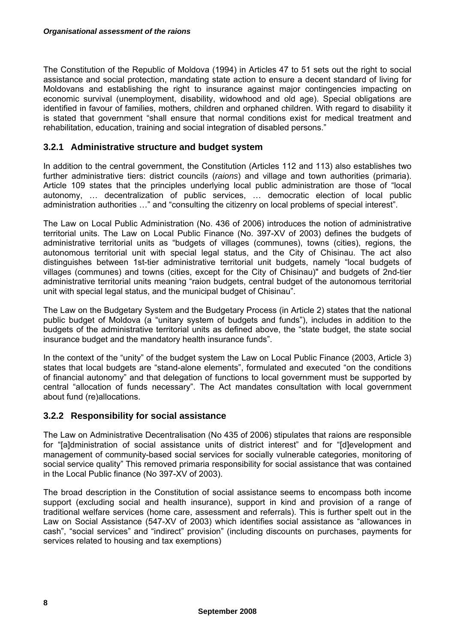The Constitution of the Republic of Moldova (1994) in Articles 47 to 51 sets out the right to social assistance and social protection, mandating state action to ensure a decent standard of living for Moldovans and establishing the right to insurance against major contingencies impacting on economic survival (unemployment, disability, widowhood and old age). Special obligations are identified in favour of families, mothers, children and orphaned children. With regard to disability it is stated that government "shall ensure that normal conditions exist for medical treatment and rehabilitation, education, training and social integration of disabled persons."

## **3.2.1 Administrative structure and budget system**

In addition to the central government, the Constitution (Articles 112 and 113) also establishes two further administrative tiers: district councils (*raions*) and village and town authorities (primaria). Article 109 states that the principles underlying local public administration are those of "local autonomy, … decentralization of public services, … democratic election of local public administration authorities …" and "consulting the citizenry on local problems of special interest".

The Law on Local Public Administration (No. 436 of 2006) introduces the notion of administrative territorial units. The Law on Local Public Finance (No. 397-XV of 2003) defines the budgets of administrative territorial units as "budgets of villages (communes), towns (cities), regions, the autonomous territorial unit with special legal status, and the City of Chisinau. The act also distinguishes between 1st-tier administrative territorial unit budgets, namely "local budgets of villages (communes) and towns (cities, except for the City of Chisinau)" and budgets of 2nd-tier administrative territorial units meaning "raion budgets, central budget of the autonomous territorial unit with special legal status, and the municipal budget of Chisinau".

The Law on the Budgetary System and the Budgetary Process (in Article 2) states that the national public budget of Moldova (a "unitary system of budgets and funds"), includes in addition to the budgets of the administrative territorial units as defined above, the "state budget, the state social insurance budget and the mandatory health insurance funds".

In the context of the "unity" of the budget system the Law on Local Public Finance (2003, Article 3) states that local budgets are "stand-alone elements", formulated and executed "on the conditions of financial autonomy" and that delegation of functions to local government must be supported by central "allocation of funds necessary". The Act mandates consultation with local government about fund (re)allocations.

## **3.2.2 Responsibility for social assistance**

The Law on Administrative Decentralisation (No 435 of 2006) stipulates that raions are responsible for "[a]dministration of social assistance units of district interest" and for "[d]evelopment and management of community-based social services for socially vulnerable categories, monitoring of social service quality" This removed primaria responsibility for social assistance that was contained in the Local Public finance (No 397-XV of 2003).

The broad description in the Constitution of social assistance seems to encompass both income support (excluding social and health insurance), support in kind and provision of a range of traditional welfare services (home care, assessment and referrals). This is further spelt out in the Law on Social Assistance (547-XV of 2003) which identifies social assistance as "allowances in cash", "social services" and "indirect" provision" (including discounts on purchases, payments for services related to housing and tax exemptions)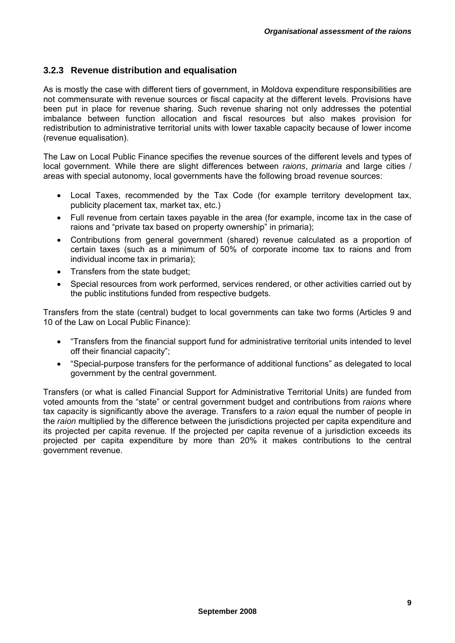## **3.2.3 Revenue distribution and equalisation**

As is mostly the case with different tiers of government, in Moldova expenditure responsibilities are not commensurate with revenue sources or fiscal capacity at the different levels. Provisions have been put in place for revenue sharing. Such revenue sharing not only addresses the potential imbalance between function allocation and fiscal resources but also makes provision for redistribution to administrative territorial units with lower taxable capacity because of lower income (revenue equalisation).

The Law on Local Public Finance specifies the revenue sources of the different levels and types of local government. While there are slight differences between *raions*, *primaria* and large cities / areas with special autonomy, local governments have the following broad revenue sources:

- Local Taxes, recommended by the Tax Code (for example territory development tax, publicity placement tax, market tax, etc.)
- Full revenue from certain taxes payable in the area (for example, income tax in the case of raions and "private tax based on property ownership" in primaria);
- Contributions from general government (shared) revenue calculated as a proportion of certain taxes (such as a minimum of 50% of corporate income tax to raions and from individual income tax in primaria);
- Transfers from the state budget:
- Special resources from work performed, services rendered, or other activities carried out by the public institutions funded from respective budgets.

Transfers from the state (central) budget to local governments can take two forms (Articles 9 and 10 of the Law on Local Public Finance):

- "Transfers from the financial support fund for administrative territorial units intended to level off their financial capacity";
- "Special-purpose transfers for the performance of additional functions" as delegated to local government by the central government.

Transfers (or what is called Financial Support for Administrative Territorial Units) are funded from voted amounts from the "state" or central government budget and contributions from *raions* where tax capacity is significantly above the average. Transfers to a *raion* equal the number of people in the *raion* multiplied by the difference between the jurisdictions projected per capita expenditure and its projected per capita revenue*.* If the projected per capita revenue of a jurisdiction exceeds its projected per capita expenditure by more than 20% it makes contributions to the central government revenue.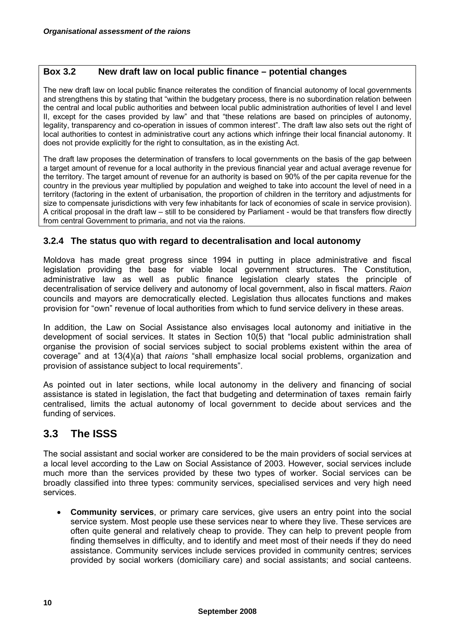## **Box 3.2 New draft law on local public finance – potential changes**

The new draft law on local public finance reiterates the condition of financial autonomy of local governments and strengthens this by stating that "within the budgetary process, there is no subordination relation between the central and local public authorities and between local public administration authorities of level I and level II, except for the cases provided by law" and that "these relations are based on principles of autonomy, legality, transparency and co-operation in issues of common interest". The draft law also sets out the right of local authorities to contest in administrative court any actions which infringe their local financial autonomy. It does not provide explicitly for the right to consultation, as in the existing Act.

The draft law proposes the determination of transfers to local governments on the basis of the gap between a target amount of revenue for a local authority in the previous financial year and actual average revenue for the territory. The target amount of revenue for an authority is based on 90% of the per capita revenue for the country in the previous year multiplied by population and weighed to take into account the level of need in a territory (factoring in the extent of urbanisation, the proportion of children in the territory and adjustments for size to compensate jurisdictions with very few inhabitants for lack of economies of scale in service provision). A critical proposal in the draft law – still to be considered by Parliament - would be that transfers flow directly from central Government to primaria, and not via the raions.

## **3.2.4 The status quo with regard to decentralisation and local autonomy**

Moldova has made great progress since 1994 in putting in place administrative and fiscal legislation providing the base for viable local government structures. The Constitution, administrative law as well as public finance legislation clearly states the principle of decentralisation of service delivery and autonomy of local government, also in fiscal matters. *Raion*  councils and mayors are democratically elected. Legislation thus allocates functions and makes provision for "own" revenue of local authorities from which to fund service delivery in these areas.

In addition, the Law on Social Assistance also envisages local autonomy and initiative in the development of social services. It states in Section 10(5) that "local public administration shall organise the provision of social services subject to social problems existent within the area of coverage" and at 13(4)(a) that *raions* "shall emphasize local social problems, organization and provision of assistance subject to local requirements".

As pointed out in later sections, while local autonomy in the delivery and financing of social assistance is stated in legislation, the fact that budgeting and determination of taxes remain fairly centralised, limits the actual autonomy of local government to decide about services and the funding of services.

# **3.3 The ISSS**

The social assistant and social worker are considered to be the main providers of social services at a local level according to the Law on Social Assistance of 2003. However, social services include much more than the services provided by these two types of worker. Social services can be broadly classified into three types: community services, specialised services and very high need services.

• **Community services**, or primary care services, give users an entry point into the social service system. Most people use these services near to where they live. These services are often quite general and relatively cheap to provide. They can help to prevent people from finding themselves in difficulty, and to identify and meet most of their needs if they do need assistance. Community services include services provided in community centres; services provided by social workers (domiciliary care) and social assistants; and social canteens.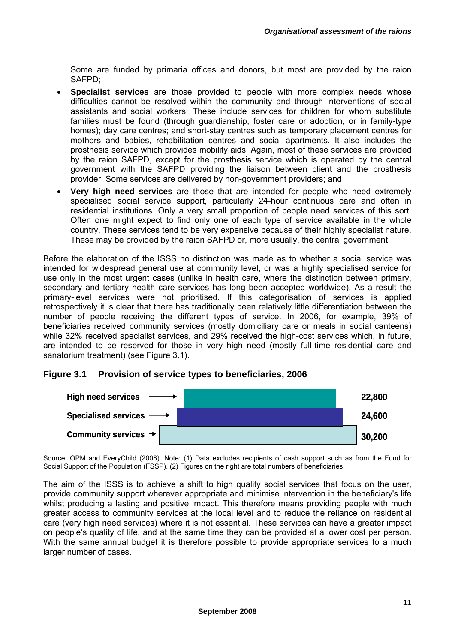Some are funded by primaria offices and donors, but most are provided by the raion SAFPD;

- **Specialist services** are those provided to people with more complex needs whose difficulties cannot be resolved within the community and through interventions of social assistants and social workers. These include services for children for whom substitute families must be found (through guardianship, foster care or adoption, or in family-type homes); day care centres; and short-stay centres such as temporary placement centres for mothers and babies, rehabilitation centres and social apartments. It also includes the prosthesis service which provides mobility aids. Again, most of these services are provided by the raion SAFPD, except for the prosthesis service which is operated by the central government with the SAFPD providing the liaison between client and the prosthesis provider. Some services are delivered by non-government providers; and
- **Very high need services** are those that are intended for people who need extremely specialised social service support, particularly 24-hour continuous care and often in residential institutions. Only a very small proportion of people need services of this sort. Often one might expect to find only one of each type of service available in the whole country. These services tend to be very expensive because of their highly specialist nature. These may be provided by the raion SAFPD or, more usually, the central government.

Before the elaboration of the ISSS no distinction was made as to whether a social service was intended for widespread general use at community level, or was a highly specialised service for use only in the most urgent cases (unlike in health care, where the distinction between primary, secondary and tertiary health care services has long been accepted worldwide). As a result the primary-level services were not prioritised. If this categorisation of services is applied retrospectively it is clear that there has traditionally been relatively little differentiation between the number of people receiving the different types of service. In 2006, for example, 39% of beneficiaries received community services (mostly domiciliary care or meals in social canteens) while 32% received specialist services, and 29% received the high-cost services which, in future, are intended to be reserved for those in very high need (mostly full-time residential care and sanatorium treatment) (see Figure 3.1).

## **Figure 3.1 Provision of service types to beneficiaries, 2006**



Source: OPM and EveryChild (2008). Note: (1) Data excludes recipients of cash support such as from the Fund for Social Support of the Population (FSSP). (2) Figures on the right are total numbers of beneficiaries.

The aim of the ISSS is to achieve a shift to high quality social services that focus on the user, provide community support wherever appropriate and minimise intervention in the beneficiary's life whilst producing a lasting and positive impact. This therefore means providing people with much greater access to community services at the local level and to reduce the reliance on residential care (very high need services) where it is not essential. These services can have a greater impact on people's quality of life, and at the same time they can be provided at a lower cost per person. With the same annual budget it is therefore possible to provide appropriate services to a much larger number of cases.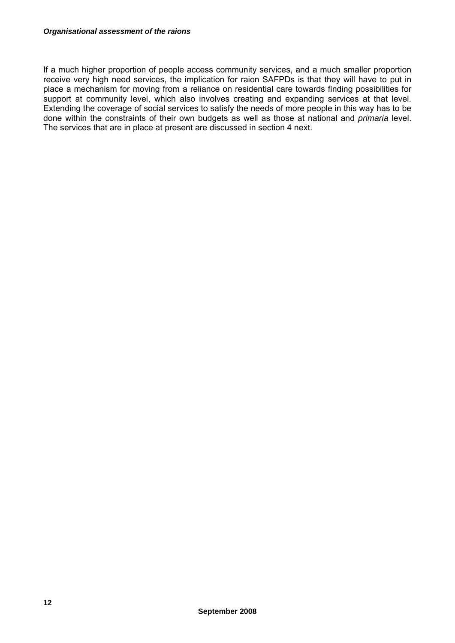If a much higher proportion of people access community services, and a much smaller proportion receive very high need services, the implication for raion SAFPDs is that they will have to put in place a mechanism for moving from a reliance on residential care towards finding possibilities for support at community level, which also involves creating and expanding services at that level. Extending the coverage of social services to satisfy the needs of more people in this way has to be done within the constraints of their own budgets as well as those at national and *primaria* level. The services that are in place at present are discussed in section 4 next.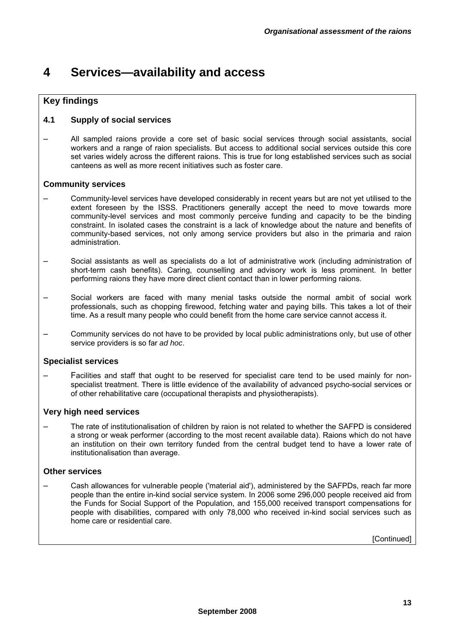# **4 Services—availability and access**

## **Key findings**

## **4.1 Supply of social services**

– All sampled raions provide a core set of basic social services through social assistants, social workers and a range of raion specialists. But access to additional social services outside this core set varies widely across the different raions. This is true for long established services such as social canteens as well as more recent initiatives such as foster care.

### **Community services**

- Community-level services have developed considerably in recent years but are not yet utilised to the extent foreseen by the ISSS. Practitioners generally accept the need to move towards more community-level services and most commonly perceive funding and capacity to be the binding constraint. In isolated cases the constraint is a lack of knowledge about the nature and benefits of community-based services, not only among service providers but also in the primaria and raion administration.
- Social assistants as well as specialists do a lot of administrative work (including administration of short-term cash benefits). Caring, counselling and advisory work is less prominent. In better performing raions they have more direct client contact than in lower performing raions.
- Social workers are faced with many menial tasks outside the normal ambit of social work professionals, such as chopping firewood, fetching water and paying bills. This takes a lot of their time. As a result many people who could benefit from the home care service cannot access it.
- Community services do not have to be provided by local public administrations only, but use of other service providers is so far *ad hoc*.

### **Specialist services**

– Facilities and staff that ought to be reserved for specialist care tend to be used mainly for nonspecialist treatment. There is little evidence of the availability of advanced psycho-social services or of other rehabilitative care (occupational therapists and physiotherapists).

### **Very high need services**

– The rate of institutionalisation of children by raion is not related to whether the SAFPD is considered a strong or weak performer (according to the most recent available data). Raions which do not have an institution on their own territory funded from the central budget tend to have a lower rate of institutionalisation than average.

### **Other services**

– Cash allowances for vulnerable people ('material aid'), administered by the SAFPDs, reach far more people than the entire in-kind social service system. In 2006 some 296,000 people received aid from the Funds for Social Support of the Population, and 155,000 received transport compensations for people with disabilities, compared with only 78,000 who received in-kind social services such as home care or residential care.

[Continued]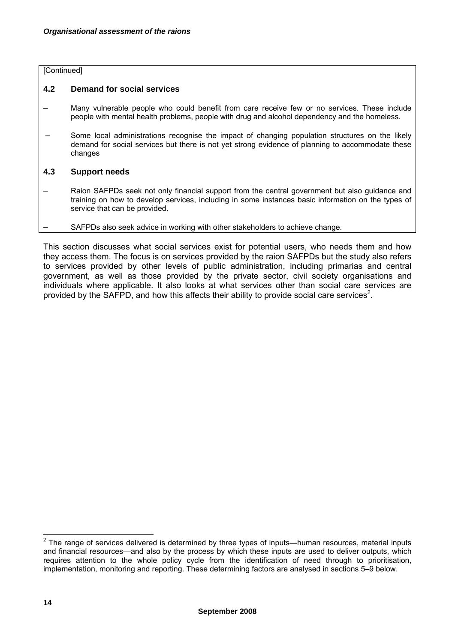### [Continued]

### **4.2 Demand for social services**

- Many vulnerable people who could benefit from care receive few or no services. These include people with mental health problems, people with drug and alcohol dependency and the homeless.
- Some local administrations recognise the impact of changing population structures on the likely demand for social services but there is not yet strong evidence of planning to accommodate these changes

#### **4.3 Support needs**

- Raion SAFPDs seek not only financial support from the central government but also guidance and training on how to develop services, including in some instances basic information on the types of service that can be provided.
	- SAFPDs also seek advice in working with other stakeholders to achieve change.

This section discusses what social services exist for potential users, who needs them and how they access them. The focus is on services provided by the raion SAFPDs but the study also refers to services provided by other levels of public administration, including primarias and central government, as well as those provided by the private sector, civil society organisations and individuals where applicable. It also looks at what services other than social care services are provided by the SAFPD, and how this affects their ability to provide social care services<sup>2</sup>.

 2 The range of services delivered is determined by three types of inputs—human resources, material inputs and financial resources—and also by the process by which these inputs are used to deliver outputs, which requires attention to the whole policy cycle from the identification of need through to prioritisation, implementation, monitoring and reporting. These determining factors are analysed in sections 5–9 below.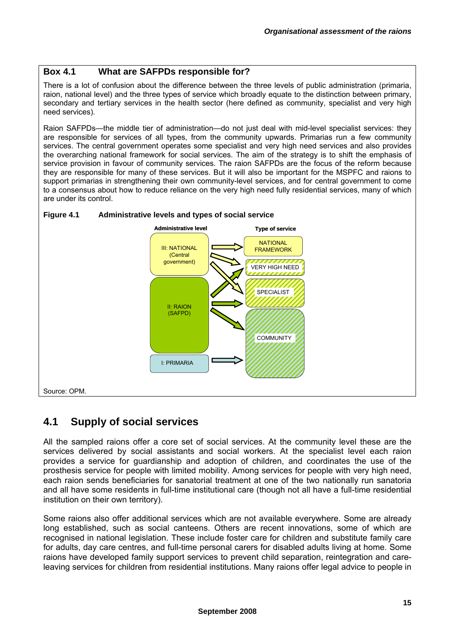## **Box 4.1 What are SAFPDs responsible for?**

There is a lot of confusion about the difference between the three levels of public administration (primaria, raion, national level) and the three types of service which broadly equate to the distinction between primary, secondary and tertiary services in the health sector (here defined as community, specialist and very high need services).

Raion SAFPDs—the middle tier of administration—do not just deal with mid-level specialist services: they are responsible for services of all types, from the community upwards. Primarias run a few community services. The central government operates some specialist and very high need services and also provides the overarching national framework for social services. The aim of the strategy is to shift the emphasis of service provision in favour of community services. The raion SAFPDs are the focus of the reform because they are responsible for many of these services. But it will also be important for the MSPFC and raions to support primarias in strengthening their own community-level services, and for central government to come to a consensus about how to reduce reliance on the very high need fully residential services, many of which are under its control.





# **4.1 Supply of social services**

All the sampled raions offer a core set of social services. At the community level these are the services delivered by social assistants and social workers. At the specialist level each raion provides a service for guardianship and adoption of children, and coordinates the use of the prosthesis service for people with limited mobility. Among services for people with very high need, each raion sends beneficiaries for sanatorial treatment at one of the two nationally run sanatoria and all have some residents in full-time institutional care (though not all have a full-time residential institution on their own territory).

Some raions also offer additional services which are not available everywhere. Some are already long established, such as social canteens. Others are recent innovations, some of which are recognised in national legislation. These include foster care for children and substitute family care for adults, day care centres, and full-time personal carers for disabled adults living at home. Some raions have developed family support services to prevent child separation, reintegration and careleaving services for children from residential institutions. Many raions offer legal advice to people in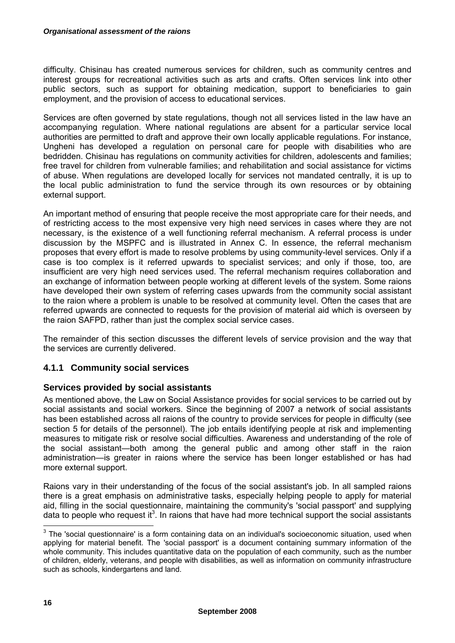difficulty. Chisinau has created numerous services for children, such as community centres and interest groups for recreational activities such as arts and crafts. Often services link into other public sectors, such as support for obtaining medication, support to beneficiaries to gain employment, and the provision of access to educational services.

Services are often governed by state regulations, though not all services listed in the law have an accompanying regulation. Where national regulations are absent for a particular service local authorities are permitted to draft and approve their own locally applicable regulations. For instance, Ungheni has developed a regulation on personal care for people with disabilities who are bedridden. Chisinau has regulations on community activities for children, adolescents and families; free travel for children from vulnerable families; and rehabilitation and social assistance for victims of abuse. When regulations are developed locally for services not mandated centrally, it is up to the local public administration to fund the service through its own resources or by obtaining external support.

An important method of ensuring that people receive the most appropriate care for their needs, and of restricting access to the most expensive very high need services in cases where they are not necessary, is the existence of a well functioning referral mechanism. A referral process is under discussion by the MSPFC and is illustrated in Annex C. In essence, the referral mechanism proposes that every effort is made to resolve problems by using community-level services. Only if a case is too complex is it referred upwards to specialist services; and only if those, too, are insufficient are very high need services used. The referral mechanism requires collaboration and an exchange of information between people working at different levels of the system. Some raions have developed their own system of referring cases upwards from the community social assistant to the raion where a problem is unable to be resolved at community level. Often the cases that are referred upwards are connected to requests for the provision of material aid which is overseen by the raion SAFPD, rather than just the complex social service cases.

The remainder of this section discusses the different levels of service provision and the way that the services are currently delivered.

## **4.1.1 Community social services**

## **Services provided by social assistants**

As mentioned above, the Law on Social Assistance provides for social services to be carried out by social assistants and social workers. Since the beginning of 2007 a network of social assistants has been established across all raions of the country to provide services for people in difficulty (see section 5 for details of the personnel). The job entails identifying people at risk and implementing measures to mitigate risk or resolve social difficulties. Awareness and understanding of the role of the social assistant—both among the general public and among other staff in the raion administration—is greater in raions where the service has been longer established or has had more external support.

Raions vary in their understanding of the focus of the social assistant's job. In all sampled raions there is a great emphasis on administrative tasks, especially helping people to apply for material aid, filling in the social questionnaire, maintaining the community's 'social passport' and supplying data to people who request it<sup>3</sup>. In raions that have had more technical support the social assistants

 3 The 'social questionnaire' is a form containing data on an individual's socioeconomic situation, used when applying for material benefit. The 'social passport' is a document containing summary information of the whole community. This includes quantitative data on the population of each community, such as the number of children, elderly, veterans, and people with disabilities, as well as information on community infrastructure such as schools, kindergartens and land.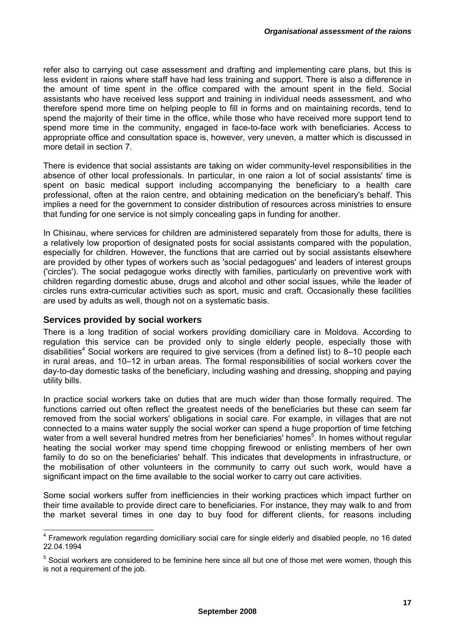refer also to carrying out case assessment and drafting and implementing care plans, but this is less evident in raions where staff have had less training and support. There is also a difference in the amount of time spent in the office compared with the amount spent in the field. Social assistants who have received less support and training in individual needs assessment, and who therefore spend more time on helping people to fill in forms and on maintaining records, tend to spend the majority of their time in the office, while those who have received more support tend to spend more time in the community, engaged in face-to-face work with beneficiaries. Access to appropriate office and consultation space is, however, very uneven, a matter which is discussed in more detail in section 7.

There is evidence that social assistants are taking on wider community-level responsibilities in the absence of other local professionals. In particular, in one raion a lot of social assistants' time is spent on basic medical support including accompanying the beneficiary to a health care professional, often at the raion centre, and obtaining medication on the beneficiary's behalf. This implies a need for the government to consider distribution of resources across ministries to ensure that funding for one service is not simply concealing gaps in funding for another.

In Chisinau, where services for children are administered separately from those for adults, there is a relatively low proportion of designated posts for social assistants compared with the population, especially for children. However, the functions that are carried out by social assistants elsewhere are provided by other types of workers such as 'social pedagogues' and leaders of interest groups ('circles'). The social pedagogue works directly with families, particularly on preventive work with children regarding domestic abuse, drugs and alcohol and other social issues, while the leader of circles runs extra-curricular activities such as sport, music and craft. Occasionally these facilities are used by adults as well, though not on a systematic basis.

## **Services provided by social workers**

 $\overline{a}$ 

There is a long tradition of social workers providing domiciliary care in Moldova. According to regulation this service can be provided only to single elderly people, especially those with disabilities<sup>4</sup> Social workers are required to give services (from a defined list) to 8-10 people each in rural areas, and 10–12 in urban areas. The formal responsibilities of social workers cover the day-to-day domestic tasks of the beneficiary, including washing and dressing, shopping and paying utility bills.

In practice social workers take on duties that are much wider than those formally required. The functions carried out often reflect the greatest needs of the beneficiaries but these can seem far removed from the social workers' obligations in social care. For example, in villages that are not connected to a mains water supply the social worker can spend a huge proportion of time fetching water from a well several hundred metres from her beneficiaries' homes<sup>5</sup>. In homes without regular heating the social worker may spend time chopping firewood or enlisting members of her own family to do so on the beneficiaries' behalf. This indicates that developments in infrastructure, or the mobilisation of other volunteers in the community to carry out such work, would have a significant impact on the time available to the social worker to carry out care activities.

Some social workers suffer from inefficiencies in their working practices which impact further on their time available to provide direct care to beneficiaries. For instance, they may walk to and from the market several times in one day to buy food for different clients, for reasons including

<sup>&</sup>lt;sup>4</sup> Framework regulation regarding domiciliary social care for single elderly and disabled people, no 16 dated 22.04.1994

<sup>&</sup>lt;sup>5</sup> Social workers are considered to be feminine here since all but one of those met were women, though this is not a requirement of the job.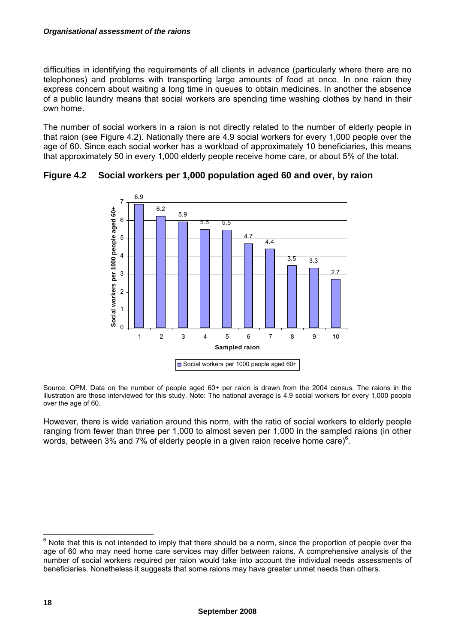#### *Organisational assessment of the raions*

difficulties in identifying the requirements of all clients in advance (particularly where there are no telephones) and problems with transporting large amounts of food at once. In one raion they express concern about waiting a long time in queues to obtain medicines. In another the absence of a public laundry means that social workers are spending time washing clothes by hand in their own home.

The number of social workers in a raion is not directly related to the number of elderly people in that raion (see Figure 4.2). Nationally there are 4.9 social workers for every 1,000 people over the age of 60. Since each social worker has a workload of approximately 10 beneficiaries, this means that approximately 50 in every 1,000 elderly people receive home care, or about 5% of the total.



**Figure 4.2 Social workers per 1,000 population aged 60 and over, by raion** 

Source: OPM. Data on the number of people aged 60+ per raion is drawn from the 2004 census. The raions in the illustration are those interviewed for this study. Note: The national average is 4.9 social workers for every 1,000 people over the age of 60.

However, there is wide variation around this norm, with the ratio of social workers to elderly people ranging from fewer than three per 1,000 to almost seven per 1,000 in the sampled raions (in other words, between 3% and 7% of elderly people in a given raion receive home care) $6$ .

**EXECTS 10**<br><sup>6</sup> Note that this is not intended to imply that there should be a norm, since the proportion of people over the age of 60 who may need home care services may differ between raions. A comprehensive analysis of the number of social workers required per raion would take into account the individual needs assessments of beneficiaries. Nonetheless it suggests that some raions may have greater unmet needs than others.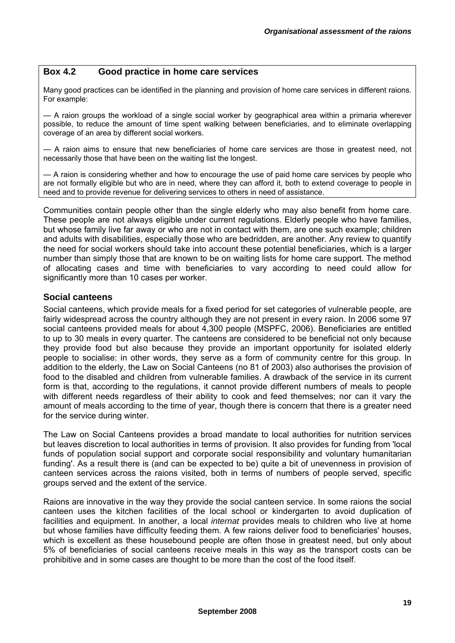### **Box 4.2 Good practice in home care services**

Many good practices can be identified in the planning and provision of home care services in different raions. For example:

— A raion groups the workload of a single social worker by geographical area within a primaria wherever possible, to reduce the amount of time spent walking between beneficiaries, and to eliminate overlapping coverage of an area by different social workers.

— A raion aims to ensure that new beneficiaries of home care services are those in greatest need, not necessarily those that have been on the waiting list the longest.

— A raion is considering whether and how to encourage the use of paid home care services by people who are not formally eligible but who are in need, where they can afford it, both to extend coverage to people in need and to provide revenue for delivering services to others in need of assistance.

Communities contain people other than the single elderly who may also benefit from home care. These people are not always eligible under current regulations. Elderly people who have families, but whose family live far away or who are not in contact with them, are one such example; children and adults with disabilities, especially those who are bedridden, are another. Any review to quantify the need for social workers should take into account these potential beneficiaries, which is a larger number than simply those that are known to be on waiting lists for home care support. The method of allocating cases and time with beneficiaries to vary according to need could allow for significantly more than 10 cases per worker.

### **Social canteens**

Social canteens, which provide meals for a fixed period for set categories of vulnerable people, are fairly widespread across the country although they are not present in every raion. In 2006 some 97 social canteens provided meals for about 4,300 people (MSPFC, 2006). Beneficiaries are entitled to up to 30 meals in every quarter. The canteens are considered to be beneficial not only because they provide food but also because they provide an important opportunity for isolated elderly people to socialise: in other words, they serve as a form of community centre for this group. In addition to the elderly, the Law on Social Canteens (no 81 of 2003) also authorises the provision of food to the disabled and children from vulnerable families. A drawback of the service in its current form is that, according to the regulations, it cannot provide different numbers of meals to people with different needs regardless of their ability to cook and feed themselves; nor can it vary the amount of meals according to the time of year, though there is concern that there is a greater need for the service during winter.

The Law on Social Canteens provides a broad mandate to local authorities for nutrition services but leaves discretion to local authorities in terms of provision. It also provides for funding from 'local funds of population social support and corporate social responsibility and voluntary humanitarian funding'. As a result there is (and can be expected to be) quite a bit of unevenness in provision of canteen services across the raions visited, both in terms of numbers of people served, specific groups served and the extent of the service.

Raions are innovative in the way they provide the social canteen service. In some raions the social canteen uses the kitchen facilities of the local school or kindergarten to avoid duplication of facilities and equipment. In another, a local *internat* provides meals to children who live at home but whose families have difficulty feeding them. A few raions deliver food to beneficiaries' houses, which is excellent as these housebound people are often those in greatest need, but only about 5% of beneficiaries of social canteens receive meals in this way as the transport costs can be prohibitive and in some cases are thought to be more than the cost of the food itself.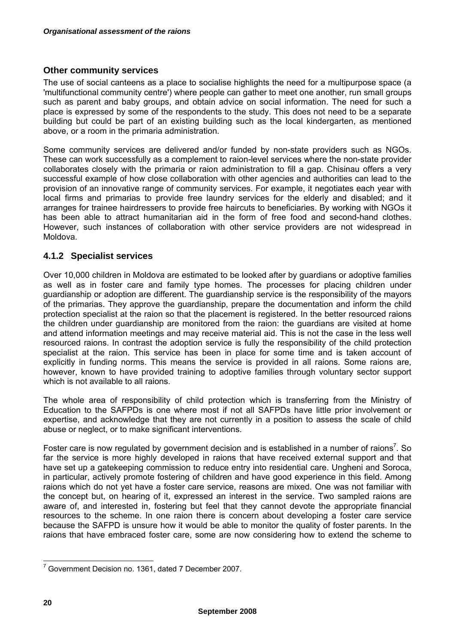## **Other community services**

The use of social canteens as a place to socialise highlights the need for a multipurpose space (a 'multifunctional community centre') where people can gather to meet one another, run small groups such as parent and baby groups, and obtain advice on social information. The need for such a place is expressed by some of the respondents to the study. This does not need to be a separate building but could be part of an existing building such as the local kindergarten, as mentioned above, or a room in the primaria administration.

Some community services are delivered and/or funded by non-state providers such as NGOs. These can work successfully as a complement to raion-level services where the non-state provider collaborates closely with the primaria or raion administration to fill a gap. Chisinau offers a very successful example of how close collaboration with other agencies and authorities can lead to the provision of an innovative range of community services. For example, it negotiates each year with local firms and primarias to provide free laundry services for the elderly and disabled; and it arranges for trainee hairdressers to provide free haircuts to beneficiaries. By working with NGOs it has been able to attract humanitarian aid in the form of free food and second-hand clothes. However, such instances of collaboration with other service providers are not widespread in Moldova.

## **4.1.2 Specialist services**

Over 10,000 children in Moldova are estimated to be looked after by guardians or adoptive families as well as in foster care and family type homes. The processes for placing children under guardianship or adoption are different. The guardianship service is the responsibility of the mayors of the primarias. They approve the guardianship, prepare the documentation and inform the child protection specialist at the raion so that the placement is registered. In the better resourced raions the children under guardianship are monitored from the raion: the guardians are visited at home and attend information meetings and may receive material aid. This is not the case in the less well resourced raions. In contrast the adoption service is fully the responsibility of the child protection specialist at the raion. This service has been in place for some time and is taken account of explicitly in funding norms. This means the service is provided in all raions. Some raions are, however, known to have provided training to adoptive families through voluntary sector support which is not available to all raions.

The whole area of responsibility of child protection which is transferring from the Ministry of Education to the SAFPDs is one where most if not all SAFPDs have little prior involvement or expertise, and acknowledge that they are not currently in a position to assess the scale of child abuse or neglect, or to make significant interventions.

Foster care is now regulated by government decision and is established in a number of raions<sup>7</sup>. So far the service is more highly developed in raions that have received external support and that have set up a gatekeeping commission to reduce entry into residential care. Ungheni and Soroca, in particular, actively promote fostering of children and have good experience in this field. Among raions which do not yet have a foster care service, reasons are mixed. One was not familiar with the concept but, on hearing of it, expressed an interest in the service. Two sampled raions are aware of, and interested in, fostering but feel that they cannot devote the appropriate financial resources to the scheme. In one raion there is concern about developing a foster care service because the SAFPD is unsure how it would be able to monitor the quality of foster parents. In the raions that have embraced foster care, some are now considering how to extend the scheme to

 7 Government Decision no. 1361, dated 7 December 2007.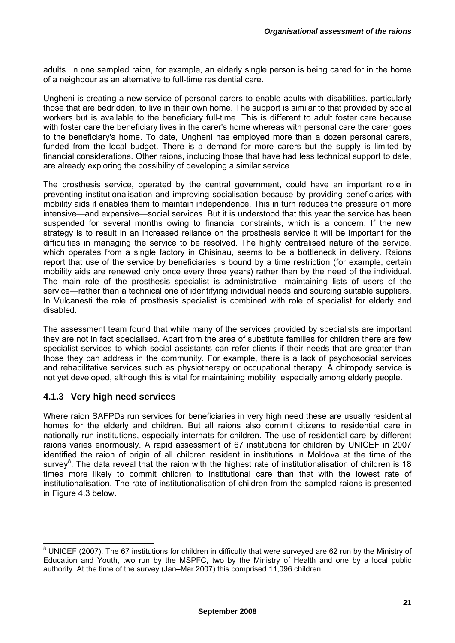adults. In one sampled raion, for example, an elderly single person is being cared for in the home of a neighbour as an alternative to full-time residential care.

Ungheni is creating a new service of personal carers to enable adults with disabilities, particularly those that are bedridden, to live in their own home. The support is similar to that provided by social workers but is available to the beneficiary full-time. This is different to adult foster care because with foster care the beneficiary lives in the carer's home whereas with personal care the carer goes to the beneficiary's home. To date, Ungheni has employed more than a dozen personal carers, funded from the local budget. There is a demand for more carers but the supply is limited by financial considerations. Other raions, including those that have had less technical support to date, are already exploring the possibility of developing a similar service.

The prosthesis service, operated by the central government, could have an important role in preventing institutionalisation and improving socialisation because by providing beneficiaries with mobility aids it enables them to maintain independence. This in turn reduces the pressure on more intensive—and expensive—social services. But it is understood that this year the service has been suspended for several months owing to financial constraints, which is a concern. If the new strategy is to result in an increased reliance on the prosthesis service it will be important for the difficulties in managing the service to be resolved. The highly centralised nature of the service, which operates from a single factory in Chisinau, seems to be a bottleneck in delivery. Raions report that use of the service by beneficiaries is bound by a time restriction (for example, certain mobility aids are renewed only once every three years) rather than by the need of the individual. The main role of the prosthesis specialist is administrative—maintaining lists of users of the service—rather than a technical one of identifying individual needs and sourcing suitable suppliers. In Vulcanesti the role of prosthesis specialist is combined with role of specialist for elderly and disabled.

The assessment team found that while many of the services provided by specialists are important they are not in fact specialised. Apart from the area of substitute families for children there are few specialist services to which social assistants can refer clients if their needs that are greater than those they can address in the community. For example, there is a lack of psychosocial services and rehabilitative services such as physiotherapy or occupational therapy. A chiropody service is not yet developed, although this is vital for maintaining mobility, especially among elderly people.

#### **4.1.3 Very high need services**

Where raion SAFPDs run services for beneficiaries in very high need these are usually residential homes for the elderly and children. But all raions also commit citizens to residential care in nationally run institutions, especially internats for children. The use of residential care by different raions varies enormously. A rapid assessment of 67 institutions for children by UNICEF in 2007 identified the raion of origin of all children resident in institutions in Moldova at the time of the survey<sup>8</sup>. The data reveal that the raion with the highest rate of institutionalisation of children is 18 times more likely to commit children to institutional care than that with the lowest rate of institutionalisation. The rate of institutionalisation of children from the sampled raions is presented in Figure 4.3 below.

 8 UNICEF (2007). The 67 institutions for children in difficulty that were surveyed are 62 run by the Ministry of Education and Youth, two run by the MSPFC, two by the Ministry of Health and one by a local public authority. At the time of the survey (Jan–Mar 2007) this comprised 11,096 children.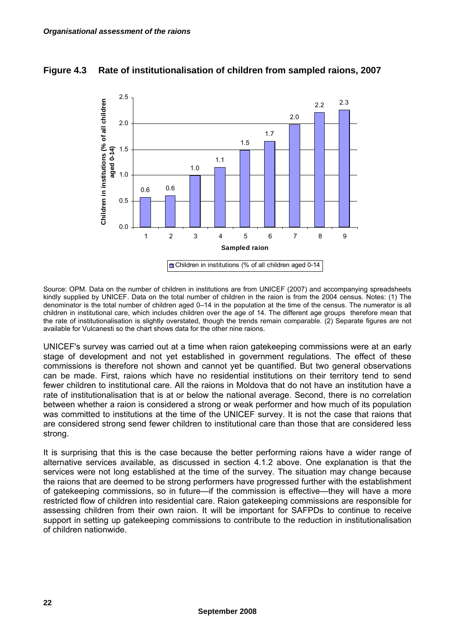#### **Figure 4.3 Rate of institutionalisation of children from sampled raions, 2007**



Source: OPM. Data on the number of children in institutions are from UNICEF (2007) and accompanying spreadsheets kindly supplied by UNICEF. Data on the total number of children in the raion is from the 2004 census. Notes: (1) The denominator is the total number of children aged 0–14 in the population at the time of the census. The numerator is all children in institutional care, which includes children over the age of 14. The different age groups therefore mean that the rate of institutionalisation is slightly overstated, though the trends remain comparable. (2) Separate figures are not available for Vulcanesti so the chart shows data for the other nine raions.

UNICEF's survey was carried out at a time when raion gatekeeping commissions were at an early stage of development and not yet established in government regulations. The effect of these commissions is therefore not shown and cannot yet be quantified. But two general observations can be made. First, raions which have no residential institutions on their territory tend to send fewer children to institutional care. All the raions in Moldova that do not have an institution have a rate of institutionalisation that is at or below the national average. Second, there is no correlation between whether a raion is considered a strong or weak performer and how much of its population was committed to institutions at the time of the UNICEF survey. It is not the case that raions that are considered strong send fewer children to institutional care than those that are considered less strong.

It is surprising that this is the case because the better performing raions have a wider range of alternative services available, as discussed in section 4.1.2 above. One explanation is that the services were not long established at the time of the survey. The situation may change because the raions that are deemed to be strong performers have progressed further with the establishment of gatekeeping commissions, so in future—if the commission is effective—they will have a more restricted flow of children into residential care. Raion gatekeeping commissions are responsible for assessing children from their own raion. It will be important for SAFPDs to continue to receive support in setting up gatekeeping commissions to contribute to the reduction in institutionalisation of children nationwide.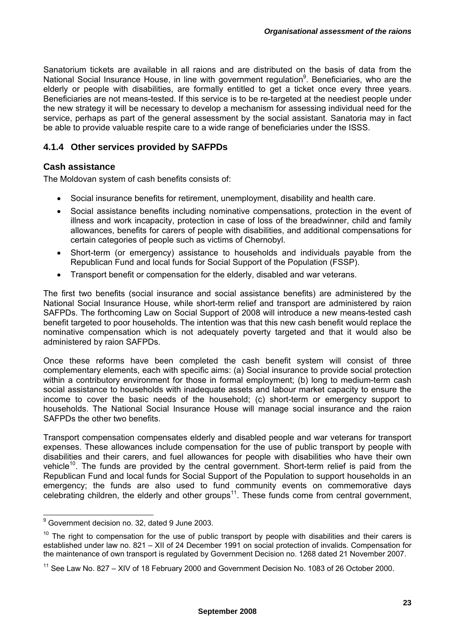Sanatorium tickets are available in all raions and are distributed on the basis of data from the National Social Insurance House, in line with government regulation<sup>9</sup>. Beneficiaries, who are the elderly or people with disabilities, are formally entitled to get a ticket once every three years. Beneficiaries are not means-tested. If this service is to be re-targeted at the neediest people under the new strategy it will be necessary to develop a mechanism for assessing individual need for the service, perhaps as part of the general assessment by the social assistant. Sanatoria may in fact be able to provide valuable respite care to a wide range of beneficiaries under the ISSS.

### **4.1.4 Other services provided by SAFPDs**

#### **Cash assistance**

The Moldovan system of cash benefits consists of:

- Social insurance benefits for retirement, unemployment, disability and health care.
- Social assistance benefits including nominative compensations, protection in the event of illness and work incapacity, protection in case of loss of the breadwinner, child and family allowances, benefits for carers of people with disabilities, and additional compensations for certain categories of people such as victims of Chernobyl.
- Short-term (or emergency) assistance to households and individuals payable from the Republican Fund and local funds for Social Support of the Population (FSSP).
- Transport benefit or compensation for the elderly, disabled and war veterans.

The first two benefits (social insurance and social assistance benefits) are administered by the National Social Insurance House, while short-term relief and transport are administered by raion SAFPDs. The forthcoming Law on Social Support of 2008 will introduce a new means-tested cash benefit targeted to poor households. The intention was that this new cash benefit would replace the nominative compensation which is not adequately poverty targeted and that it would also be administered by raion SAFPDs.

Once these reforms have been completed the cash benefit system will consist of three complementary elements, each with specific aims: (a) Social insurance to provide social protection within a contributory environment for those in formal employment; (b) long to medium-term cash social assistance to households with inadequate assets and labour market capacity to ensure the income to cover the basic needs of the household; (c) short-term or emergency support to households. The National Social Insurance House will manage social insurance and the raion SAFPDs the other two benefits.

Transport compensation compensates elderly and disabled people and war veterans for transport expenses. These allowances include compensation for the use of public transport by people with disabilities and their carers, and fuel allowances for people with disabilities who have their own vehicle<sup>10</sup>. The funds are provided by the central government. Short-term relief is paid from the Republican Fund and local funds for Social Support of the Population to support households in an emergency; the funds are also used to fund community events on commemorative days celebrating children, the elderly and other groups<sup>11</sup>. These funds come from central government,

endiese<br>
generical of the Covernment decision no. 32, dated 9 June 2003.

 $10$  The right to compensation for the use of public transport by people with disabilities and their carers is established under law no. 821 – XII of 24 December 1991 on social protection of invalids. Compensation for the maintenance of own transport is regulated by Government Decision no. 1268 dated 21 November 2007.

 $11$  See Law No. 827 – XIV of 18 February 2000 and Government Decision No. 1083 of 26 October 2000.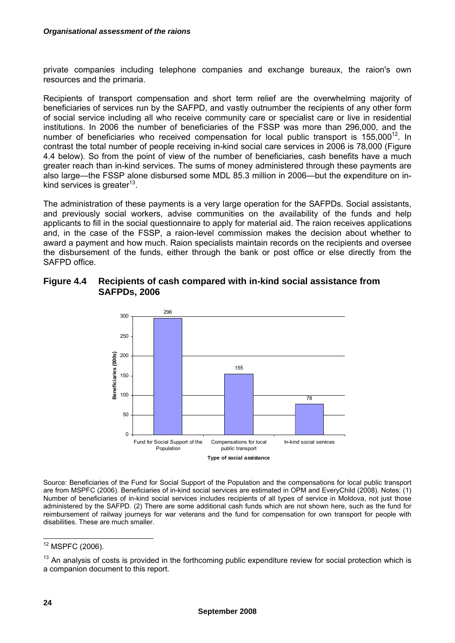private companies including telephone companies and exchange bureaux, the raion's own resources and the primaria.

Recipients of transport compensation and short term relief are the overwhelming majority of beneficiaries of services run by the SAFPD, and vastly outnumber the recipients of any other form of social service including all who receive community care or specialist care or live in residential institutions. In 2006 the number of beneficiaries of the FSSP was more than 296,000, and the number of beneficiaries who received compensation for local public transport is  $155,000^{12}$ . In contrast the total number of people receiving in-kind social care services in 2006 is 78,000 (Figure 4.4 below). So from the point of view of the number of beneficiaries, cash benefits have a much greater reach than in-kind services. The sums of money administered through these payments are also large—the FSSP alone disbursed some MDL 85.3 million in 2006—but the expenditure on inkind services is greater<sup>13</sup>.

The administration of these payments is a very large operation for the SAFPDs. Social assistants, and previously social workers, advise communities on the availability of the funds and help applicants to fill in the social questionnaire to apply for material aid. The raion receives applications and, in the case of the FSSP, a raion-level commission makes the decision about whether to award a payment and how much. Raion specialists maintain records on the recipients and oversee the disbursement of the funds, either through the bank or post office or else directly from the SAFPD office.

#### **Figure 4.4 Recipients of cash compared with in-kind social assistance from SAFPDs, 2006**



Source: Beneficiaries of the Fund for Social Support of the Population and the compensations for local public transport are from MSPFC (2006). Beneficiaries of in-kind social services are estimated in OPM and EveryChild (2008). Notes: (1) Number of beneficiaries of in-kind social services includes recipients of all types of service in Moldova, not just those administered by the SAFPD. (2) There are some additional cash funds which are not shown here, such as the fund for reimbursement of railway journeys for war veterans and the fund for compensation for own transport for people with disabilities. These are much smaller.

  $12$  MSPFC (2006).

<sup>&</sup>lt;sup>13</sup> An analysis of costs is provided in the forthcoming public expenditure review for social protection which is a companion document to this report.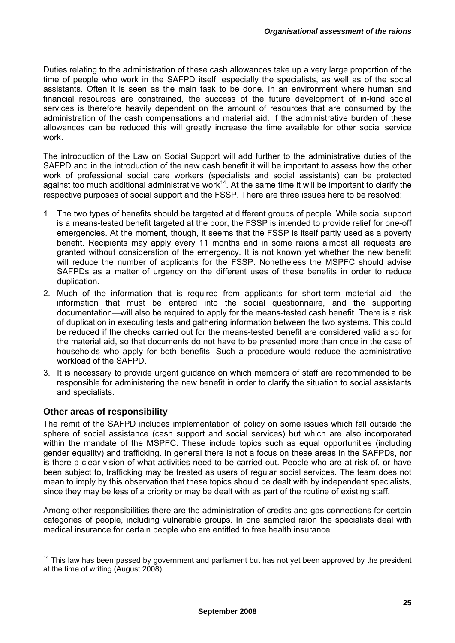Duties relating to the administration of these cash allowances take up a very large proportion of the time of people who work in the SAFPD itself, especially the specialists, as well as of the social assistants. Often it is seen as the main task to be done. In an environment where human and financial resources are constrained, the success of the future development of in-kind social services is therefore heavily dependent on the amount of resources that are consumed by the administration of the cash compensations and material aid. If the administrative burden of these allowances can be reduced this will greatly increase the time available for other social service work.

The introduction of the Law on Social Support will add further to the administrative duties of the SAFPD and in the introduction of the new cash benefit it will be important to assess how the other work of professional social care workers (specialists and social assistants) can be protected against too much additional administrative work<sup>14</sup>. At the same time it will be important to clarify the respective purposes of social support and the FSSP. There are three issues here to be resolved:

- 1. The two types of benefits should be targeted at different groups of people. While social support is a means-tested benefit targeted at the poor, the FSSP is intended to provide relief for one-off emergencies. At the moment, though, it seems that the FSSP is itself partly used as a poverty benefit. Recipients may apply every 11 months and in some raions almost all requests are granted without consideration of the emergency. It is not known yet whether the new benefit will reduce the number of applicants for the FSSP. Nonetheless the MSPFC should advise SAFPDs as a matter of urgency on the different uses of these benefits in order to reduce duplication.
- 2. Much of the information that is required from applicants for short-term material aid—the information that must be entered into the social questionnaire, and the supporting documentation—will also be required to apply for the means-tested cash benefit. There is a risk of duplication in executing tests and gathering information between the two systems. This could be reduced if the checks carried out for the means-tested benefit are considered valid also for the material aid, so that documents do not have to be presented more than once in the case of households who apply for both benefits. Such a procedure would reduce the administrative workload of the SAFPD.
- 3. It is necessary to provide urgent guidance on which members of staff are recommended to be responsible for administering the new benefit in order to clarify the situation to social assistants and specialists.

### **Other areas of responsibility**

The remit of the SAFPD includes implementation of policy on some issues which fall outside the sphere of social assistance (cash support and social services) but which are also incorporated within the mandate of the MSPFC. These include topics such as equal opportunities (including gender equality) and trafficking. In general there is not a focus on these areas in the SAFPDs, nor is there a clear vision of what activities need to be carried out. People who are at risk of, or have been subject to, trafficking may be treated as users of regular social services. The team does not mean to imply by this observation that these topics should be dealt with by independent specialists, since they may be less of a priority or may be dealt with as part of the routine of existing staff.

Among other responsibilities there are the administration of credits and gas connections for certain categories of people, including vulnerable groups. In one sampled raion the specialists deal with medical insurance for certain people who are entitled to free health insurance.

 $14$  This law has been passed by government and parliament but has not yet been approved by the president at the time of writing (August 2008).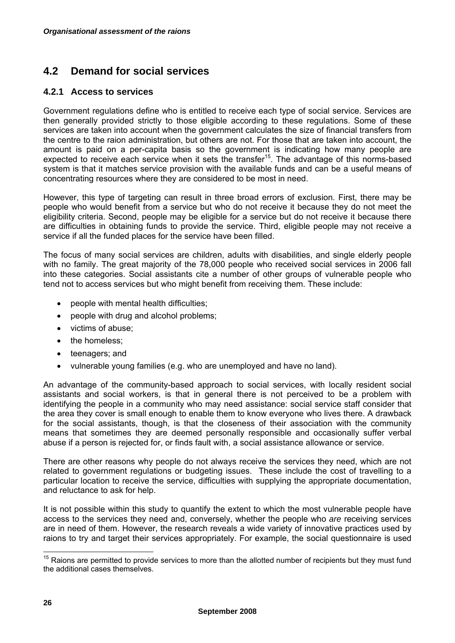### **4.2 Demand for social services**

#### **4.2.1 Access to services**

Government regulations define who is entitled to receive each type of social service. Services are then generally provided strictly to those eligible according to these regulations. Some of these services are taken into account when the government calculates the size of financial transfers from the centre to the raion administration, but others are not. For those that are taken into account, the amount is paid on a per-capita basis so the government is indicating how many people are expected to receive each service when it sets the transfer15. The advantage of this norms-based system is that it matches service provision with the available funds and can be a useful means of concentrating resources where they are considered to be most in need.

However, this type of targeting can result in three broad errors of exclusion. First, there may be people who would benefit from a service but who do not receive it because they do not meet the eligibility criteria. Second, people may be eligible for a service but do not receive it because there are difficulties in obtaining funds to provide the service. Third, eligible people may not receive a service if all the funded places for the service have been filled.

The focus of many social services are children, adults with disabilities, and single elderly people with no family. The great majority of the 78,000 people who received social services in 2006 fall into these categories. Social assistants cite a number of other groups of vulnerable people who tend not to access services but who might benefit from receiving them. These include:

- people with mental health difficulties;
- people with drug and alcohol problems;
- victims of abuse;
- the homeless:
- teenagers; and
- vulnerable young families (e.g. who are unemployed and have no land).

An advantage of the community-based approach to social services, with locally resident social assistants and social workers, is that in general there is not perceived to be a problem with identifying the people in a community who may need assistance: social service staff consider that the area they cover is small enough to enable them to know everyone who lives there. A drawback for the social assistants, though, is that the closeness of their association with the community means that sometimes they are deemed personally responsible and occasionally suffer verbal abuse if a person is rejected for, or finds fault with, a social assistance allowance or service.

There are other reasons why people do not always receive the services they need, which are not related to government regulations or budgeting issues. These include the cost of travelling to a particular location to receive the service, difficulties with supplying the appropriate documentation, and reluctance to ask for help.

It is not possible within this study to quantify the extent to which the most vulnerable people have access to the services they need and, conversely, whether the people who *are* receiving services are in need of them. However, the research reveals a wide variety of innovative practices used by raions to try and target their services appropriately. For example, the social questionnaire is used

  $15$  Raions are permitted to provide services to more than the allotted number of recipients but they must fund the additional cases themselves.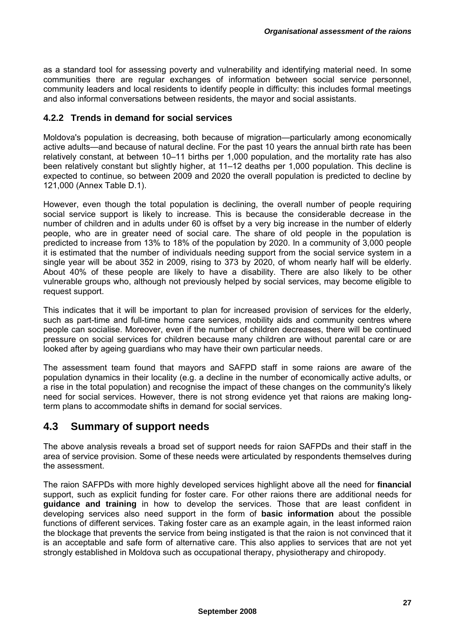as a standard tool for assessing poverty and vulnerability and identifying material need. In some communities there are regular exchanges of information between social service personnel, community leaders and local residents to identify people in difficulty: this includes formal meetings and also informal conversations between residents, the mayor and social assistants.

#### **4.2.2 Trends in demand for social services**

Moldova's population is decreasing, both because of migration—particularly among economically active adults—and because of natural decline. For the past 10 years the annual birth rate has been relatively constant, at between 10–11 births per 1,000 population, and the mortality rate has also been relatively constant but slightly higher, at 11–12 deaths per 1,000 population. This decline is expected to continue, so between 2009 and 2020 the overall population is predicted to decline by 121,000 (Annex Table D.1).

However, even though the total population is declining, the overall number of people requiring social service support is likely to increase. This is because the considerable decrease in the number of children and in adults under 60 is offset by a very big increase in the number of elderly people, who are in greater need of social care. The share of old people in the population is predicted to increase from 13% to 18% of the population by 2020. In a community of 3,000 people it is estimated that the number of individuals needing support from the social service system in a single year will be about 352 in 2009, rising to 373 by 2020, of whom nearly half will be elderly. About 40% of these people are likely to have a disability. There are also likely to be other vulnerable groups who, although not previously helped by social services, may become eligible to request support.

This indicates that it will be important to plan for increased provision of services for the elderly, such as part-time and full-time home care services, mobility aids and community centres where people can socialise. Moreover, even if the number of children decreases, there will be continued pressure on social services for children because many children are without parental care or are looked after by ageing guardians who may have their own particular needs.

The assessment team found that mayors and SAFPD staff in some raions are aware of the population dynamics in their locality (e.g. a decline in the number of economically active adults, or a rise in the total population) and recognise the impact of these changes on the community's likely need for social services. However, there is not strong evidence yet that raions are making longterm plans to accommodate shifts in demand for social services.

### **4.3 Summary of support needs**

The above analysis reveals a broad set of support needs for raion SAFPDs and their staff in the area of service provision. Some of these needs were articulated by respondents themselves during the assessment.

The raion SAFPDs with more highly developed services highlight above all the need for **financial** support, such as explicit funding for foster care. For other raions there are additional needs for **guidance and training** in how to develop the services. Those that are least confident in developing services also need support in the form of **basic information** about the possible functions of different services. Taking foster care as an example again, in the least informed raion the blockage that prevents the service from being instigated is that the raion is not convinced that it is an acceptable and safe form of alternative care. This also applies to services that are not yet strongly established in Moldova such as occupational therapy, physiotherapy and chiropody.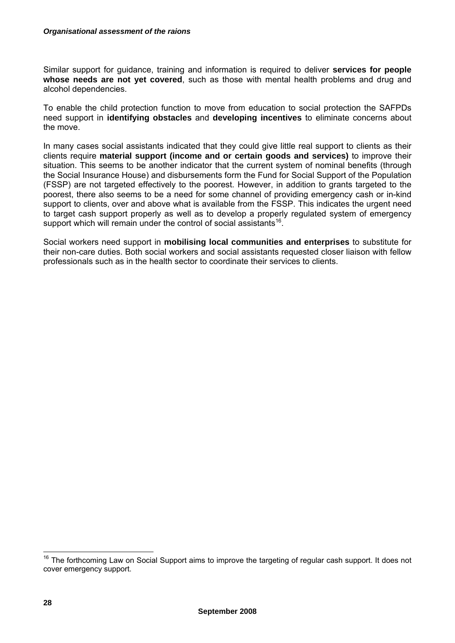Similar support for guidance, training and information is required to deliver **services for people whose needs are not yet covered**, such as those with mental health problems and drug and alcohol dependencies.

To enable the child protection function to move from education to social protection the SAFPDs need support in **identifying obstacles** and **developing incentives** to eliminate concerns about the move.

In many cases social assistants indicated that they could give little real support to clients as their clients require **material support (income and or certain goods and services)** to improve their situation. This seems to be another indicator that the current system of nominal benefits (through the Social Insurance House) and disbursements form the Fund for Social Support of the Population (FSSP) are not targeted effectively to the poorest. However, in addition to grants targeted to the poorest, there also seems to be a need for some channel of providing emergency cash or in-kind support to clients, over and above what is available from the FSSP. This indicates the urgent need to target cash support properly as well as to develop a properly regulated system of emergency support which will remain under the control of social assistants<sup>16</sup>.

Social workers need support in **mobilising local communities and enterprises** to substitute for their non-care duties. Both social workers and social assistants requested closer liaison with fellow professionals such as in the health sector to coordinate their services to clients.

<sup>&</sup>lt;sup>16</sup> The forthcoming Law on Social Support aims to improve the targeting of regular cash support. It does not cover emergency support.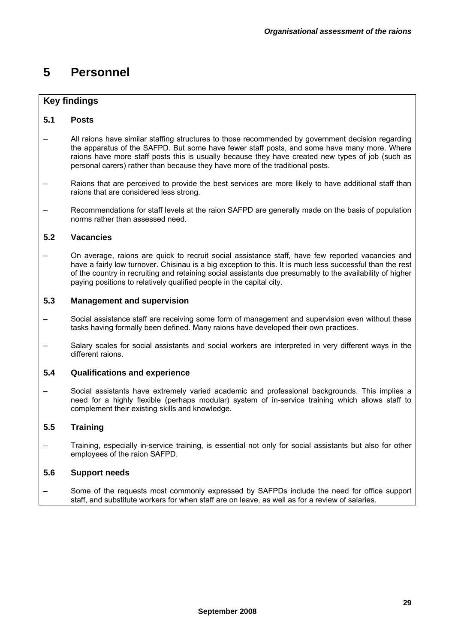# **5 Personnel**

### **Key findings**

#### **5.1 Posts**

- All raions have similar staffing structures to those recommended by government decision regarding the apparatus of the SAFPD. But some have fewer staff posts, and some have many more. Where raions have more staff posts this is usually because they have created new types of job (such as personal carers) rather than because they have more of the traditional posts.
- Raions that are perceived to provide the best services are more likely to have additional staff than raions that are considered less strong.
- Recommendations for staff levels at the raion SAFPD are generally made on the basis of population norms rather than assessed need.

#### **5.2 Vacancies**

– On average, raions are quick to recruit social assistance staff, have few reported vacancies and have a fairly low turnover. Chisinau is a big exception to this. It is much less successful than the rest of the country in recruiting and retaining social assistants due presumably to the availability of higher paying positions to relatively qualified people in the capital city.

#### **5.3 Management and supervision**

- Social assistance staff are receiving some form of management and supervision even without these tasks having formally been defined. Many raions have developed their own practices.
- Salary scales for social assistants and social workers are interpreted in very different ways in the different raions.

#### **5.4 Qualifications and experience**

– Social assistants have extremely varied academic and professional backgrounds. This implies a need for a highly flexible (perhaps modular) system of in-service training which allows staff to complement their existing skills and knowledge.

#### **5.5 Training**

– Training, especially in-service training, is essential not only for social assistants but also for other employees of the raion SAFPD.

#### **5.6 Support needs**

– Some of the requests most commonly expressed by SAFPDs include the need for office support staff, and substitute workers for when staff are on leave, as well as for a review of salaries.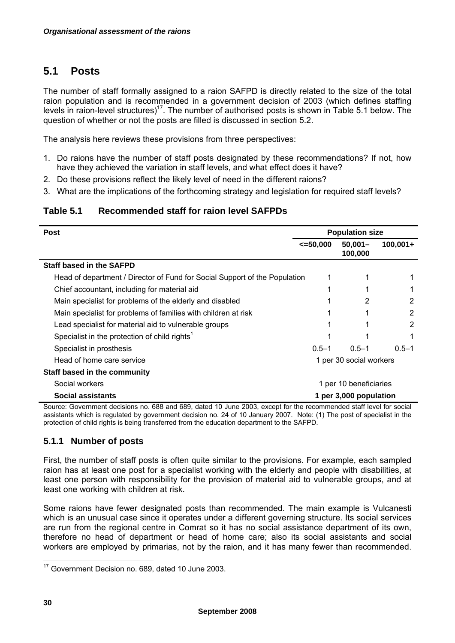### **5.1 Posts**

The number of staff formally assigned to a raion SAFPD is directly related to the size of the total raion population and is recommended in a government decision of 2003 (which defines staffing levels in raion-level structures)<sup>17</sup>. The number of authorised posts is shown in Table 5.1 below. The question of whether or not the posts are filled is discussed in section 5.2.

The analysis here reviews these provisions from three perspectives:

- 1. Do raions have the number of staff posts designated by these recommendations? If not, how have they achieved the variation in staff levels, and what effect does it have?
- 2. Do these provisions reflect the likely level of need in the different raions?
- 3. What are the implications of the forthcoming strategy and legislation for required staff levels?

#### **Table 5.1 Recommended staff for raion level SAFPDs**

| <b>Post</b>                                                                | <b>Population size</b> |                         |            |  |
|----------------------------------------------------------------------------|------------------------|-------------------------|------------|--|
|                                                                            | $\leq 50,000$          | $50,001 -$<br>100,000   | $100,001+$ |  |
| <b>Staff based in the SAFPD</b>                                            |                        |                         |            |  |
| Head of department / Director of Fund for Social Support of the Population |                        |                         |            |  |
| Chief accountant, including for material aid                               |                        |                         |            |  |
| Main specialist for problems of the elderly and disabled                   |                        | 2                       | 2          |  |
| Main specialist for problems of families with children at risk             |                        |                         | 2          |  |
| Lead specialist for material aid to vulnerable groups                      |                        |                         | 2          |  |
| Specialist in the protection of child rights <sup>1</sup>                  |                        |                         |            |  |
| Specialist in prosthesis                                                   | $0.5 - 1$              | $0.5 - 1$               | $0.5 - 1$  |  |
| Head of home care service                                                  |                        | 1 per 30 social workers |            |  |
| Staff based in the community                                               |                        |                         |            |  |
| Social workers                                                             | 1 per 10 beneficiaries |                         |            |  |
| Social assistants                                                          | 1 per 3,000 population |                         |            |  |

Source: Government decisions no. 688 and 689, dated 10 June 2003, except for the recommended staff level for social assistants which is regulated by government decision no. 24 of 10 January 2007. Note: (1) The post of specialist in the protection of child rights is being transferred from the education department to the SAFPD.

#### **5.1.1 Number of posts**

First, the number of staff posts is often quite similar to the provisions. For example, each sampled raion has at least one post for a specialist working with the elderly and people with disabilities, at least one person with responsibility for the provision of material aid to vulnerable groups, and at least one working with children at risk.

Some raions have fewer designated posts than recommended. The main example is Vulcanesti which is an unusual case since it operates under a different governing structure. Its social services are run from the regional centre in Comrat so it has no social assistance department of its own, therefore no head of department or head of home care; also its social assistants and social workers are employed by primarias, not by the raion, and it has many fewer than recommended.

 $\overline{a}$ <sup>17</sup> Government Decision no. 689, dated 10 June 2003.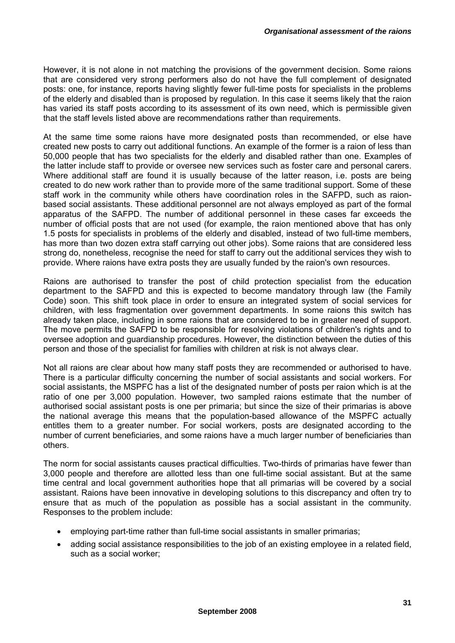However, it is not alone in not matching the provisions of the government decision. Some raions that are considered very strong performers also do not have the full complement of designated posts: one, for instance, reports having slightly fewer full-time posts for specialists in the problems of the elderly and disabled than is proposed by regulation. In this case it seems likely that the raion has varied its staff posts according to its assessment of its own need, which is permissible given that the staff levels listed above are recommendations rather than requirements.

At the same time some raions have more designated posts than recommended, or else have created new posts to carry out additional functions. An example of the former is a raion of less than 50,000 people that has two specialists for the elderly and disabled rather than one. Examples of the latter include staff to provide or oversee new services such as foster care and personal carers. Where additional staff are found it is usually because of the latter reason, i.e. posts are being created to do new work rather than to provide more of the same traditional support. Some of these staff work in the community while others have coordination roles in the SAFPD, such as raionbased social assistants. These additional personnel are not always employed as part of the formal apparatus of the SAFPD. The number of additional personnel in these cases far exceeds the number of official posts that are not used (for example, the raion mentioned above that has only 1.5 posts for specialists in problems of the elderly and disabled, instead of two full-time members, has more than two dozen extra staff carrying out other jobs). Some raions that are considered less strong do, nonetheless, recognise the need for staff to carry out the additional services they wish to provide. Where raions have extra posts they are usually funded by the raion's own resources.

Raions are authorised to transfer the post of child protection specialist from the education department to the SAFPD and this is expected to become mandatory through law (the Family Code) soon. This shift took place in order to ensure an integrated system of social services for children, with less fragmentation over government departments. In some raions this switch has already taken place, including in some raions that are considered to be in greater need of support. The move permits the SAFPD to be responsible for resolving violations of children's rights and to oversee adoption and guardianship procedures. However, the distinction between the duties of this person and those of the specialist for families with children at risk is not always clear.

Not all raions are clear about how many staff posts they are recommended or authorised to have. There is a particular difficulty concerning the number of social assistants and social workers. For social assistants, the MSPFC has a list of the designated number of posts per raion which is at the ratio of one per 3,000 population. However, two sampled raions estimate that the number of authorised social assistant posts is one per primaria; but since the size of their primarias is above the national average this means that the population-based allowance of the MSPFC actually entitles them to a greater number. For social workers, posts are designated according to the number of current beneficiaries, and some raions have a much larger number of beneficiaries than others.

The norm for social assistants causes practical difficulties. Two-thirds of primarias have fewer than 3,000 people and therefore are allotted less than one full-time social assistant. But at the same time central and local government authorities hope that all primarias will be covered by a social assistant. Raions have been innovative in developing solutions to this discrepancy and often try to ensure that as much of the population as possible has a social assistant in the community. Responses to the problem include:

- employing part-time rather than full-time social assistants in smaller primarias;
- adding social assistance responsibilities to the job of an existing employee in a related field, such as a social worker;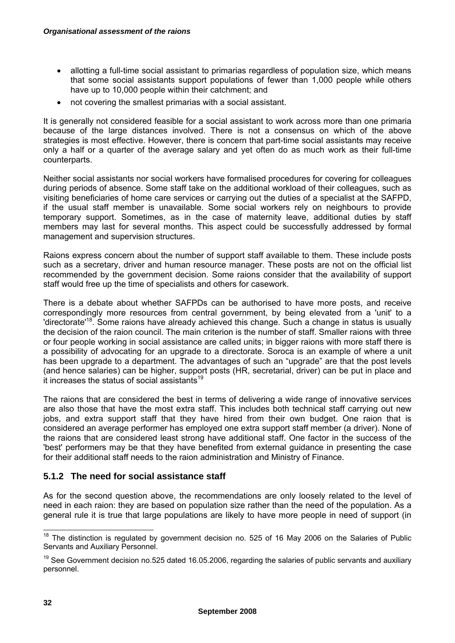- allotting a full-time social assistant to primarias regardless of population size, which means that some social assistants support populations of fewer than 1,000 people while others have up to 10,000 people within their catchment; and
- not covering the smallest primarias with a social assistant.

It is generally not considered feasible for a social assistant to work across more than one primaria because of the large distances involved. There is not a consensus on which of the above strategies is most effective. However, there is concern that part-time social assistants may receive only a half or a quarter of the average salary and yet often do as much work as their full-time counterparts.

Neither social assistants nor social workers have formalised procedures for covering for colleagues during periods of absence. Some staff take on the additional workload of their colleagues, such as visiting beneficiaries of home care services or carrying out the duties of a specialist at the SAFPD, if the usual staff member is unavailable. Some social workers rely on neighbours to provide temporary support. Sometimes, as in the case of maternity leave, additional duties by staff members may last for several months. This aspect could be successfully addressed by formal management and supervision structures.

Raions express concern about the number of support staff available to them. These include posts such as a secretary, driver and human resource manager. These posts are not on the official list recommended by the government decision. Some raions consider that the availability of support staff would free up the time of specialists and others for casework.

There is a debate about whether SAFPDs can be authorised to have more posts, and receive correspondingly more resources from central government, by being elevated from a 'unit' to a 'directorate<sup>18</sup>. Some raions have already achieved this change. Such a change in status is usually the decision of the raion council. The main criterion is the number of staff. Smaller raions with three or four people working in social assistance are called units; in bigger raions with more staff there is a possibility of advocating for an upgrade to a directorate. Soroca is an example of where a unit has been upgrade to a department. The advantages of such an "upgrade" are that the post levels (and hence salaries) can be higher, support posts (HR, secretarial, driver) can be put in place and it increases the status of social assistants<sup>19</sup>

The raions that are considered the best in terms of delivering a wide range of innovative services are also those that have the most extra staff. This includes both technical staff carrying out new jobs, and extra support staff that they have hired from their own budget. One raion that is considered an average performer has employed one extra support staff member (a driver). None of the raions that are considered least strong have additional staff. One factor in the success of the 'best' performers may be that they have benefited from external guidance in presenting the case for their additional staff needs to the raion administration and Ministry of Finance.

#### **5.1.2 The need for social assistance staff**

As for the second question above, the recommendations are only loosely related to the level of need in each raion: they are based on population size rather than the need of the population. As a general rule it is true that large populations are likely to have more people in need of support (in

 $\overline{a}$  $18$  The distinction is regulated by government decision no. 525 of 16 May 2006 on the Salaries of Public Servants and Auxiliary Personnel.

 $19$  See Government decision no.525 dated 16.05.2006, regarding the salaries of public servants and auxiliary personnel.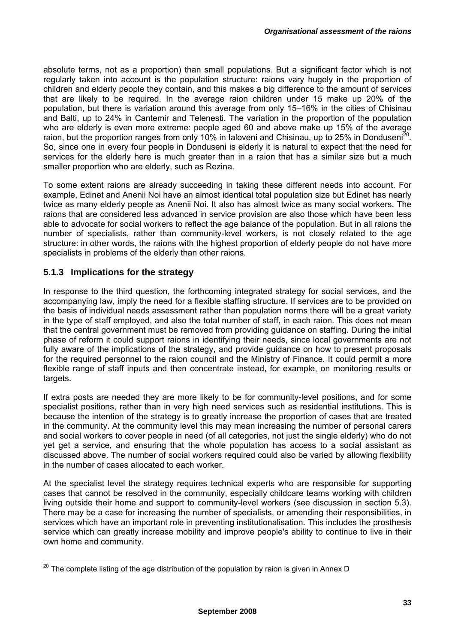absolute terms, not as a proportion) than small populations. But a significant factor which is not regularly taken into account is the population structure: raions vary hugely in the proportion of children and elderly people they contain, and this makes a big difference to the amount of services that are likely to be required. In the average raion children under 15 make up 20% of the population, but there is variation around this average from only 15–16% in the cities of Chisinau and Balti, up to 24% in Cantemir and Telenesti. The variation in the proportion of the population who are elderly is even more extreme: people aged 60 and above make up 15% of the average raion, but the proportion ranges from only 10% in Ialoveni and Chisinau, up to 25% in Donduseni<sup>20</sup>. So, since one in every four people in Donduseni is elderly it is natural to expect that the need for services for the elderly here is much greater than in a raion that has a similar size but a much smaller proportion who are elderly, such as Rezina.

To some extent raions are already succeeding in taking these different needs into account. For example, Edinet and Anenii Noi have an almost identical total population size but Edinet has nearly twice as many elderly people as Anenii Noi. It also has almost twice as many social workers. The raions that are considered less advanced in service provision are also those which have been less able to advocate for social workers to reflect the age balance of the population. But in all raions the number of specialists, rather than community-level workers, is not closely related to the age structure: in other words, the raions with the highest proportion of elderly people do not have more specialists in problems of the elderly than other raions.

#### **5.1.3 Implications for the strategy**

In response to the third question, the forthcoming integrated strategy for social services, and the accompanying law, imply the need for a flexible staffing structure. If services are to be provided on the basis of individual needs assessment rather than population norms there will be a great variety in the type of staff employed, and also the total number of staff, in each raion. This does not mean that the central government must be removed from providing guidance on staffing. During the initial phase of reform it could support raions in identifying their needs, since local governments are not fully aware of the implications of the strategy, and provide guidance on how to present proposals for the required personnel to the raion council and the Ministry of Finance. It could permit a more flexible range of staff inputs and then concentrate instead, for example, on monitoring results or targets.

If extra posts are needed they are more likely to be for community-level positions, and for some specialist positions, rather than in very high need services such as residential institutions. This is because the intention of the strategy is to greatly increase the proportion of cases that are treated in the community. At the community level this may mean increasing the number of personal carers and social workers to cover people in need (of all categories, not just the single elderly) who do not yet get a service, and ensuring that the whole population has access to a social assistant as discussed above. The number of social workers required could also be varied by allowing flexibility in the number of cases allocated to each worker.

At the specialist level the strategy requires technical experts who are responsible for supporting cases that cannot be resolved in the community, especially childcare teams working with children living outside their home and support to community-level workers (see discussion in section 5.3). There may be a case for increasing the number of specialists, or amending their responsibilities, in services which have an important role in preventing institutionalisation. This includes the prosthesis service which can greatly increase mobility and improve people's ability to continue to live in their own home and community.

 $\overline{a}$  $^{20}$  The complete listing of the age distribution of the population by raion is given in Annex D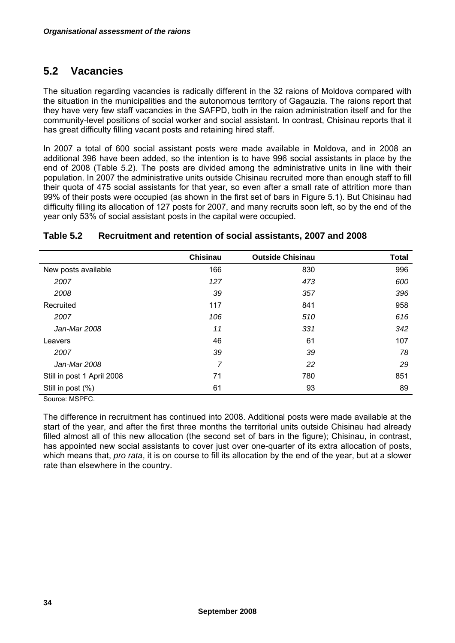### **5.2 Vacancies**

The situation regarding vacancies is radically different in the 32 raions of Moldova compared with the situation in the municipalities and the autonomous territory of Gagauzia. The raions report that they have very few staff vacancies in the SAFPD, both in the raion administration itself and for the community-level positions of social worker and social assistant. In contrast, Chisinau reports that it has great difficulty filling vacant posts and retaining hired staff.

In 2007 a total of 600 social assistant posts were made available in Moldova, and in 2008 an additional 396 have been added, so the intention is to have 996 social assistants in place by the end of 2008 (Table 5.2). The posts are divided among the administrative units in line with their population. In 2007 the administrative units outside Chisinau recruited more than enough staff to fill their quota of 475 social assistants for that year, so even after a small rate of attrition more than 99% of their posts were occupied (as shown in the first set of bars in Figure 5.1). But Chisinau had difficulty filling its allocation of 127 posts for 2007, and many recruits soon left, so by the end of the year only 53% of social assistant posts in the capital were occupied.

|                            | <b>Chisinau</b> | <b>Outside Chisinau</b> | <b>Total</b> |
|----------------------------|-----------------|-------------------------|--------------|
| New posts available        | 166             | 830                     | 996          |
| 2007                       | 127             | 473                     | 600          |
| 2008                       | 39              | 357                     | 396          |
| Recruited                  | 117             | 841                     | 958          |
| 2007                       | 106             | 510                     | 616          |
| Jan-Mar 2008               | 11              | 331                     | 342          |
| Leavers                    | 46              | 61                      | 107          |
| 2007                       | 39              | 39                      | 78           |
| Jan-Mar 2008               | 7               | 22                      | 29           |
| Still in post 1 April 2008 | 71              | 780                     | 851          |
| Still in post (%)          | 61              | 93                      | 89           |

#### **Table 5.2 Recruitment and retention of social assistants, 2007 and 2008**

Source: MSPFC.

The difference in recruitment has continued into 2008. Additional posts were made available at the start of the year, and after the first three months the territorial units outside Chisinau had already filled almost all of this new allocation (the second set of bars in the figure); Chisinau, in contrast, has appointed new social assistants to cover just over one-quarter of its extra allocation of posts, which means that, *pro rata*, it is on course to fill its allocation by the end of the year, but at a slower rate than elsewhere in the country.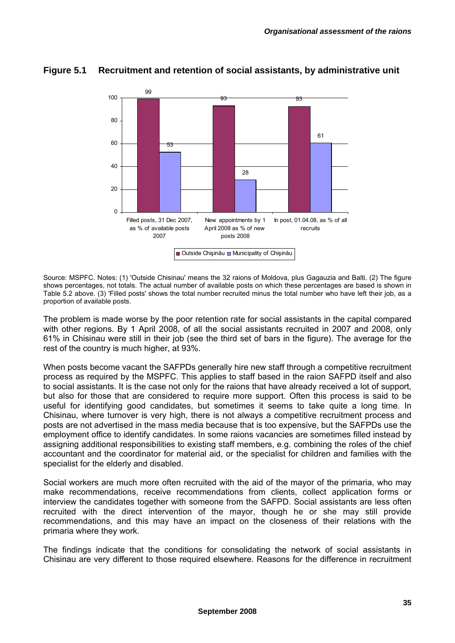

### **Figure 5.1 Recruitment and retention of social assistants, by administrative unit**

Source: MSPFC. Notes: (1) 'Outside Chisinau' means the 32 raions of Moldova, plus Gagauzia and Balti. (2) The figure shows percentages, not totals. The actual number of available posts on which these percentages are based is shown in Table 5.2 above. (3) 'Filled posts' shows the total number recruited minus the total number who have left their job, as a proportion of available posts.

The problem is made worse by the poor retention rate for social assistants in the capital compared with other regions. By 1 April 2008, of all the social assistants recruited in 2007 and 2008, only 61% in Chisinau were still in their job (see the third set of bars in the figure). The average for the rest of the country is much higher, at 93%.

When posts become vacant the SAFPDs generally hire new staff through a competitive recruitment process as required by the MSPFC. This applies to staff based in the raion SAFPD itself and also to social assistants. It is the case not only for the raions that have already received a lot of support, but also for those that are considered to require more support. Often this process is said to be useful for identifying good candidates, but sometimes it seems to take quite a long time. In Chisinau, where turnover is very high, there is not always a competitive recruitment process and posts are not advertised in the mass media because that is too expensive, but the SAFPDs use the employment office to identify candidates. In some raions vacancies are sometimes filled instead by assigning additional responsibilities to existing staff members, e.g. combining the roles of the chief accountant and the coordinator for material aid, or the specialist for children and families with the specialist for the elderly and disabled.

Social workers are much more often recruited with the aid of the mayor of the primaria, who may make recommendations, receive recommendations from clients, collect application forms or interview the candidates together with someone from the SAFPD. Social assistants are less often recruited with the direct intervention of the mayor, though he or she may still provide recommendations, and this may have an impact on the closeness of their relations with the primaria where they work.

The findings indicate that the conditions for consolidating the network of social assistants in Chisinau are very different to those required elsewhere. Reasons for the difference in recruitment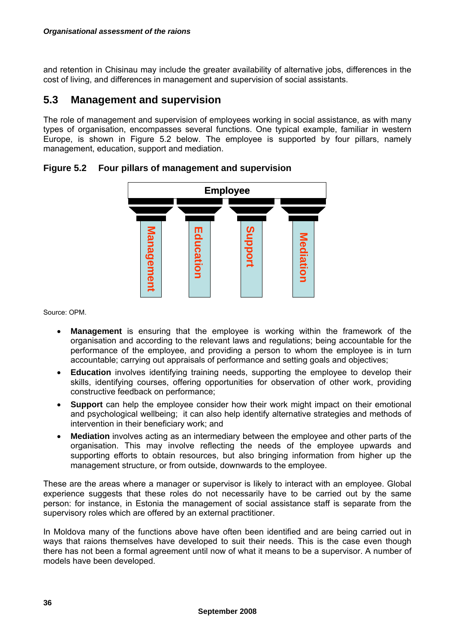and retention in Chisinau may include the greater availability of alternative jobs, differences in the cost of living, and differences in management and supervision of social assistants.

### **5.3 Management and supervision**

The role of management and supervision of employees working in social assistance, as with many types of organisation, encompasses several functions. One typical example, familiar in western Europe, is shown in Figure 5.2 below. The employee is supported by four pillars, namely management, education, support and mediation.



#### **Figure 5.2 Four pillars of management and supervision**

Source: OPM.

- **Management** is ensuring that the employee is working within the framework of the organisation and according to the relevant laws and regulations; being accountable for the performance of the employee, and providing a person to whom the employee is in turn accountable; carrying out appraisals of performance and setting goals and objectives;
- **Education** involves identifying training needs, supporting the employee to develop their skills, identifying courses, offering opportunities for observation of other work, providing constructive feedback on performance;
- **Support** can help the employee consider how their work might impact on their emotional and psychological wellbeing; it can also help identify alternative strategies and methods of intervention in their beneficiary work; and
- **Mediation** involves acting as an intermediary between the employee and other parts of the organisation. This may involve reflecting the needs of the employee upwards and supporting efforts to obtain resources, but also bringing information from higher up the management structure, or from outside, downwards to the employee.

These are the areas where a manager or supervisor is likely to interact with an employee. Global experience suggests that these roles do not necessarily have to be carried out by the same person: for instance, in Estonia the management of social assistance staff is separate from the supervisory roles which are offered by an external practitioner.

In Moldova many of the functions above have often been identified and are being carried out in ways that raions themselves have developed to suit their needs. This is the case even though there has not been a formal agreement until now of what it means to be a supervisor. A number of models have been developed.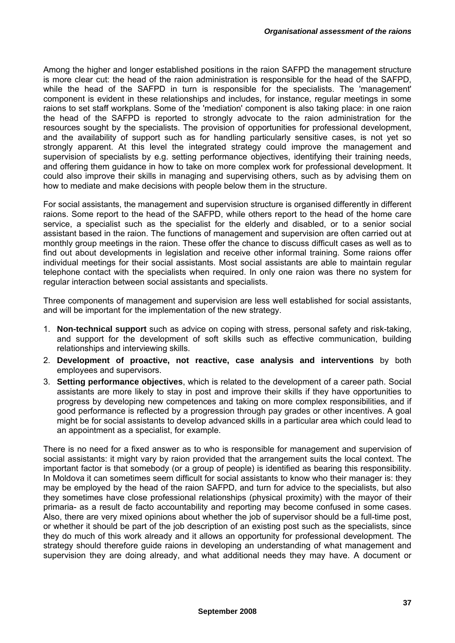Among the higher and longer established positions in the raion SAFPD the management structure is more clear cut: the head of the raion administration is responsible for the head of the SAFPD, while the head of the SAFPD in turn is responsible for the specialists. The 'management' component is evident in these relationships and includes, for instance, regular meetings in some raions to set staff workplans. Some of the 'mediation' component is also taking place: in one raion the head of the SAFPD is reported to strongly advocate to the raion administration for the resources sought by the specialists. The provision of opportunities for professional development, and the availability of support such as for handling particularly sensitive cases, is not yet so strongly apparent. At this level the integrated strategy could improve the management and supervision of specialists by e.g. setting performance objectives, identifying their training needs, and offering them guidance in how to take on more complex work for professional development. It could also improve their skills in managing and supervising others, such as by advising them on how to mediate and make decisions with people below them in the structure.

For social assistants, the management and supervision structure is organised differently in different raions. Some report to the head of the SAFPD, while others report to the head of the home care service, a specialist such as the specialist for the elderly and disabled, or to a senior social assistant based in the raion. The functions of management and supervision are often carried out at monthly group meetings in the raion. These offer the chance to discuss difficult cases as well as to find out about developments in legislation and receive other informal training. Some raions offer individual meetings for their social assistants. Most social assistants are able to maintain regular telephone contact with the specialists when required. In only one raion was there no system for regular interaction between social assistants and specialists.

Three components of management and supervision are less well established for social assistants, and will be important for the implementation of the new strategy.

- 1. **Non-technical support** such as advice on coping with stress, personal safety and risk-taking, and support for the development of soft skills such as effective communication, building relationships and interviewing skills.
- 2. **Development of proactive, not reactive, case analysis and interventions** by both employees and supervisors.
- 3. **Setting performance objectives**, which is related to the development of a career path. Social assistants are more likely to stay in post and improve their skills if they have opportunities to progress by developing new competences and taking on more complex responsibilities, and if good performance is reflected by a progression through pay grades or other incentives. A goal might be for social assistants to develop advanced skills in a particular area which could lead to an appointment as a specialist, for example.

There is no need for a fixed answer as to who is responsible for management and supervision of social assistants: it might vary by raion provided that the arrangement suits the local context. The important factor is that somebody (or a group of people) is identified as bearing this responsibility. In Moldova it can sometimes seem difficult for social assistants to know who their manager is: they may be employed by the head of the raion SAFPD, and turn for advice to the specialists, but also they sometimes have close professional relationships (physical proximity) with the mayor of their primaria- as a result de facto accountability and reporting may become confused in some cases. Also, there are very mixed opinions about whether the job of supervisor should be a full-time post, or whether it should be part of the job description of an existing post such as the specialists, since they do much of this work already and it allows an opportunity for professional development. The strategy should therefore guide raions in developing an understanding of what management and supervision they are doing already, and what additional needs they may have. A document or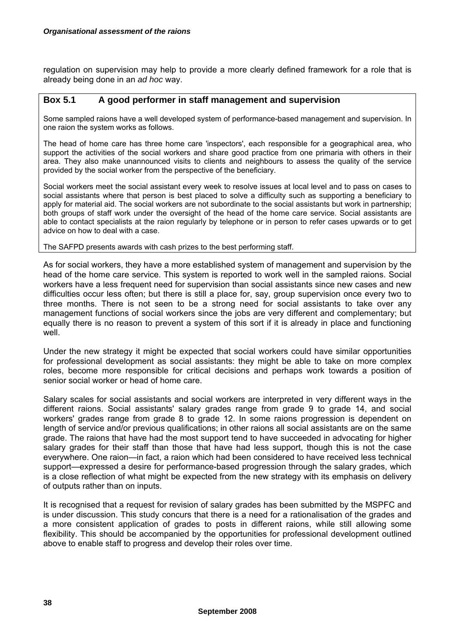regulation on supervision may help to provide a more clearly defined framework for a role that is already being done in an *ad hoc* way.

#### **Box 5.1 A good performer in staff management and supervision**

Some sampled raions have a well developed system of performance-based management and supervision. In one raion the system works as follows.

The head of home care has three home care 'inspectors', each responsible for a geographical area, who support the activities of the social workers and share good practice from one primaria with others in their area. They also make unannounced visits to clients and neighbours to assess the quality of the service provided by the social worker from the perspective of the beneficiary.

Social workers meet the social assistant every week to resolve issues at local level and to pass on cases to social assistants where that person is best placed to solve a difficulty such as supporting a beneficiary to apply for material aid. The social workers are not subordinate to the social assistants but work in partnership; both groups of staff work under the oversight of the head of the home care service. Social assistants are able to contact specialists at the raion regularly by telephone or in person to refer cases upwards or to get advice on how to deal with a case.

The SAFPD presents awards with cash prizes to the best performing staff.

As for social workers, they have a more established system of management and supervision by the head of the home care service. This system is reported to work well in the sampled raions. Social workers have a less frequent need for supervision than social assistants since new cases and new difficulties occur less often; but there is still a place for, say, group supervision once every two to three months. There is not seen to be a strong need for social assistants to take over any management functions of social workers since the jobs are very different and complementary; but equally there is no reason to prevent a system of this sort if it is already in place and functioning well

Under the new strategy it might be expected that social workers could have similar opportunities for professional development as social assistants: they might be able to take on more complex roles, become more responsible for critical decisions and perhaps work towards a position of senior social worker or head of home care.

Salary scales for social assistants and social workers are interpreted in very different ways in the different raions. Social assistants' salary grades range from grade 9 to grade 14, and social workers' grades range from grade 8 to grade 12. In some raions progression is dependent on length of service and/or previous qualifications; in other raions all social assistants are on the same grade. The raions that have had the most support tend to have succeeded in advocating for higher salary grades for their staff than those that have had less support, though this is not the case everywhere. One raion—in fact, a raion which had been considered to have received less technical support—expressed a desire for performance-based progression through the salary grades, which is a close reflection of what might be expected from the new strategy with its emphasis on delivery of outputs rather than on inputs.

It is recognised that a request for revision of salary grades has been submitted by the MSPFC and is under discussion. This study concurs that there is a need for a rationalisation of the grades and a more consistent application of grades to posts in different raions, while still allowing some flexibility. This should be accompanied by the opportunities for professional development outlined above to enable staff to progress and develop their roles over time.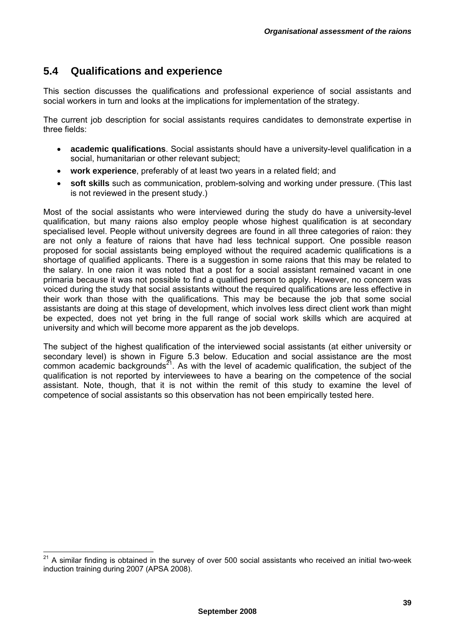### **5.4 Qualifications and experience**

This section discusses the qualifications and professional experience of social assistants and social workers in turn and looks at the implications for implementation of the strategy.

The current job description for social assistants requires candidates to demonstrate expertise in three fields:

- **academic qualifications**. Social assistants should have a university-level qualification in a social, humanitarian or other relevant subject;
- **work experience**, preferably of at least two years in a related field; and
- **soft skills** such as communication, problem-solving and working under pressure. (This last is not reviewed in the present study.)

Most of the social assistants who were interviewed during the study do have a university-level qualification, but many raions also employ people whose highest qualification is at secondary specialised level. People without university degrees are found in all three categories of raion: they are not only a feature of raions that have had less technical support. One possible reason proposed for social assistants being employed without the required academic qualifications is a shortage of qualified applicants. There is a suggestion in some raions that this may be related to the salary. In one raion it was noted that a post for a social assistant remained vacant in one primaria because it was not possible to find a qualified person to apply. However, no concern was voiced during the study that social assistants without the required qualifications are less effective in their work than those with the qualifications. This may be because the job that some social assistants are doing at this stage of development, which involves less direct client work than might be expected, does not yet bring in the full range of social work skills which are acquired at university and which will become more apparent as the job develops.

The subject of the highest qualification of the interviewed social assistants (at either university or secondary level) is shown in Figure 5.3 below. Education and social assistance are the most common academic backgrounds<sup> $21$ </sup>. As with the level of academic qualification, the subject of the qualification is not reported by interviewees to have a bearing on the competence of the social assistant. Note, though, that it is not within the remit of this study to examine the level of competence of social assistants so this observation has not been empirically tested here.

 $^{21}$  A similar finding is obtained in the survey of over 500 social assistants who received an initial two-week induction training during 2007 (APSA 2008).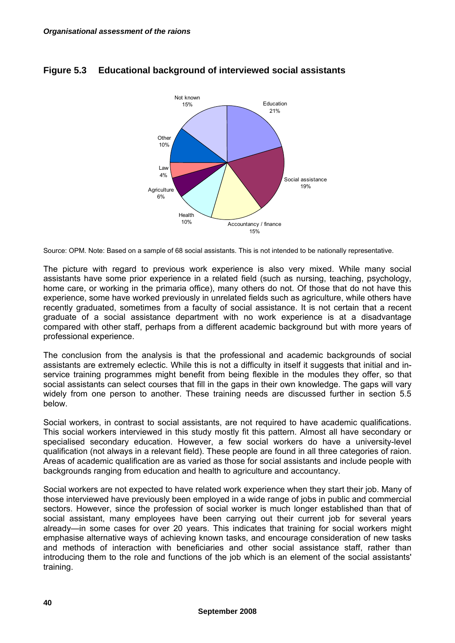

### **Figure 5.3 Educational background of interviewed social assistants**

Source: OPM. Note: Based on a sample of 68 social assistants. This is not intended to be nationally representative.

The picture with regard to previous work experience is also very mixed. While many social assistants have some prior experience in a related field (such as nursing, teaching, psychology, home care, or working in the primaria office), many others do not. Of those that do not have this experience, some have worked previously in unrelated fields such as agriculture, while others have recently graduated, sometimes from a faculty of social assistance. It is not certain that a recent graduate of a social assistance department with no work experience is at a disadvantage compared with other staff, perhaps from a different academic background but with more years of professional experience.

The conclusion from the analysis is that the professional and academic backgrounds of social assistants are extremely eclectic. While this is not a difficulty in itself it suggests that initial and inservice training programmes might benefit from being flexible in the modules they offer, so that social assistants can select courses that fill in the gaps in their own knowledge. The gaps will vary widely from one person to another. These training needs are discussed further in section 5.5 below.

Social workers, in contrast to social assistants, are not required to have academic qualifications. This social workers interviewed in this study mostly fit this pattern. Almost all have secondary or specialised secondary education. However, a few social workers do have a university-level qualification (not always in a relevant field). These people are found in all three categories of raion. Areas of academic qualification are as varied as those for social assistants and include people with backgrounds ranging from education and health to agriculture and accountancy.

Social workers are not expected to have related work experience when they start their job. Many of those interviewed have previously been employed in a wide range of jobs in public and commercial sectors. However, since the profession of social worker is much longer established than that of social assistant, many employees have been carrying out their current job for several years already—in some cases for over 20 years. This indicates that training for social workers might emphasise alternative ways of achieving known tasks, and encourage consideration of new tasks and methods of interaction with beneficiaries and other social assistance staff, rather than introducing them to the role and functions of the job which is an element of the social assistants' training.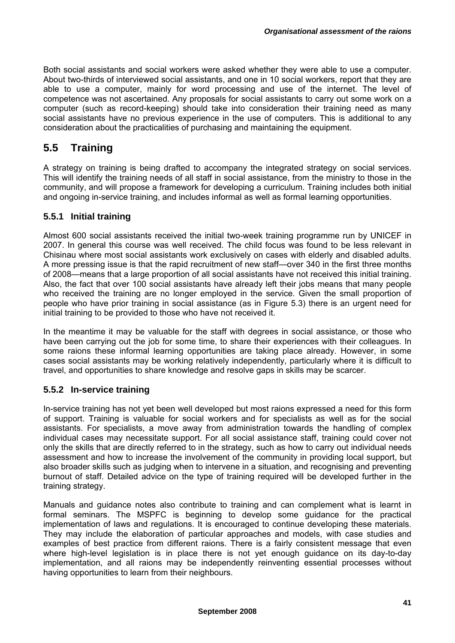Both social assistants and social workers were asked whether they were able to use a computer. About two-thirds of interviewed social assistants, and one in 10 social workers, report that they are able to use a computer, mainly for word processing and use of the internet. The level of competence was not ascertained. Any proposals for social assistants to carry out some work on a computer (such as record-keeping) should take into consideration their training need as many social assistants have no previous experience in the use of computers. This is additional to any consideration about the practicalities of purchasing and maintaining the equipment.

## **5.5 Training**

A strategy on training is being drafted to accompany the integrated strategy on social services. This will identify the training needs of all staff in social assistance, from the ministry to those in the community, and will propose a framework for developing a curriculum. Training includes both initial and ongoing in-service training, and includes informal as well as formal learning opportunities.

#### **5.5.1 Initial training**

Almost 600 social assistants received the initial two-week training programme run by UNICEF in 2007. In general this course was well received. The child focus was found to be less relevant in Chisinau where most social assistants work exclusively on cases with elderly and disabled adults. A more pressing issue is that the rapid recruitment of new staff—over 340 in the first three months of 2008—means that a large proportion of all social assistants have not received this initial training. Also, the fact that over 100 social assistants have already left their jobs means that many people who received the training are no longer employed in the service. Given the small proportion of people who have prior training in social assistance (as in Figure 5.3) there is an urgent need for initial training to be provided to those who have not received it.

In the meantime it may be valuable for the staff with degrees in social assistance, or those who have been carrying out the job for some time, to share their experiences with their colleagues. In some raions these informal learning opportunities are taking place already. However, in some cases social assistants may be working relatively independently, particularly where it is difficult to travel, and opportunities to share knowledge and resolve gaps in skills may be scarcer.

#### **5.5.2 In-service training**

In-service training has not yet been well developed but most raions expressed a need for this form of support. Training is valuable for social workers and for specialists as well as for the social assistants. For specialists, a move away from administration towards the handling of complex individual cases may necessitate support. For all social assistance staff, training could cover not only the skills that are directly referred to in the strategy, such as how to carry out individual needs assessment and how to increase the involvement of the community in providing local support, but also broader skills such as judging when to intervene in a situation, and recognising and preventing burnout of staff. Detailed advice on the type of training required will be developed further in the training strategy.

Manuals and guidance notes also contribute to training and can complement what is learnt in formal seminars. The MSPFC is beginning to develop some guidance for the practical implementation of laws and regulations. It is encouraged to continue developing these materials. They may include the elaboration of particular approaches and models, with case studies and examples of best practice from different raions. There is a fairly consistent message that even where high-level legislation is in place there is not yet enough guidance on its day-to-day implementation, and all raions may be independently reinventing essential processes without having opportunities to learn from their neighbours.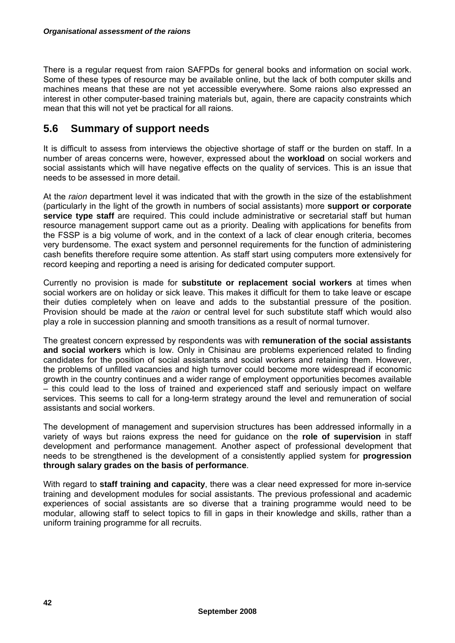There is a regular request from raion SAFPDs for general books and information on social work. Some of these types of resource may be available online, but the lack of both computer skills and machines means that these are not yet accessible everywhere. Some raions also expressed an interest in other computer-based training materials but, again, there are capacity constraints which mean that this will not yet be practical for all raions.

### **5.6 Summary of support needs**

It is difficult to assess from interviews the objective shortage of staff or the burden on staff. In a number of areas concerns were, however, expressed about the **workload** on social workers and social assistants which will have negative effects on the quality of services. This is an issue that needs to be assessed in more detail.

At the *raion* department level it was indicated that with the growth in the size of the establishment (particularly in the light of the growth in numbers of social assistants) more **support or corporate service type staff** are required. This could include administrative or secretarial staff but human resource management support came out as a priority. Dealing with applications for benefits from the FSSP is a big volume of work, and in the context of a lack of clear enough criteria, becomes very burdensome. The exact system and personnel requirements for the function of administering cash benefits therefore require some attention. As staff start using computers more extensively for record keeping and reporting a need is arising for dedicated computer support.

Currently no provision is made for **substitute or replacement social workers** at times when social workers are on holiday or sick leave. This makes it difficult for them to take leave or escape their duties completely when on leave and adds to the substantial pressure of the position. Provision should be made at the *raion* or central level for such substitute staff which would also play a role in succession planning and smooth transitions as a result of normal turnover.

The greatest concern expressed by respondents was with **remuneration of the social assistants and social workers** which is low. Only in Chisinau are problems experienced related to finding candidates for the position of social assistants and social workers and retaining them. However, the problems of unfilled vacancies and high turnover could become more widespread if economic growth in the country continues and a wider range of employment opportunities becomes available – this could lead to the loss of trained and experienced staff and seriously impact on welfare services. This seems to call for a long-term strategy around the level and remuneration of social assistants and social workers.

The development of management and supervision structures has been addressed informally in a variety of ways but raions express the need for guidance on the **role of supervision** in staff development and performance management. Another aspect of professional development that needs to be strengthened is the development of a consistently applied system for **progression through salary grades on the basis of performance**.

With regard to **staff training and capacity**, there was a clear need expressed for more in-service training and development modules for social assistants. The previous professional and academic experiences of social assistants are so diverse that a training programme would need to be modular, allowing staff to select topics to fill in gaps in their knowledge and skills, rather than a uniform training programme for all recruits.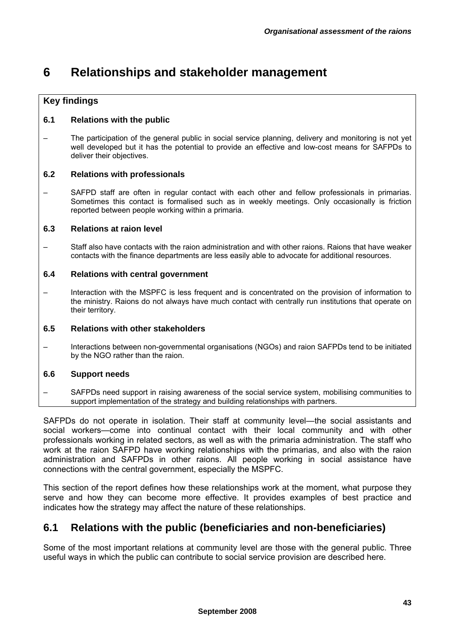# **6 Relationships and stakeholder management**

### **Key findings**

#### **6.1 Relations with the public**

– The participation of the general public in social service planning, delivery and monitoring is not yet well developed but it has the potential to provide an effective and low-cost means for SAFPDs to deliver their objectives.

#### **6.2 Relations with professionals**

SAFPD staff are often in regular contact with each other and fellow professionals in primarias. Sometimes this contact is formalised such as in weekly meetings. Only occasionally is friction reported between people working within a primaria.

#### **6.3 Relations at raion level**

– Staff also have contacts with the raion administration and with other raions. Raions that have weaker contacts with the finance departments are less easily able to advocate for additional resources.

#### **6.4 Relations with central government**

– Interaction with the MSPFC is less frequent and is concentrated on the provision of information to the ministry. Raions do not always have much contact with centrally run institutions that operate on their territory.

#### **6.5 Relations with other stakeholders**

– Interactions between non-governmental organisations (NGOs) and raion SAFPDs tend to be initiated by the NGO rather than the raion.

#### **6.6 Support needs**

– SAFPDs need support in raising awareness of the social service system, mobilising communities to support implementation of the strategy and building relationships with partners.

SAFPDs do not operate in isolation. Their staff at community level—the social assistants and social workers—come into continual contact with their local community and with other professionals working in related sectors, as well as with the primaria administration. The staff who work at the raion SAFPD have working relationships with the primarias, and also with the raion administration and SAFPDs in other raions. All people working in social assistance have connections with the central government, especially the MSPFC.

This section of the report defines how these relationships work at the moment, what purpose they serve and how they can become more effective. It provides examples of best practice and indicates how the strategy may affect the nature of these relationships.

### **6.1 Relations with the public (beneficiaries and non-beneficiaries)**

Some of the most important relations at community level are those with the general public. Three useful ways in which the public can contribute to social service provision are described here.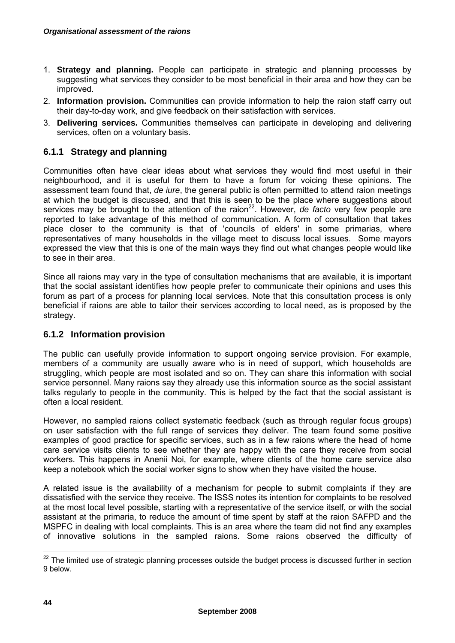- 1. **Strategy and planning.** People can participate in strategic and planning processes by suggesting what services they consider to be most beneficial in their area and how they can be improved.
- 2. **Information provision.** Communities can provide information to help the raion staff carry out their day-to-day work, and give feedback on their satisfaction with services.
- 3. **Delivering services.** Communities themselves can participate in developing and delivering services, often on a voluntary basis.

#### **6.1.1 Strategy and planning**

Communities often have clear ideas about what services they would find most useful in their neighbourhood, and it is useful for them to have a forum for voicing these opinions. The assessment team found that, *de iure*, the general public is often permitted to attend raion meetings at which the budget is discussed, and that this is seen to be the place where suggestions about services may be brought to the attention of the raion<sup>22</sup>. However, *de facto* very few people are reported to take advantage of this method of communication. A form of consultation that takes place closer to the community is that of 'councils of elders' in some primarias, where representatives of many households in the village meet to discuss local issues. Some mayors expressed the view that this is one of the main ways they find out what changes people would like to see in their area.

Since all raions may vary in the type of consultation mechanisms that are available, it is important that the social assistant identifies how people prefer to communicate their opinions and uses this forum as part of a process for planning local services. Note that this consultation process is only beneficial if raions are able to tailor their services according to local need, as is proposed by the strategy.

#### **6.1.2 Information provision**

The public can usefully provide information to support ongoing service provision. For example, members of a community are usually aware who is in need of support, which households are struggling, which people are most isolated and so on. They can share this information with social service personnel. Many raions say they already use this information source as the social assistant talks regularly to people in the community. This is helped by the fact that the social assistant is often a local resident.

However, no sampled raions collect systematic feedback (such as through regular focus groups) on user satisfaction with the full range of services they deliver. The team found some positive examples of good practice for specific services, such as in a few raions where the head of home care service visits clients to see whether they are happy with the care they receive from social workers. This happens in Anenii Noi, for example, where clients of the home care service also keep a notebook which the social worker signs to show when they have visited the house.

A related issue is the availability of a mechanism for people to submit complaints if they are dissatisfied with the service they receive. The ISSS notes its intention for complaints to be resolved at the most local level possible, starting with a representative of the service itself, or with the social assistant at the primaria, to reduce the amount of time spent by staff at the raion SAFPD and the MSPFC in dealing with local complaints. This is an area where the team did not find any examples of innovative solutions in the sampled raions. Some raions observed the difficulty of

 $^{22}$  The limited use of strategic planning processes outside the budget process is discussed further in section 9 below.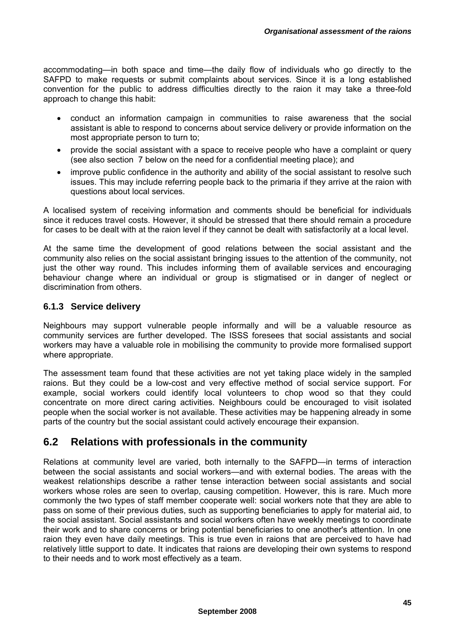accommodating—in both space and time—the daily flow of individuals who go directly to the SAFPD to make requests or submit complaints about services. Since it is a long established convention for the public to address difficulties directly to the raion it may take a three-fold approach to change this habit:

- conduct an information campaign in communities to raise awareness that the social assistant is able to respond to concerns about service delivery or provide information on the most appropriate person to turn to;
- provide the social assistant with a space to receive people who have a complaint or query (see also section 7 below on the need for a confidential meeting place); and
- improve public confidence in the authority and ability of the social assistant to resolve such issues. This may include referring people back to the primaria if they arrive at the raion with questions about local services.

A localised system of receiving information and comments should be beneficial for individuals since it reduces travel costs. However, it should be stressed that there should remain a procedure for cases to be dealt with at the raion level if they cannot be dealt with satisfactorily at a local level.

At the same time the development of good relations between the social assistant and the community also relies on the social assistant bringing issues to the attention of the community, not just the other way round. This includes informing them of available services and encouraging behaviour change where an individual or group is stigmatised or in danger of neglect or discrimination from others.

### **6.1.3 Service delivery**

Neighbours may support vulnerable people informally and will be a valuable resource as community services are further developed. The ISSS foresees that social assistants and social workers may have a valuable role in mobilising the community to provide more formalised support where appropriate.

The assessment team found that these activities are not yet taking place widely in the sampled raions. But they could be a low-cost and very effective method of social service support. For example, social workers could identify local volunteers to chop wood so that they could concentrate on more direct caring activities. Neighbours could be encouraged to visit isolated people when the social worker is not available. These activities may be happening already in some parts of the country but the social assistant could actively encourage their expansion.

### **6.2 Relations with professionals in the community**

Relations at community level are varied, both internally to the SAFPD—in terms of interaction between the social assistants and social workers—and with external bodies. The areas with the weakest relationships describe a rather tense interaction between social assistants and social workers whose roles are seen to overlap, causing competition. However, this is rare. Much more commonly the two types of staff member cooperate well: social workers note that they are able to pass on some of their previous duties, such as supporting beneficiaries to apply for material aid, to the social assistant. Social assistants and social workers often have weekly meetings to coordinate their work and to share concerns or bring potential beneficiaries to one another's attention. In one raion they even have daily meetings. This is true even in raions that are perceived to have had relatively little support to date. It indicates that raions are developing their own systems to respond to their needs and to work most effectively as a team.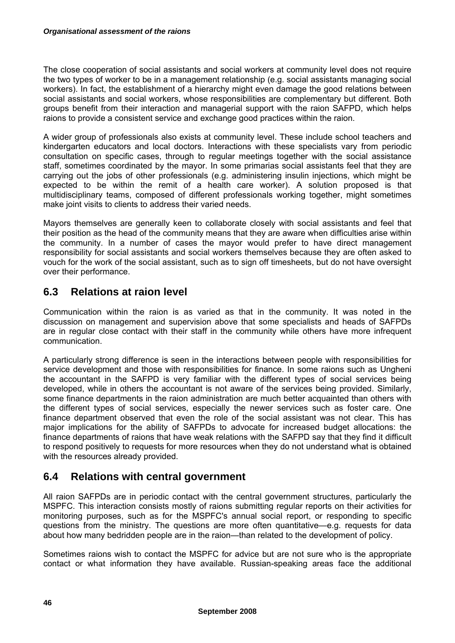The close cooperation of social assistants and social workers at community level does not require the two types of worker to be in a management relationship (e.g. social assistants managing social workers). In fact, the establishment of a hierarchy might even damage the good relations between social assistants and social workers, whose responsibilities are complementary but different. Both groups benefit from their interaction and managerial support with the raion SAFPD, which helps raions to provide a consistent service and exchange good practices within the raion.

A wider group of professionals also exists at community level. These include school teachers and kindergarten educators and local doctors. Interactions with these specialists vary from periodic consultation on specific cases, through to regular meetings together with the social assistance staff, sometimes coordinated by the mayor. In some primarias social assistants feel that they are carrying out the jobs of other professionals (e.g. administering insulin injections, which might be expected to be within the remit of a health care worker). A solution proposed is that multidisciplinary teams, composed of different professionals working together, might sometimes make joint visits to clients to address their varied needs.

Mayors themselves are generally keen to collaborate closely with social assistants and feel that their position as the head of the community means that they are aware when difficulties arise within the community. In a number of cases the mayor would prefer to have direct management responsibility for social assistants and social workers themselves because they are often asked to vouch for the work of the social assistant, such as to sign off timesheets, but do not have oversight over their performance.

### **6.3 Relations at raion level**

Communication within the raion is as varied as that in the community. It was noted in the discussion on management and supervision above that some specialists and heads of SAFPDs are in regular close contact with their staff in the community while others have more infrequent communication.

A particularly strong difference is seen in the interactions between people with responsibilities for service development and those with responsibilities for finance. In some raions such as Ungheni the accountant in the SAFPD is very familiar with the different types of social services being developed, while in others the accountant is not aware of the services being provided. Similarly, some finance departments in the raion administration are much better acquainted than others with the different types of social services, especially the newer services such as foster care. One finance department observed that even the role of the social assistant was not clear. This has major implications for the ability of SAFPDs to advocate for increased budget allocations: the finance departments of raions that have weak relations with the SAFPD say that they find it difficult to respond positively to requests for more resources when they do not understand what is obtained with the resources already provided.

### **6.4 Relations with central government**

All raion SAFPDs are in periodic contact with the central government structures, particularly the MSPFC. This interaction consists mostly of raions submitting regular reports on their activities for monitoring purposes, such as for the MSPFC's annual social report, or responding to specific questions from the ministry. The questions are more often quantitative—e.g. requests for data about how many bedridden people are in the raion—than related to the development of policy.

Sometimes raions wish to contact the MSPFC for advice but are not sure who is the appropriate contact or what information they have available. Russian-speaking areas face the additional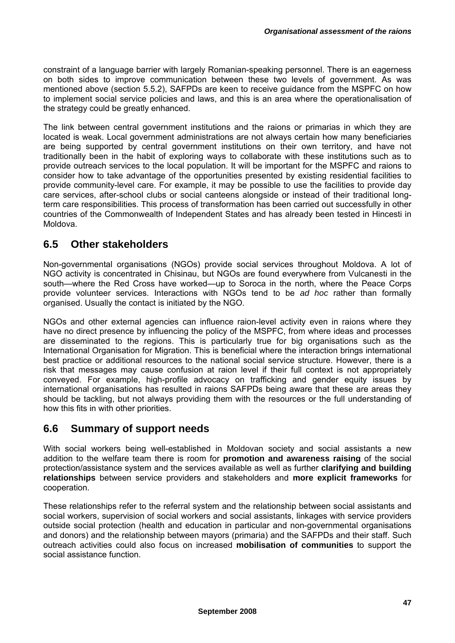constraint of a language barrier with largely Romanian-speaking personnel. There is an eagerness on both sides to improve communication between these two levels of government. As was mentioned above (section 5.5.2), SAFPDs are keen to receive guidance from the MSPFC on how to implement social service policies and laws, and this is an area where the operationalisation of the strategy could be greatly enhanced.

The link between central government institutions and the raions or primarias in which they are located is weak. Local government administrations are not always certain how many beneficiaries are being supported by central government institutions on their own territory, and have not traditionally been in the habit of exploring ways to collaborate with these institutions such as to provide outreach services to the local population. It will be important for the MSPFC and raions to consider how to take advantage of the opportunities presented by existing residential facilities to provide community-level care. For example, it may be possible to use the facilities to provide day care services, after-school clubs or social canteens alongside or instead of their traditional longterm care responsibilities. This process of transformation has been carried out successfully in other countries of the Commonwealth of Independent States and has already been tested in Hincesti in Moldova.

### **6.5 Other stakeholders**

Non-governmental organisations (NGOs) provide social services throughout Moldova. A lot of NGO activity is concentrated in Chisinau, but NGOs are found everywhere from Vulcanesti in the south—where the Red Cross have worked—up to Soroca in the north, where the Peace Corps provide volunteer services. Interactions with NGOs tend to be *ad hoc* rather than formally organised. Usually the contact is initiated by the NGO.

NGOs and other external agencies can influence raion-level activity even in raions where they have no direct presence by influencing the policy of the MSPFC, from where ideas and processes are disseminated to the regions. This is particularly true for big organisations such as the International Organisation for Migration. This is beneficial where the interaction brings international best practice or additional resources to the national social service structure. However, there is a risk that messages may cause confusion at raion level if their full context is not appropriately conveyed. For example, high-profile advocacy on trafficking and gender equity issues by international organisations has resulted in raions SAFPDs being aware that these are areas they should be tackling, but not always providing them with the resources or the full understanding of how this fits in with other priorities.

### **6.6 Summary of support needs**

With social workers being well-established in Moldovan society and social assistants a new addition to the welfare team there is room for **promotion and awareness raising** of the social protection/assistance system and the services available as well as further **clarifying and building relationships** between service providers and stakeholders and **more explicit frameworks** for cooperation.

These relationships refer to the referral system and the relationship between social assistants and social workers, supervision of social workers and social assistants, linkages with service providers outside social protection (health and education in particular and non-governmental organisations and donors) and the relationship between mayors (primaria) and the SAFPDs and their staff. Such outreach activities could also focus on increased **mobilisation of communities** to support the social assistance function.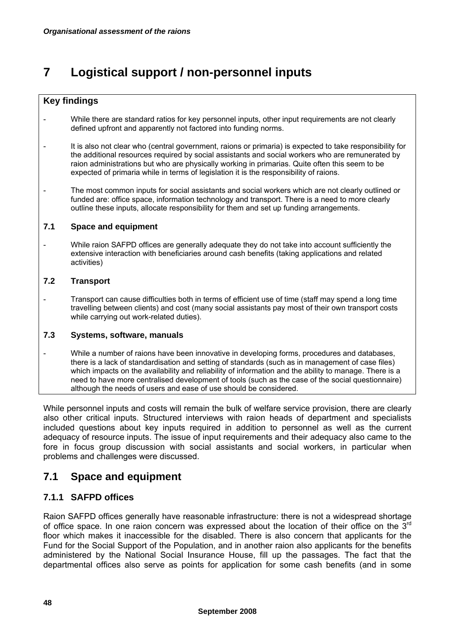# **7 Logistical support / non-personnel inputs**

### **Key findings**

- While there are standard ratios for key personnel inputs, other input requirements are not clearly defined upfront and apparently not factored into funding norms.
- It is also not clear who (central government, raions or primaria) is expected to take responsibility for the additional resources required by social assistants and social workers who are remunerated by raion administrations but who are physically working in primarias. Quite often this seem to be expected of primaria while in terms of legislation it is the responsibility of raions.
- The most common inputs for social assistants and social workers which are not clearly outlined or funded are: office space, information technology and transport. There is a need to more clearly outline these inputs, allocate responsibility for them and set up funding arrangements.

#### **7.1 Space and equipment**

While raion SAFPD offices are generally adequate they do not take into account sufficiently the extensive interaction with beneficiaries around cash benefits (taking applications and related activities)

#### **7.2 Transport**

- Transport can cause difficulties both in terms of efficient use of time (staff may spend a long time travelling between clients) and cost (many social assistants pay most of their own transport costs while carrying out work-related duties).

#### **7.3 Systems, software, manuals**

While a number of raions have been innovative in developing forms, procedures and databases, there is a lack of standardisation and setting of standards (such as in management of case files) which impacts on the availability and reliability of information and the ability to manage. There is a need to have more centralised development of tools (such as the case of the social questionnaire) although the needs of users and ease of use should be considered.

While personnel inputs and costs will remain the bulk of welfare service provision, there are clearly also other critical inputs. Structured interviews with raion heads of department and specialists included questions about key inputs required in addition to personnel as well as the current adequacy of resource inputs. The issue of input requirements and their adequacy also came to the fore in focus group discussion with social assistants and social workers, in particular when problems and challenges were discussed.

### **7.1 Space and equipment**

### **7.1.1 SAFPD offices**

Raion SAFPD offices generally have reasonable infrastructure: there is not a widespread shortage of office space. In one raion concern was expressed about the location of their office on the  $3<sup>rd</sup>$ floor which makes it inaccessible for the disabled. There is also concern that applicants for the Fund for the Social Support of the Population, and in another raion also applicants for the benefits administered by the National Social Insurance House, fill up the passages. The fact that the departmental offices also serve as points for application for some cash benefits (and in some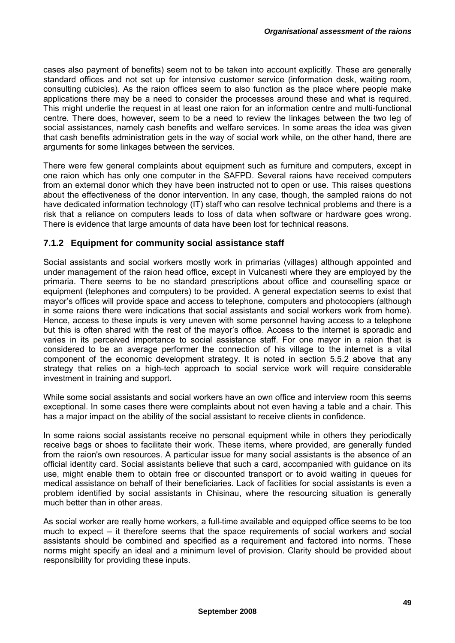cases also payment of benefits) seem not to be taken into account explicitly. These are generally standard offices and not set up for intensive customer service (information desk, waiting room, consulting cubicles). As the raion offices seem to also function as the place where people make applications there may be a need to consider the processes around these and what is required. This might underlie the request in at least one raion for an information centre and multi-functional centre. There does, however, seem to be a need to review the linkages between the two leg of social assistances, namely cash benefits and welfare services. In some areas the idea was given that cash benefits administration gets in the way of social work while, on the other hand, there are arguments for some linkages between the services.

There were few general complaints about equipment such as furniture and computers, except in one raion which has only one computer in the SAFPD. Several raions have received computers from an external donor which they have been instructed not to open or use. This raises questions about the effectiveness of the donor intervention. In any case, though, the sampled raions do not have dedicated information technology (IT) staff who can resolve technical problems and there is a risk that a reliance on computers leads to loss of data when software or hardware goes wrong. There is evidence that large amounts of data have been lost for technical reasons.

#### **7.1.2 Equipment for community social assistance staff**

Social assistants and social workers mostly work in primarias (villages) although appointed and under management of the raion head office, except in Vulcanesti where they are employed by the primaria. There seems to be no standard prescriptions about office and counselling space or equipment (telephones and computers) to be provided. A general expectation seems to exist that mayor's offices will provide space and access to telephone, computers and photocopiers (although in some raions there were indications that social assistants and social workers work from home). Hence, access to these inputs is very uneven with some personnel having access to a telephone but this is often shared with the rest of the mayor's office. Access to the internet is sporadic and varies in its perceived importance to social assistance staff. For one mayor in a raion that is considered to be an average performer the connection of his village to the internet is a vital component of the economic development strategy. It is noted in section 5.5.2 above that any strategy that relies on a high-tech approach to social service work will require considerable investment in training and support.

While some social assistants and social workers have an own office and interview room this seems exceptional. In some cases there were complaints about not even having a table and a chair. This has a major impact on the ability of the social assistant to receive clients in confidence.

In some raions social assistants receive no personal equipment while in others they periodically receive bags or shoes to facilitate their work. These items, where provided, are generally funded from the raion's own resources. A particular issue for many social assistants is the absence of an official identity card. Social assistants believe that such a card, accompanied with guidance on its use, might enable them to obtain free or discounted transport or to avoid waiting in queues for medical assistance on behalf of their beneficiaries. Lack of facilities for social assistants is even a problem identified by social assistants in Chisinau, where the resourcing situation is generally much better than in other areas.

As social worker are really home workers, a full-time available and equipped office seems to be too much to expect – it therefore seems that the space requirements of social workers and social assistants should be combined and specified as a requirement and factored into norms. These norms might specify an ideal and a minimum level of provision. Clarity should be provided about responsibility for providing these inputs.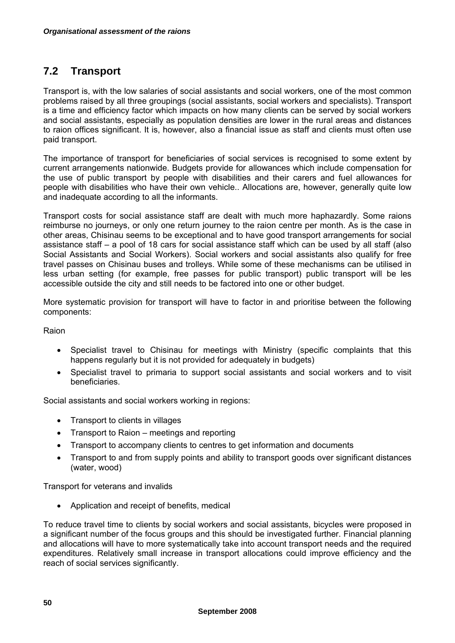## **7.2 Transport**

Transport is, with the low salaries of social assistants and social workers, one of the most common problems raised by all three groupings (social assistants, social workers and specialists). Transport is a time and efficiency factor which impacts on how many clients can be served by social workers and social assistants, especially as population densities are lower in the rural areas and distances to raion offices significant. It is, however, also a financial issue as staff and clients must often use paid transport.

The importance of transport for beneficiaries of social services is recognised to some extent by current arrangements nationwide. Budgets provide for allowances which include compensation for the use of public transport by people with disabilities and their carers and fuel allowances for people with disabilities who have their own vehicle.. Allocations are, however, generally quite low and inadequate according to all the informants.

Transport costs for social assistance staff are dealt with much more haphazardly. Some raions reimburse no journeys, or only one return journey to the raion centre per month. As is the case in other areas, Chisinau seems to be exceptional and to have good transport arrangements for social assistance staff – a pool of 18 cars for social assistance staff which can be used by all staff (also Social Assistants and Social Workers). Social workers and social assistants also qualify for free travel passes on Chisinau buses and trolleys. While some of these mechanisms can be utilised in less urban setting (for example, free passes for public transport) public transport will be les accessible outside the city and still needs to be factored into one or other budget.

More systematic provision for transport will have to factor in and prioritise between the following components:

#### Raion

- Specialist travel to Chisinau for meetings with Ministry (specific complaints that this happens regularly but it is not provided for adequately in budgets)
- Specialist travel to primaria to support social assistants and social workers and to visit beneficiaries.

Social assistants and social workers working in regions:

- Transport to clients in villages
- Transport to Raion meetings and reporting
- Transport to accompany clients to centres to get information and documents
- Transport to and from supply points and ability to transport goods over significant distances (water, wood)

Transport for veterans and invalids

• Application and receipt of benefits, medical

To reduce travel time to clients by social workers and social assistants, bicycles were proposed in a significant number of the focus groups and this should be investigated further. Financial planning and allocations will have to more systematically take into account transport needs and the required expenditures. Relatively small increase in transport allocations could improve efficiency and the reach of social services significantly.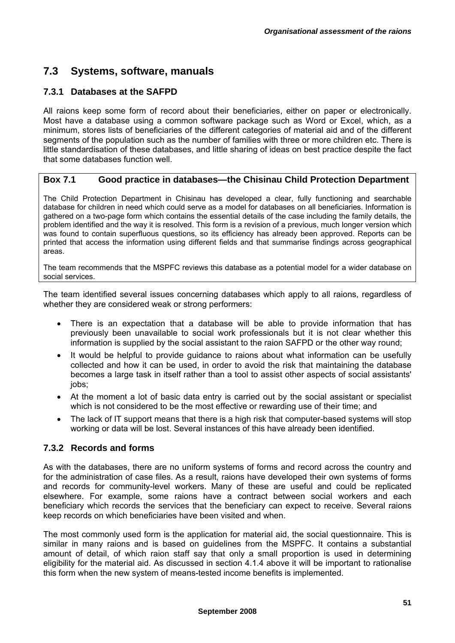### **7.3 Systems, software, manuals**

### **7.3.1 Databases at the SAFPD**

All raions keep some form of record about their beneficiaries, either on paper or electronically. Most have a database using a common software package such as Word or Excel, which, as a minimum, stores lists of beneficiaries of the different categories of material aid and of the different segments of the population such as the number of families with three or more children etc. There is little standardisation of these databases, and little sharing of ideas on best practice despite the fact that some databases function well.

#### **Box 7.1 Good practice in databases—the Chisinau Child Protection Department**

The Child Protection Department in Chisinau has developed a clear, fully functioning and searchable database for children in need which could serve as a model for databases on all beneficiaries. Information is gathered on a two-page form which contains the essential details of the case including the family details, the problem identified and the way it is resolved. This form is a revision of a previous, much longer version which was found to contain superfluous questions, so its efficiency has already been approved. Reports can be printed that access the information using different fields and that summarise findings across geographical areas.

The team recommends that the MSPFC reviews this database as a potential model for a wider database on social services.

The team identified several issues concerning databases which apply to all raions, regardless of whether they are considered weak or strong performers:

- There is an expectation that a database will be able to provide information that has previously been unavailable to social work professionals but it is not clear whether this information is supplied by the social assistant to the raion SAFPD or the other way round;
- It would be helpful to provide guidance to raions about what information can be usefully collected and how it can be used, in order to avoid the risk that maintaining the database becomes a large task in itself rather than a tool to assist other aspects of social assistants' iobs:
- At the moment a lot of basic data entry is carried out by the social assistant or specialist which is not considered to be the most effective or rewarding use of their time; and
- The lack of IT support means that there is a high risk that computer-based systems will stop working or data will be lost. Several instances of this have already been identified.

#### **7.3.2 Records and forms**

As with the databases, there are no uniform systems of forms and record across the country and for the administration of case files. As a result, raions have developed their own systems of forms and records for community-level workers. Many of these are useful and could be replicated elsewhere. For example, some raions have a contract between social workers and each beneficiary which records the services that the beneficiary can expect to receive. Several raions keep records on which beneficiaries have been visited and when.

The most commonly used form is the application for material aid, the social questionnaire. This is similar in many raions and is based on guidelines from the MSPFC. It contains a substantial amount of detail, of which raion staff say that only a small proportion is used in determining eligibility for the material aid. As discussed in section 4.1.4 above it will be important to rationalise this form when the new system of means-tested income benefits is implemented.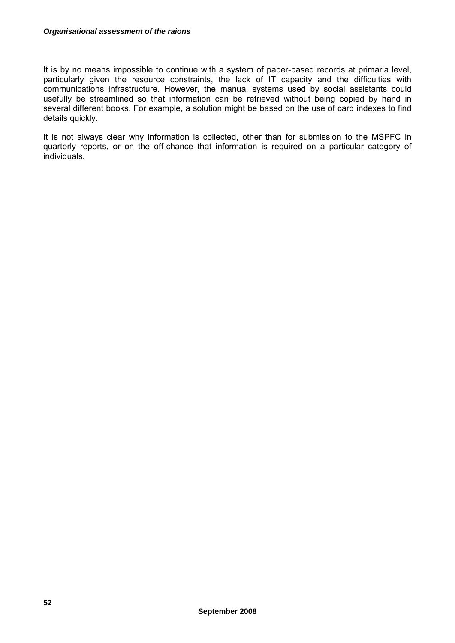It is by no means impossible to continue with a system of paper-based records at primaria level, particularly given the resource constraints, the lack of IT capacity and the difficulties with communications infrastructure. However, the manual systems used by social assistants could usefully be streamlined so that information can be retrieved without being copied by hand in several different books. For example, a solution might be based on the use of card indexes to find details quickly.

It is not always clear why information is collected, other than for submission to the MSPFC in quarterly reports, or on the off-chance that information is required on a particular category of individuals.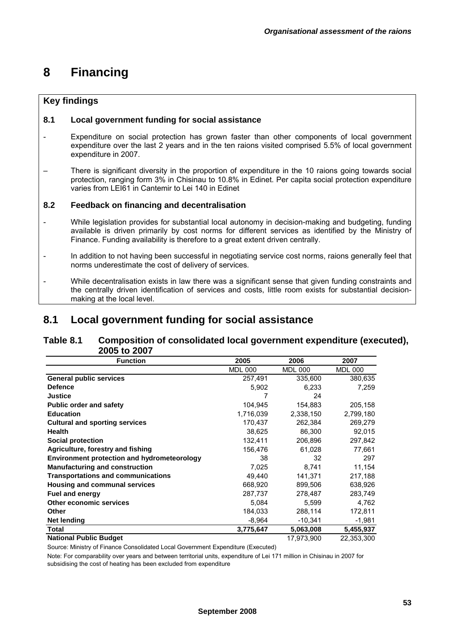# **8 Financing**

#### **Key findings**

#### **8.1 Local government funding for social assistance**

- Expenditure on social protection has grown faster than other components of local government expenditure over the last 2 years and in the ten raions visited comprised 5.5% of local government expenditure in 2007.
- There is significant diversity in the proportion of expenditure in the 10 raions going towards social protection, ranging form 3% in Chisinau to 10.8% in Edinet. Per capita social protection expenditure varies from LEI61 in Cantemir to Lei 140 in Edinet

#### **8.2 Feedback on financing and decentralisation**

- While legislation provides for substantial local autonomy in decision-making and budgeting, funding available is driven primarily by cost norms for different services as identified by the Ministry of Finance. Funding availability is therefore to a great extent driven centrally.
- In addition to not having been successful in negotiating service cost norms, raions generally feel that norms underestimate the cost of delivery of services.
- While decentralisation exists in law there was a significant sense that given funding constraints and the centrally driven identification of services and costs, little room exists for substantial decisionmaking at the local level.

### **8.1 Local government funding for social assistance**

#### **Table 8.1 Composition of consolidated local government expenditure (executed), 2005 to 2007**

| <b>Function</b>                                    | 2005           | 2006           | 2007           |
|----------------------------------------------------|----------------|----------------|----------------|
|                                                    | <b>MDL 000</b> | <b>MDL 000</b> | <b>MDL 000</b> |
| <b>General public services</b>                     | 257,491        | 335,600        | 380,635        |
| <b>Defence</b>                                     | 5,902          | 6,233          | 7,259          |
| <b>Justice</b>                                     |                | 24             |                |
| <b>Public order and safety</b>                     | 104,945        | 154,883        | 205,158        |
| <b>Education</b>                                   | 1,716,039      | 2,338,150      | 2,799,180      |
| <b>Cultural and sporting services</b>              | 170,437        | 262,384        | 269,279        |
| <b>Health</b>                                      | 38,625         | 86,300         | 92,015         |
| <b>Social protection</b>                           | 132,411        | 206,896        | 297,842        |
| Agriculture, forestry and fishing                  | 156,476        | 61,028         | 77,661         |
| <b>Environment protection and hydrometeorology</b> | 38             | 32             | 297            |
| <b>Manufacturing and construction</b>              | 7,025          | 8,741          | 11,154         |
| <b>Transportations and communications</b>          | 49,440         | 141,371        | 217,188        |
| <b>Housing and communal services</b>               | 668,920        | 899,506        | 638,926        |
| <b>Fuel and energy</b>                             | 287,737        | 278,487        | 283,749        |
| Other economic services                            | 5,084          | 5,599          | 4,762          |
| <b>Other</b>                                       | 184,033        | 288,114        | 172,811        |
| Net lending                                        | $-8,964$       | $-10,341$      | $-1,981$       |
| Total                                              | 3,775,647      | 5,063,008      | 5,455,937      |
| <b>National Public Budget</b>                      |                | 17.973.900     | 22.353.300     |

Source: Ministry of Finance Consolidated Local Government Expenditure (Executed)

Note: For comparability over years and between territorial units, expenditure of Lei 171 million in Chisinau in 2007 for subsidising the cost of heating has been excluded from expenditure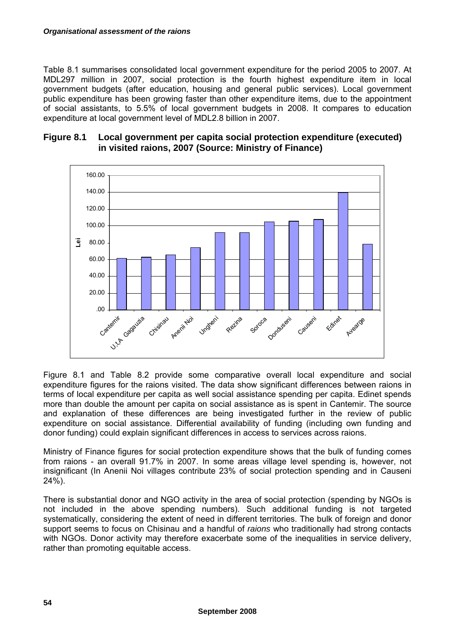#### *Organisational assessment of the raions*

Table 8.1 summarises consolidated local government expenditure for the period 2005 to 2007. At MDL297 million in 2007, social protection is the fourth highest expenditure item in local government budgets (after education, housing and general public services). Local government public expenditure has been growing faster than other expenditure items, due to the appointment of social assistants, to 5.5% of local government budgets in 2008. It compares to education expenditure at local government level of MDL2.8 billion in 2007.



#### **Figure 8.1 Local government per capita social protection expenditure (executed) in visited raions, 2007 (Source: Ministry of Finance)**

Figure 8.1 and Table 8.2 provide some comparative overall local expenditure and social expenditure figures for the raions visited. The data show significant differences between raions in terms of local expenditure per capita as well social assistance spending per capita. Edinet spends more than double the amount per capita on social assistance as is spent in Cantemir. The source and explanation of these differences are being investigated further in the review of public expenditure on social assistance. Differential availability of funding (including own funding and donor funding) could explain significant differences in access to services across raions.

Ministry of Finance figures for social protection expenditure shows that the bulk of funding comes from raions - an overall 91.7% in 2007. In some areas village level spending is, however, not insignificant (In Anenii Noi villages contribute 23% of social protection spending and in Causeni  $24\frac{6}{6}$ ).

There is substantial donor and NGO activity in the area of social protection (spending by NGOs is not included in the above spending numbers). Such additional funding is not targeted systematically, considering the extent of need in different territories. The bulk of foreign and donor support seems to focus on Chisinau and a handful of *raions* who traditionally had strong contacts with NGOs. Donor activity may therefore exacerbate some of the inequalities in service delivery, rather than promoting equitable access.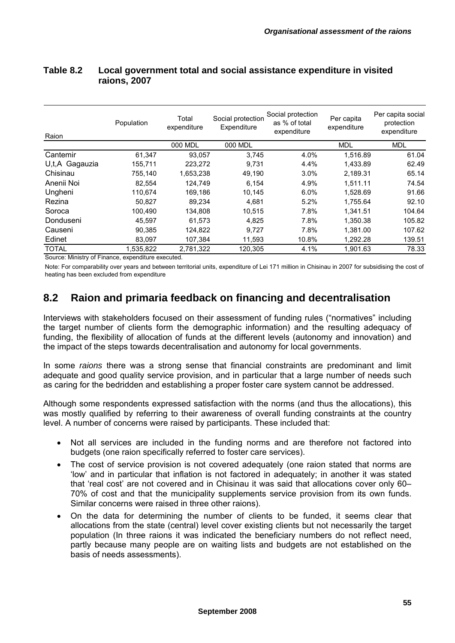### **Table 8.2 Local government total and social assistance expenditure in visited raions, 2007**

| Raion          | Population | Total<br>expenditure | Social protection<br>Expenditure | Social protection<br>as % of total<br>expenditure | Per capita<br>expenditure | Per capita social<br>protection<br>expenditure |
|----------------|------------|----------------------|----------------------------------|---------------------------------------------------|---------------------------|------------------------------------------------|
|                |            | 000 MDL              | 000 MDL                          |                                                   | MDL                       | <b>MDL</b>                                     |
| Cantemir       | 61,347     | 93.057               | 3,745                            | 4.0%                                              | 1.516.89                  | 61.04                                          |
| U,t,A Gagauzia | 155,711    | 223,272              | 9,731                            | 4.4%                                              | 1,433.89                  | 62.49                                          |
| Chisinau       | 755.140    | 1.653.238            | 49,190                           | 3.0%                                              | 2.189.31                  | 65.14                                          |
| Anenii Noi     | 82,554     | 124,749              | 6.154                            | 4.9%                                              | 1.511.11                  | 74.54                                          |
| Ungheni        | 110.674    | 169,186              | 10,145                           | 6.0%                                              | 1.528.69                  | 91.66                                          |
| Rezina         | 50.827     | 89.234               | 4.681                            | 5.2%                                              | 1.755.64                  | 92.10                                          |
| Soroca         | 100.490    | 134,808              | 10.515                           | 7.8%                                              | 1.341.51                  | 104.64                                         |
| Donduseni      | 45,597     | 61,573               | 4,825                            | 7.8%                                              | 1.350.38                  | 105.82                                         |
| Causeni        | 90,385     | 124,822              | 9.727                            | 7.8%                                              | 1.381.00                  | 107.62                                         |
| Edinet         | 83,097     | 107,384              | 11,593                           | 10.8%                                             | 1,292.28                  | 139.51                                         |
| <b>TOTAL</b>   | 1.535.822  | 2.781.322            | 120.305                          | 4.1%                                              | 1.901.63                  | 78.33                                          |

Source: Ministry of Finance, expenditure executed.

Note: For comparability over years and between territorial units, expenditure of Lei 171 million in Chisinau in 2007 for subsidising the cost of heating has been excluded from expenditure

### **8.2 Raion and primaria feedback on financing and decentralisation**

Interviews with stakeholders focused on their assessment of funding rules ("normatives" including the target number of clients form the demographic information) and the resulting adequacy of funding, the flexibility of allocation of funds at the different levels (autonomy and innovation) and the impact of the steps towards decentralisation and autonomy for local governments.

In some *raions* there was a strong sense that financial constraints are predominant and limit adequate and good quality service provision, and in particular that a large number of needs such as caring for the bedridden and establishing a proper foster care system cannot be addressed.

Although some respondents expressed satisfaction with the norms (and thus the allocations), this was mostly qualified by referring to their awareness of overall funding constraints at the country level. A number of concerns were raised by participants. These included that:

- Not all services are included in the funding norms and are therefore not factored into budgets (one raion specifically referred to foster care services).
- The cost of service provision is not covered adequately (one raion stated that norms are 'low' and in particular that inflation is not factored in adequately; in another it was stated that 'real cost' are not covered and in Chisinau it was said that allocations cover only 60– 70% of cost and that the municipality supplements service provision from its own funds. Similar concerns were raised in three other raions).
- On the data for determining the number of clients to be funded, it seems clear that allocations from the state (central) level cover existing clients but not necessarily the target population (In three raions it was indicated the beneficiary numbers do not reflect need, partly because many people are on waiting lists and budgets are not established on the basis of needs assessments).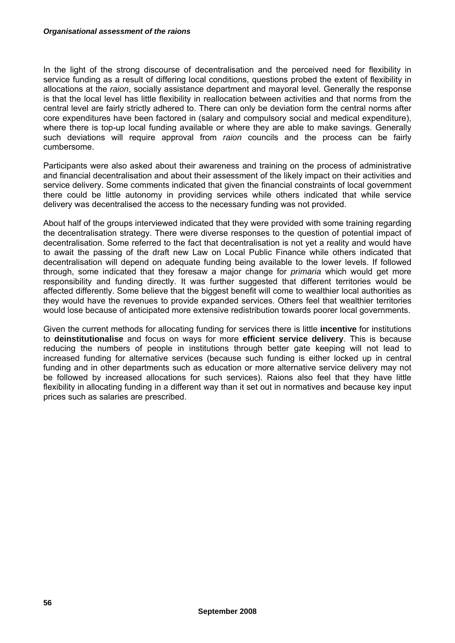In the light of the strong discourse of decentralisation and the perceived need for flexibility in service funding as a result of differing local conditions, questions probed the extent of flexibility in allocations at the *raion*, socially assistance department and mayoral level. Generally the response is that the local level has little flexibility in reallocation between activities and that norms from the central level are fairly strictly adhered to. There can only be deviation form the central norms after core expenditures have been factored in (salary and compulsory social and medical expenditure), where there is top-up local funding available or where they are able to make savings. Generally such deviations will require approval from *raion* councils and the process can be fairly cumbersome.

Participants were also asked about their awareness and training on the process of administrative and financial decentralisation and about their assessment of the likely impact on their activities and service delivery. Some comments indicated that given the financial constraints of local government there could be little autonomy in providing services while others indicated that while service delivery was decentralised the access to the necessary funding was not provided.

About half of the groups interviewed indicated that they were provided with some training regarding the decentralisation strategy. There were diverse responses to the question of potential impact of decentralisation. Some referred to the fact that decentralisation is not yet a reality and would have to await the passing of the draft new Law on Local Public Finance while others indicated that decentralisation will depend on adequate funding being available to the lower levels. If followed through, some indicated that they foresaw a major change for *primaria* which would get more responsibility and funding directly. It was further suggested that different territories would be affected differently. Some believe that the biggest benefit will come to wealthier local authorities as they would have the revenues to provide expanded services. Others feel that wealthier territories would lose because of anticipated more extensive redistribution towards poorer local governments.

Given the current methods for allocating funding for services there is little **incentive** for institutions to **deinstitutionalise** and focus on ways for more **efficient service delivery**. This is because reducing the numbers of people in institutions through better gate keeping will not lead to increased funding for alternative services (because such funding is either locked up in central funding and in other departments such as education or more alternative service delivery may not be followed by increased allocations for such services). Raions also feel that they have little flexibility in allocating funding in a different way than it set out in normatives and because key input prices such as salaries are prescribed.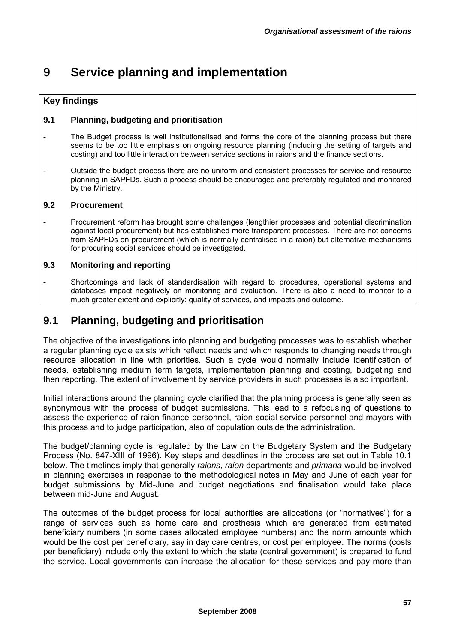# **9 Service planning and implementation**

### **Key findings**

### **9.1 Planning, budgeting and prioritisation**

- The Budget process is well institutionalised and forms the core of the planning process but there seems to be too little emphasis on ongoing resource planning (including the setting of targets and costing) and too little interaction between service sections in raions and the finance sections.
- Outside the budget process there are no uniform and consistent processes for service and resource planning in SAPFDs. Such a process should be encouraged and preferably regulated and monitored by the Ministry.

### **9.2 Procurement**

Procurement reform has brought some challenges (lengthier processes and potential discrimination against local procurement) but has established more transparent processes. There are not concerns from SAPFDs on procurement (which is normally centralised in a raion) but alternative mechanisms for procuring social services should be investigated.

### **9.3 Monitoring and reporting**

- Shortcomings and lack of standardisation with regard to procedures, operational systems and databases impact negatively on monitoring and evaluation. There is also a need to monitor to a much greater extent and explicitly: quality of services, and impacts and outcome.

## **9.1 Planning, budgeting and prioritisation**

The objective of the investigations into planning and budgeting processes was to establish whether a regular planning cycle exists which reflect needs and which responds to changing needs through resource allocation in line with priorities. Such a cycle would normally include identification of needs, establishing medium term targets, implementation planning and costing, budgeting and then reporting. The extent of involvement by service providers in such processes is also important.

Initial interactions around the planning cycle clarified that the planning process is generally seen as synonymous with the process of budget submissions. This lead to a refocusing of questions to assess the experience of raion finance personnel, raion social service personnel and mayors with this process and to judge participation, also of population outside the administration.

The budget/planning cycle is regulated by the Law on the Budgetary System and the Budgetary Process (No. 847-XIII of 1996). Key steps and deadlines in the process are set out in Table 10.1 below. The timelines imply that generally *raions*, *raion* departments and *primaria* would be involved in planning exercises in response to the methodological notes in May and June of each year for budget submissions by Mid-June and budget negotiations and finalisation would take place between mid-June and August.

The outcomes of the budget process for local authorities are allocations (or "normatives") for a range of services such as home care and prosthesis which are generated from estimated beneficiary numbers (in some cases allocated employee numbers) and the norm amounts which would be the cost per beneficiary, say in day care centres, or cost per employee. The norms (costs per beneficiary) include only the extent to which the state (central government) is prepared to fund the service. Local governments can increase the allocation for these services and pay more than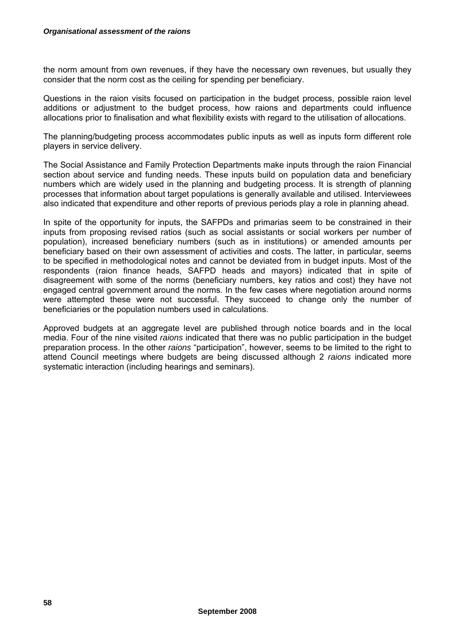the norm amount from own revenues, if they have the necessary own revenues, but usually they consider that the norm cost as the ceiling for spending per beneficiary.

Questions in the raion visits focused on participation in the budget process, possible raion level additions or adjustment to the budget process, how raions and departments could influence allocations prior to finalisation and what flexibility exists with regard to the utilisation of allocations.

The planning/budgeting process accommodates public inputs as well as inputs form different role players in service delivery.

The Social Assistance and Family Protection Departments make inputs through the raion Financial section about service and funding needs. These inputs build on population data and beneficiary numbers which are widely used in the planning and budgeting process. It is strength of planning processes that information about target populations is generally available and utilised. Interviewees also indicated that expenditure and other reports of previous periods play a role in planning ahead.

In spite of the opportunity for inputs, the SAFPDs and primarias seem to be constrained in their inputs from proposing revised ratios (such as social assistants or social workers per number of population), increased beneficiary numbers (such as in institutions) or amended amounts per beneficiary based on their own assessment of activities and costs. The latter, in particular, seems to be specified in methodological notes and cannot be deviated from in budget inputs. Most of the respondents (raion finance heads, SAFPD heads and mayors) indicated that in spite of disagreement with some of the norms (beneficiary numbers, key ratios and cost) they have not engaged central government around the norms. In the few cases where negotiation around norms were attempted these were not successful. They succeed to change only the number of beneficiaries or the population numbers used in calculations.

Approved budgets at an aggregate level are published through notice boards and in the local media. Four of the nine visited *raions* indicated that there was no public participation in the budget preparation process. In the other *raions* "participation", however, seems to be limited to the right to attend Council meetings where budgets are being discussed although 2 *raions* indicated more systematic interaction (including hearings and seminars).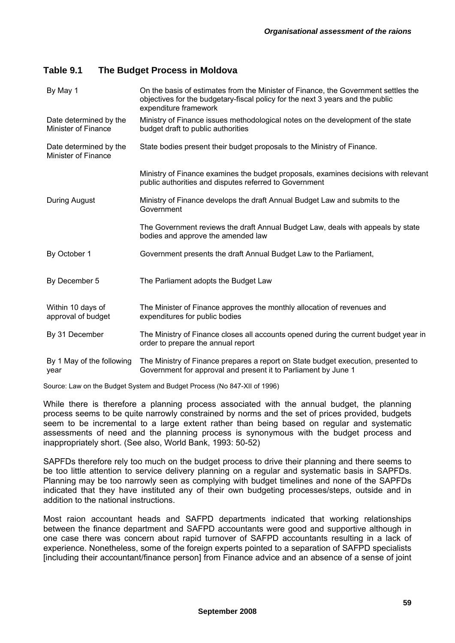### **Table 9.1 The Budget Process in Moldova**

| By May 1                                             | On the basis of estimates from the Minister of Finance, the Government settles the                                                                  |
|------------------------------------------------------|-----------------------------------------------------------------------------------------------------------------------------------------------------|
|                                                      | objectives for the budgetary-fiscal policy for the next 3 years and the public<br>expenditure framework                                             |
| Date determined by the<br><b>Minister of Finance</b> | Ministry of Finance issues methodological notes on the development of the state<br>budget draft to public authorities                               |
| Date determined by the<br><b>Minister of Finance</b> | State bodies present their budget proposals to the Ministry of Finance.                                                                             |
|                                                      | Ministry of Finance examines the budget proposals, examines decisions with relevant<br>public authorities and disputes referred to Government       |
| During August                                        | Ministry of Finance develops the draft Annual Budget Law and submits to the<br>Government                                                           |
|                                                      | The Government reviews the draft Annual Budget Law, deals with appeals by state<br>bodies and approve the amended law                               |
| By October 1                                         | Government presents the draft Annual Budget Law to the Parliament,                                                                                  |
| By December 5                                        | The Parliament adopts the Budget Law                                                                                                                |
| Within 10 days of<br>approval of budget              | The Minister of Finance approves the monthly allocation of revenues and<br>expenditures for public bodies                                           |
| By 31 December                                       | The Ministry of Finance closes all accounts opened during the current budget year in<br>order to prepare the annual report                          |
| By 1 May of the following<br>year                    | The Ministry of Finance prepares a report on State budget execution, presented to<br>Government for approval and present it to Parliament by June 1 |

Source: Law on the Budget System and Budget Process (No 847-XII of 1996)

While there is therefore a planning process associated with the annual budget, the planning process seems to be quite narrowly constrained by norms and the set of prices provided, budgets seem to be incremental to a large extent rather than being based on regular and systematic assessments of need and the planning process is synonymous with the budget process and inappropriately short. (See also, World Bank, 1993: 50-52)

SAPFDs therefore rely too much on the budget process to drive their planning and there seems to be too little attention to service delivery planning on a regular and systematic basis in SAPFDs. Planning may be too narrowly seen as complying with budget timelines and none of the SAPFDs indicated that they have instituted any of their own budgeting processes/steps, outside and in addition to the national instructions.

Most raion accountant heads and SAFPD departments indicated that working relationships between the finance department and SAFPD accountants were good and supportive although in one case there was concern about rapid turnover of SAFPD accountants resulting in a lack of experience. Nonetheless, some of the foreign experts pointed to a separation of SAFPD specialists [including their accountant/finance person] from Finance advice and an absence of a sense of joint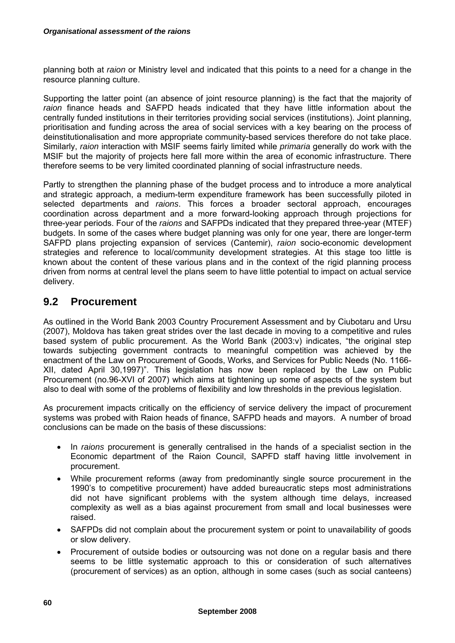planning both at *raion* or Ministry level and indicated that this points to a need for a change in the resource planning culture.

Supporting the latter point (an absence of joint resource planning) is the fact that the majority of *raion* finance heads and SAFPD heads indicated that they have little information about the centrally funded institutions in their territories providing social services (institutions). Joint planning, prioritisation and funding across the area of social services with a key bearing on the process of deinstitutionalisation and more appropriate community-based services therefore do not take place. Similarly, *raion* interaction with MSIF seems fairly limited while *primaria* generally do work with the MSIF but the majority of projects here fall more within the area of economic infrastructure. There therefore seems to be very limited coordinated planning of social infrastructure needs.

Partly to strengthen the planning phase of the budget process and to introduce a more analytical and strategic approach, a medium-term expenditure framework has been successfully piloted in selected departments and *raions*. This forces a broader sectoral approach, encourages coordination across department and a more forward-looking approach through projections for three-year periods. Four of the *raions* and SAFPDs indicated that they prepared three-year (MTEF) budgets. In some of the cases where budget planning was only for one year, there are longer-term SAFPD plans projecting expansion of services (Cantemir), *raion* socio-economic development strategies and reference to local/community development strategies. At this stage too little is known about the content of these various plans and in the context of the rigid planning process driven from norms at central level the plans seem to have little potential to impact on actual service delivery.

## **9.2 Procurement**

As outlined in the World Bank 2003 Country Procurement Assessment and by Ciubotaru and Ursu (2007), Moldova has taken great strides over the last decade in moving to a competitive and rules based system of public procurement. As the World Bank (2003:v) indicates, "the original step towards subjecting government contracts to meaningful competition was achieved by the enactment of the Law on Procurement of Goods, Works, and Services for Public Needs (No. 1166- XII, dated April 30,1997)". This legislation has now been replaced by the Law on Public Procurement (no.96-XVI of 2007) which aims at tightening up some of aspects of the system but also to deal with some of the problems of flexibility and low thresholds in the previous legislation.

As procurement impacts critically on the efficiency of service delivery the impact of procurement systems was probed with Raion heads of finance, SAFPD heads and mayors. A number of broad conclusions can be made on the basis of these discussions:

- In *raions* procurement is generally centralised in the hands of a specialist section in the Economic department of the Raion Council, SAPFD staff having little involvement in procurement.
- While procurement reforms (away from predominantly single source procurement in the 1990's to competitive procurement) have added bureaucratic steps most administrations did not have significant problems with the system although time delays, increased complexity as well as a bias against procurement from small and local businesses were raised.
- SAFPDs did not complain about the procurement system or point to unavailability of goods or slow delivery.
- Procurement of outside bodies or outsourcing was not done on a regular basis and there seems to be little systematic approach to this or consideration of such alternatives (procurement of services) as an option, although in some cases (such as social canteens)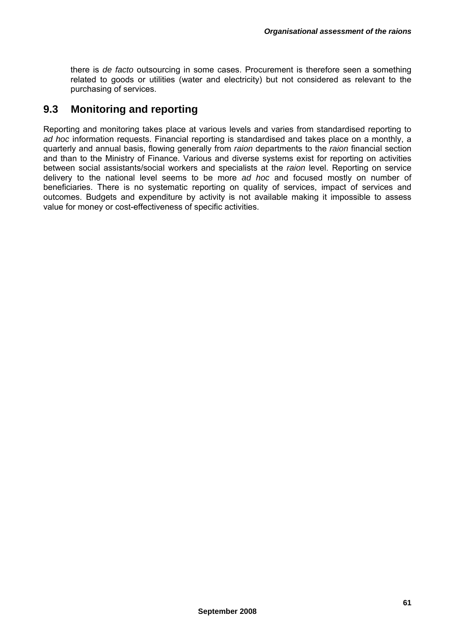there is *de facto* outsourcing in some cases. Procurement is therefore seen a something related to goods or utilities (water and electricity) but not considered as relevant to the purchasing of services.

### **9.3 Monitoring and reporting**

Reporting and monitoring takes place at various levels and varies from standardised reporting to *ad hoc* information requests. Financial reporting is standardised and takes place on a monthly, a quarterly and annual basis, flowing generally from *raion* departments to the *raion* financial section and than to the Ministry of Finance. Various and diverse systems exist for reporting on activities between social assistants/social workers and specialists at the *raion* level. Reporting on service delivery to the national level seems to be more *ad hoc* and focused mostly on number of beneficiaries. There is no systematic reporting on quality of services, impact of services and outcomes. Budgets and expenditure by activity is not available making it impossible to assess value for money or cost-effectiveness of specific activities.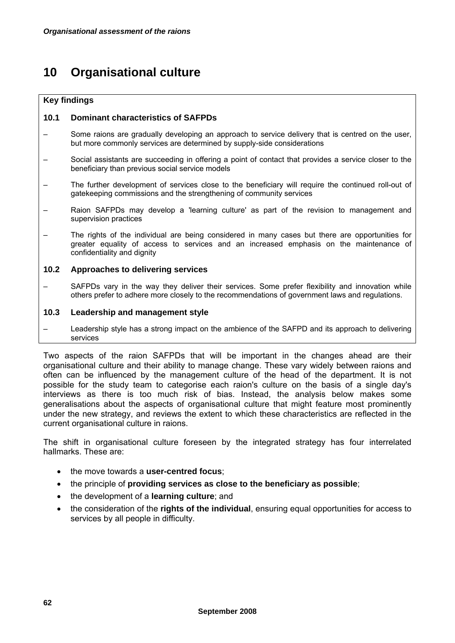# **10 Organisational culture**

#### **Key findings**

#### **10.1 Dominant characteristics of SAFPDs**

- Some raions are gradually developing an approach to service delivery that is centred on the user, but more commonly services are determined by supply-side considerations
- Social assistants are succeeding in offering a point of contact that provides a service closer to the beneficiary than previous social service models
- The further development of services close to the beneficiary will require the continued roll-out of gatekeeping commissions and the strengthening of community services
- Raion SAFPDs may develop a 'learning culture' as part of the revision to management and supervision practices
- The rights of the individual are being considered in many cases but there are opportunities for greater equality of access to services and an increased emphasis on the maintenance of confidentiality and dignity

#### **10.2 Approaches to delivering services**

SAFPDs vary in the way they deliver their services. Some prefer flexibility and innovation while others prefer to adhere more closely to the recommendations of government laws and regulations.

#### **10.3 Leadership and management style**

– Leadership style has a strong impact on the ambience of the SAFPD and its approach to delivering services

Two aspects of the raion SAFPDs that will be important in the changes ahead are their organisational culture and their ability to manage change. These vary widely between raions and often can be influenced by the management culture of the head of the department. It is not possible for the study team to categorise each raion's culture on the basis of a single day's interviews as there is too much risk of bias. Instead, the analysis below makes some generalisations about the aspects of organisational culture that might feature most prominently under the new strategy, and reviews the extent to which these characteristics are reflected in the current organisational culture in raions.

The shift in organisational culture foreseen by the integrated strategy has four interrelated hallmarks. These are:

- the move towards a **user-centred focus**;
- the principle of **providing services as close to the beneficiary as possible**;
- the development of a **learning culture**; and
- the consideration of the **rights of the individual**, ensuring equal opportunities for access to services by all people in difficulty.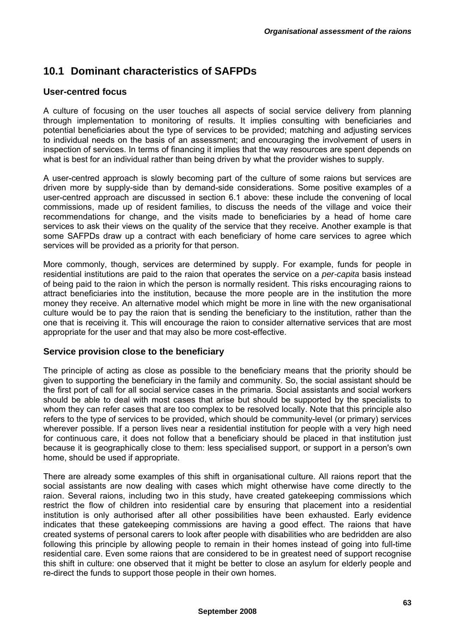## **10.1 Dominant characteristics of SAFPDs**

### **User-centred focus**

A culture of focusing on the user touches all aspects of social service delivery from planning through implementation to monitoring of results. It implies consulting with beneficiaries and potential beneficiaries about the type of services to be provided; matching and adjusting services to individual needs on the basis of an assessment; and encouraging the involvement of users in inspection of services. In terms of financing it implies that the way resources are spent depends on what is best for an individual rather than being driven by what the provider wishes to supply.

A user-centred approach is slowly becoming part of the culture of some raions but services are driven more by supply-side than by demand-side considerations. Some positive examples of a user-centred approach are discussed in section 6.1 above: these include the convening of local commissions, made up of resident families, to discuss the needs of the village and voice their recommendations for change, and the visits made to beneficiaries by a head of home care services to ask their views on the quality of the service that they receive. Another example is that some SAFPDs draw up a contract with each beneficiary of home care services to agree which services will be provided as a priority for that person.

More commonly, though, services are determined by supply. For example, funds for people in residential institutions are paid to the raion that operates the service on a *per-capita* basis instead of being paid to the raion in which the person is normally resident. This risks encouraging raions to attract beneficiaries into the institution, because the more people are in the institution the more money they receive. An alternative model which might be more in line with the new organisational culture would be to pay the raion that is sending the beneficiary to the institution, rather than the one that is receiving it. This will encourage the raion to consider alternative services that are most appropriate for the user and that may also be more cost-effective.

### **Service provision close to the beneficiary**

The principle of acting as close as possible to the beneficiary means that the priority should be given to supporting the beneficiary in the family and community. So, the social assistant should be the first port of call for all social service cases in the primaria. Social assistants and social workers should be able to deal with most cases that arise but should be supported by the specialists to whom they can refer cases that are too complex to be resolved locally. Note that this principle also refers to the type of services to be provided, which should be community-level (or primary) services wherever possible. If a person lives near a residential institution for people with a very high need for continuous care, it does not follow that a beneficiary should be placed in that institution just because it is geographically close to them: less specialised support, or support in a person's own home, should be used if appropriate.

There are already some examples of this shift in organisational culture. All raions report that the social assistants are now dealing with cases which might otherwise have come directly to the raion. Several raions, including two in this study, have created gatekeeping commissions which restrict the flow of children into residential care by ensuring that placement into a residential institution is only authorised after all other possibilities have been exhausted. Early evidence indicates that these gatekeeping commissions are having a good effect. The raions that have created systems of personal carers to look after people with disabilities who are bedridden are also following this principle by allowing people to remain in their homes instead of going into full-time residential care. Even some raions that are considered to be in greatest need of support recognise this shift in culture: one observed that it might be better to close an asylum for elderly people and re-direct the funds to support those people in their own homes.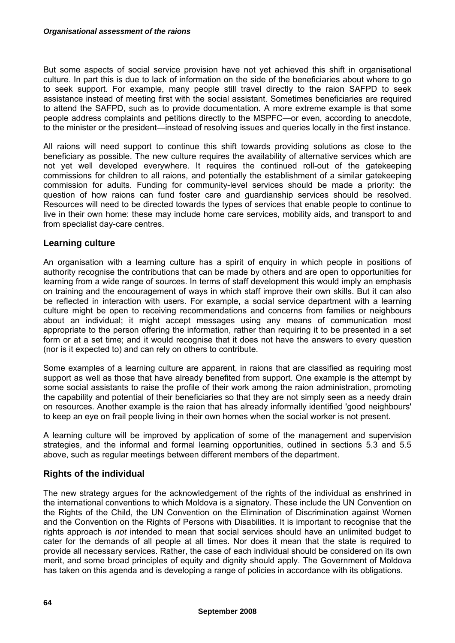But some aspects of social service provision have not yet achieved this shift in organisational culture. In part this is due to lack of information on the side of the beneficiaries about where to go to seek support. For example, many people still travel directly to the raion SAFPD to seek assistance instead of meeting first with the social assistant. Sometimes beneficiaries are required to attend the SAFPD, such as to provide documentation. A more extreme example is that some people address complaints and petitions directly to the MSPFC—or even, according to anecdote, to the minister or the president—instead of resolving issues and queries locally in the first instance.

All raions will need support to continue this shift towards providing solutions as close to the beneficiary as possible. The new culture requires the availability of alternative services which are not yet well developed everywhere. It requires the continued roll-out of the gatekeeping commissions for children to all raions, and potentially the establishment of a similar gatekeeping commission for adults. Funding for community-level services should be made a priority: the question of how raions can fund foster care and guardianship services should be resolved. Resources will need to be directed towards the types of services that enable people to continue to live in their own home: these may include home care services, mobility aids, and transport to and from specialist day-care centres.

### **Learning culture**

An organisation with a learning culture has a spirit of enquiry in which people in positions of authority recognise the contributions that can be made by others and are open to opportunities for learning from a wide range of sources. In terms of staff development this would imply an emphasis on training and the encouragement of ways in which staff improve their own skills. But it can also be reflected in interaction with users. For example, a social service department with a learning culture might be open to receiving recommendations and concerns from families or neighbours about an individual; it might accept messages using any means of communication most appropriate to the person offering the information, rather than requiring it to be presented in a set form or at a set time; and it would recognise that it does not have the answers to every question (nor is it expected to) and can rely on others to contribute.

Some examples of a learning culture are apparent, in raions that are classified as requiring most support as well as those that have already benefited from support. One example is the attempt by some social assistants to raise the profile of their work among the raion administration, promoting the capability and potential of their beneficiaries so that they are not simply seen as a needy drain on resources. Another example is the raion that has already informally identified 'good neighbours' to keep an eye on frail people living in their own homes when the social worker is not present.

A learning culture will be improved by application of some of the management and supervision strategies, and the informal and formal learning opportunities, outlined in sections 5.3 and 5.5 above, such as regular meetings between different members of the department.

### **Rights of the individual**

The new strategy argues for the acknowledgement of the rights of the individual as enshrined in the international conventions to which Moldova is a signatory. These include the UN Convention on the Rights of the Child, the UN Convention on the Elimination of Discrimination against Women and the Convention on the Rights of Persons with Disabilities. It is important to recognise that the rights approach is *not* intended to mean that social services should have an unlimited budget to cater for the demands of all people at all times. Nor does it mean that the state is required to provide all necessary services. Rather, the case of each individual should be considered on its own merit, and some broad principles of equity and dignity should apply. The Government of Moldova has taken on this agenda and is developing a range of policies in accordance with its obligations.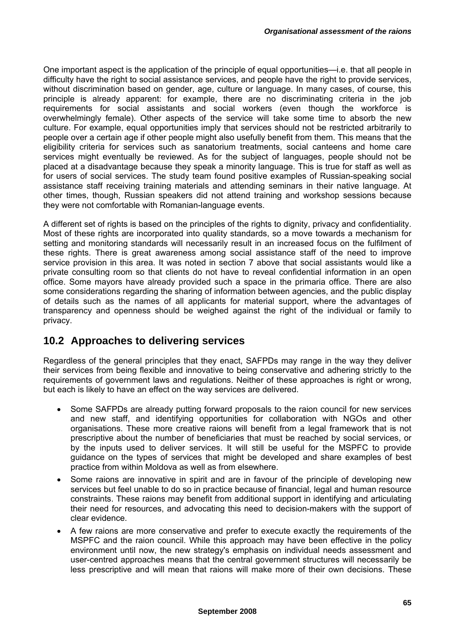One important aspect is the application of the principle of equal opportunities—i.e. that all people in difficulty have the right to social assistance services, and people have the right to provide services, without discrimination based on gender, age, culture or language. In many cases, of course, this principle is already apparent: for example, there are no discriminating criteria in the job requirements for social assistants and social workers (even though the workforce is overwhelmingly female). Other aspects of the service will take some time to absorb the new culture. For example, equal opportunities imply that services should not be restricted arbitrarily to people over a certain age if other people might also usefully benefit from them. This means that the eligibility criteria for services such as sanatorium treatments, social canteens and home care services might eventually be reviewed. As for the subject of languages, people should not be placed at a disadvantage because they speak a minority language. This is true for staff as well as for users of social services. The study team found positive examples of Russian-speaking social assistance staff receiving training materials and attending seminars in their native language. At other times, though, Russian speakers did not attend training and workshop sessions because they were not comfortable with Romanian-language events.

A different set of rights is based on the principles of the rights to dignity, privacy and confidentiality. Most of these rights are incorporated into quality standards, so a move towards a mechanism for setting and monitoring standards will necessarily result in an increased focus on the fulfilment of these rights. There is great awareness among social assistance staff of the need to improve service provision in this area. It was noted in section 7 above that social assistants would like a private consulting room so that clients do not have to reveal confidential information in an open office. Some mayors have already provided such a space in the primaria office. There are also some considerations regarding the sharing of information between agencies, and the public display of details such as the names of all applicants for material support, where the advantages of transparency and openness should be weighed against the right of the individual or family to privacy.

## **10.2 Approaches to delivering services**

Regardless of the general principles that they enact, SAFPDs may range in the way they deliver their services from being flexible and innovative to being conservative and adhering strictly to the requirements of government laws and regulations. Neither of these approaches is right or wrong, but each is likely to have an effect on the way services are delivered.

- Some SAFPDs are already putting forward proposals to the raion council for new services and new staff, and identifying opportunities for collaboration with NGOs and other organisations. These more creative raions will benefit from a legal framework that is not prescriptive about the number of beneficiaries that must be reached by social services, or by the inputs used to deliver services. It will still be useful for the MSPFC to provide guidance on the types of services that might be developed and share examples of best practice from within Moldova as well as from elsewhere.
- Some raions are innovative in spirit and are in favour of the principle of developing new services but feel unable to do so in practice because of financial, legal and human resource constraints. These raions may benefit from additional support in identifying and articulating their need for resources, and advocating this need to decision-makers with the support of clear evidence.
- A few raions are more conservative and prefer to execute exactly the requirements of the MSPFC and the raion council. While this approach may have been effective in the policy environment until now, the new strategy's emphasis on individual needs assessment and user-centred approaches means that the central government structures will necessarily be less prescriptive and will mean that raions will make more of their own decisions. These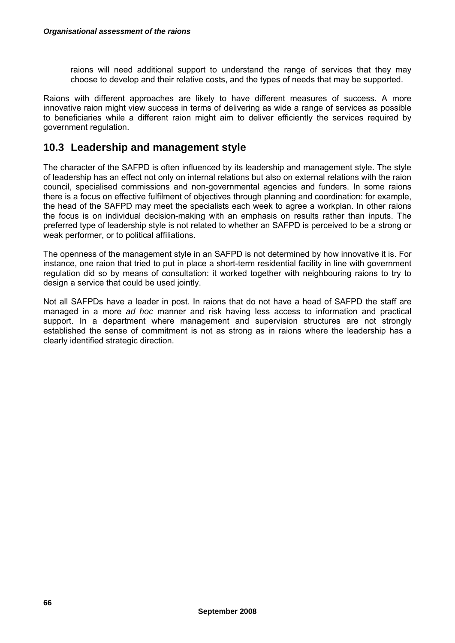raions will need additional support to understand the range of services that they may choose to develop and their relative costs, and the types of needs that may be supported.

Raions with different approaches are likely to have different measures of success. A more innovative raion might view success in terms of delivering as wide a range of services as possible to beneficiaries while a different raion might aim to deliver efficiently the services required by government regulation.

### **10.3 Leadership and management style**

The character of the SAFPD is often influenced by its leadership and management style. The style of leadership has an effect not only on internal relations but also on external relations with the raion council, specialised commissions and non-governmental agencies and funders. In some raions there is a focus on effective fulfilment of objectives through planning and coordination: for example, the head of the SAFPD may meet the specialists each week to agree a workplan. In other raions the focus is on individual decision-making with an emphasis on results rather than inputs. The preferred type of leadership style is not related to whether an SAFPD is perceived to be a strong or weak performer, or to political affiliations.

The openness of the management style in an SAFPD is not determined by how innovative it is. For instance, one raion that tried to put in place a short-term residential facility in line with government regulation did so by means of consultation: it worked together with neighbouring raions to try to design a service that could be used jointly.

Not all SAFPDs have a leader in post. In raions that do not have a head of SAFPD the staff are managed in a more *ad hoc* manner and risk having less access to information and practical support. In a department where management and supervision structures are not strongly established the sense of commitment is not as strong as in raions where the leadership has a clearly identified strategic direction.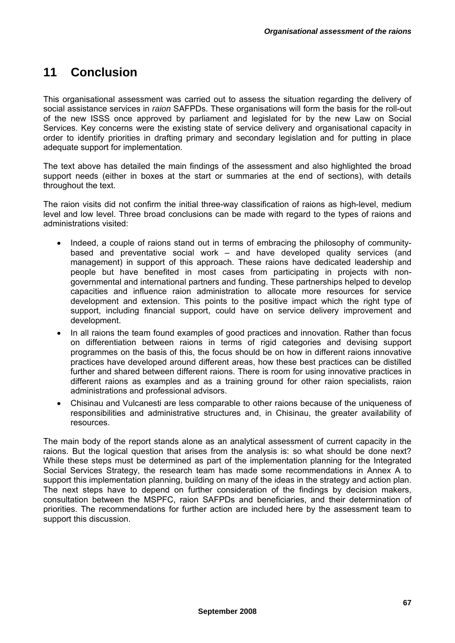# **11 Conclusion**

This organisational assessment was carried out to assess the situation regarding the delivery of social assistance services in *raion* SAFPDs. These organisations will form the basis for the roll-out of the new ISSS once approved by parliament and legislated for by the new Law on Social Services. Key concerns were the existing state of service delivery and organisational capacity in order to identify priorities in drafting primary and secondary legislation and for putting in place adequate support for implementation.

The text above has detailed the main findings of the assessment and also highlighted the broad support needs (either in boxes at the start or summaries at the end of sections), with details throughout the text.

The raion visits did not confirm the initial three-way classification of raions as high-level, medium level and low level. Three broad conclusions can be made with regard to the types of raions and administrations visited:

- Indeed, a couple of raions stand out in terms of embracing the philosophy of communitybased and preventative social work – and have developed quality services (and management) in support of this approach. These raions have dedicated leadership and people but have benefited in most cases from participating in projects with nongovernmental and international partners and funding. These partnerships helped to develop capacities and influence raion administration to allocate more resources for service development and extension. This points to the positive impact which the right type of support, including financial support, could have on service delivery improvement and development.
- In all raions the team found examples of good practices and innovation. Rather than focus on differentiation between raions in terms of rigid categories and devising support programmes on the basis of this, the focus should be on how in different raions innovative practices have developed around different areas, how these best practices can be distilled further and shared between different raions. There is room for using innovative practices in different raions as examples and as a training ground for other raion specialists, raion administrations and professional advisors.
- Chisinau and Vulcanesti are less comparable to other raions because of the uniqueness of responsibilities and administrative structures and, in Chisinau, the greater availability of resources.

The main body of the report stands alone as an analytical assessment of current capacity in the raions. But the logical question that arises from the analysis is: so what should be done next? While these steps must be determined as part of the implementation planning for the Integrated Social Services Strategy, the research team has made some recommendations in Annex A to support this implementation planning, building on many of the ideas in the strategy and action plan. The next steps have to depend on further consideration of the findings by decision makers, consultation between the MSPFC, raion SAFPDs and beneficiaries, and their determination of priorities. The recommendations for further action are included here by the assessment team to support this discussion.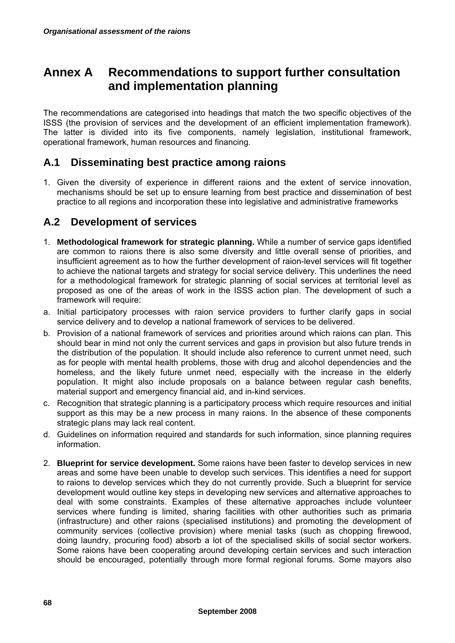# **Annex A Recommendations to support further consultation and implementation planning**

The recommendations are categorised into headings that match the two specific objectives of the ISSS (the provision of services and the development of an efficient implementation framework). The latter is divided into its five components, namely legislation, institutional framework, operational framework, human resources and financing.

## **A.1 Disseminating best practice among raions**

1. Given the diversity of experience in different raions and the extent of service innovation, mechanisms should be set up to ensure learning from best practice and dissemination of best practice to all regions and incorporation these into legislative and administrative frameworks

## **A.2 Development of services**

- 1. **Methodological framework for strategic planning.** While a number of service gaps identified are common to raions there is also some diversity and little overall sense of priorities, and insufficient agreement as to how the further development of raion-level services will fit together to achieve the national targets and strategy for social service delivery. This underlines the need for a methodological framework for strategic planning of social services at territorial level as proposed as one of the areas of work in the ISSS action plan. The development of such a framework will require:
- a. Initial participatory processes with raion service providers to further clarify gaps in social service delivery and to develop a national framework of services to be delivered.
- b. Provision of a national framework of services and priorities around which raions can plan. This should bear in mind not only the current services and gaps in provision but also future trends in the distribution of the population. It should include also reference to current unmet need, such as for people with mental health problems, those with drug and alcohol dependencies and the homeless, and the likely future unmet need, especially with the increase in the elderly population. It might also include proposals on a balance between regular cash benefits, material support and emergency financial aid, and in-kind services.
- c. Recognition that strategic planning is a participatory process which require resources and initial support as this may be a new process in many raions. In the absence of these components strategic plans may lack real content.
- d. Guidelines on information required and standards for such information, since planning requires information.
- 2. **Blueprint for service development.** Some raions have been faster to develop services in new areas and some have been unable to develop such services. This identifies a need for support to raions to develop services which they do not currently provide. Such a blueprint for service development would outline key steps in developing new services and alternative approaches to deal with some constraints. Examples of these alternative approaches include volunteer services where funding is limited, sharing facilities with other authorities such as primaria (infrastructure) and other raions (specialised institutions) and promoting the development of community services (collective provision) where menial tasks (such as chopping firewood, doing laundry, procuring food) absorb a lot of the specialised skills of social sector workers. Some raions have been cooperating around developing certain services and such interaction should be encouraged, potentially through more formal regional forums. Some mayors also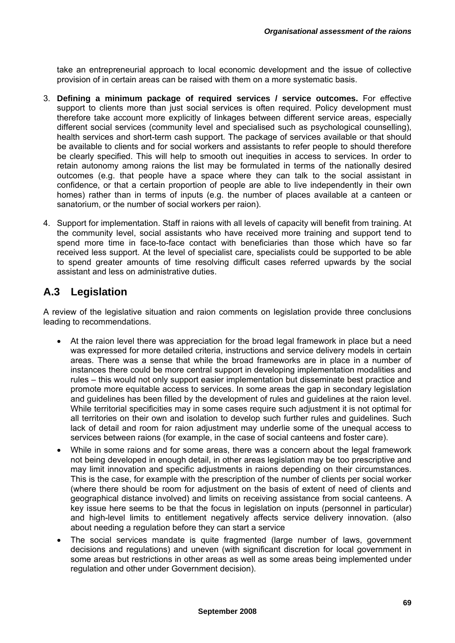take an entrepreneurial approach to local economic development and the issue of collective provision of in certain areas can be raised with them on a more systematic basis.

- 3. **Defining a minimum package of required services / service outcomes.** For effective support to clients more than just social services is often required. Policy development must therefore take account more explicitly of linkages between different service areas, especially different social services (community level and specialised such as psychological counselling), health services and short-term cash support. The package of services available or that should be available to clients and for social workers and assistants to refer people to should therefore be clearly specified. This will help to smooth out inequities in access to services. In order to retain autonomy among raions the list may be formulated in terms of the nationally desired outcomes (e.g. that people have a space where they can talk to the social assistant in confidence, or that a certain proportion of people are able to live independently in their own homes) rather than in terms of inputs (e.g. the number of places available at a canteen or sanatorium, or the number of social workers per raion).
- 4. Support for implementation. Staff in raions with all levels of capacity will benefit from training. At the community level, social assistants who have received more training and support tend to spend more time in face-to-face contact with beneficiaries than those which have so far received less support. At the level of specialist care, specialists could be supported to be able to spend greater amounts of time resolving difficult cases referred upwards by the social assistant and less on administrative duties.

## **A.3 Legislation**

A review of the legislative situation and raion comments on legislation provide three conclusions leading to recommendations.

- At the raion level there was appreciation for the broad legal framework in place but a need was expressed for more detailed criteria, instructions and service delivery models in certain areas. There was a sense that while the broad frameworks are in place in a number of instances there could be more central support in developing implementation modalities and rules – this would not only support easier implementation but disseminate best practice and promote more equitable access to services. In some areas the gap in secondary legislation and guidelines has been filled by the development of rules and guidelines at the raion level. While territorial specificities may in some cases require such adjustment it is not optimal for all territories on their own and isolation to develop such further rules and guidelines. Such lack of detail and room for raion adjustment may underlie some of the unequal access to services between raions (for example, in the case of social canteens and foster care).
- While in some raions and for some areas, there was a concern about the legal framework not being developed in enough detail, in other areas legislation may be too prescriptive and may limit innovation and specific adjustments in raions depending on their circumstances. This is the case, for example with the prescription of the number of clients per social worker (where there should be room for adjustment on the basis of extent of need of clients and geographical distance involved) and limits on receiving assistance from social canteens. A key issue here seems to be that the focus in legislation on inputs (personnel in particular) and high-level limits to entitlement negatively affects service delivery innovation. (also about needing a regulation before they can start a service
- The social services mandate is quite fragmented (large number of laws, government decisions and regulations) and uneven (with significant discretion for local government in some areas but restrictions in other areas as well as some areas being implemented under regulation and other under Government decision).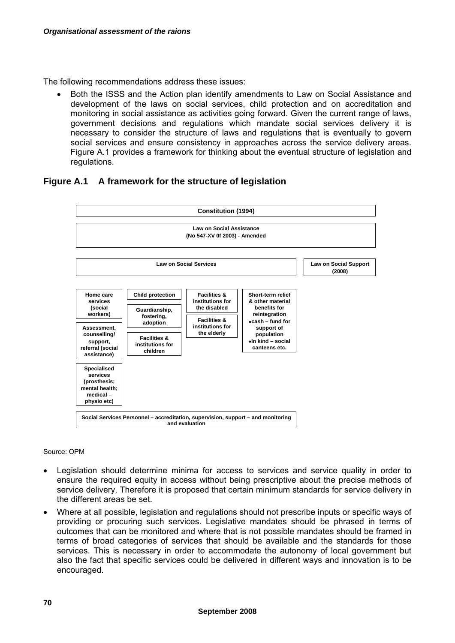The following recommendations address these issues:

• Both the ISSS and the Action plan identify amendments to Law on Social Assistance and development of the laws on social services, child protection and on accreditation and monitoring in social assistance as activities going forward. Given the current range of laws, government decisions and regulations which mandate social services delivery it is necessary to consider the structure of laws and regulations that is eventually to govern social services and ensure consistency in approaches across the service delivery areas. Figure A.1 provides a framework for thinking about the eventual structure of legislation and regulations.

### **Figure A.1 A framework for the structure of legislation**



Source: OPM

- Legislation should determine minima for access to services and service quality in order to ensure the required equity in access without being prescriptive about the precise methods of service delivery. Therefore it is proposed that certain minimum standards for service delivery in the different areas be set.
- Where at all possible, legislation and regulations should not prescribe inputs or specific ways of providing or procuring such services. Legislative mandates should be phrased in terms of outcomes that can be monitored and where that is not possible mandates should be framed in terms of broad categories of services that should be available and the standards for those services. This is necessary in order to accommodate the autonomy of local government but also the fact that specific services could be delivered in different ways and innovation is to be encouraged.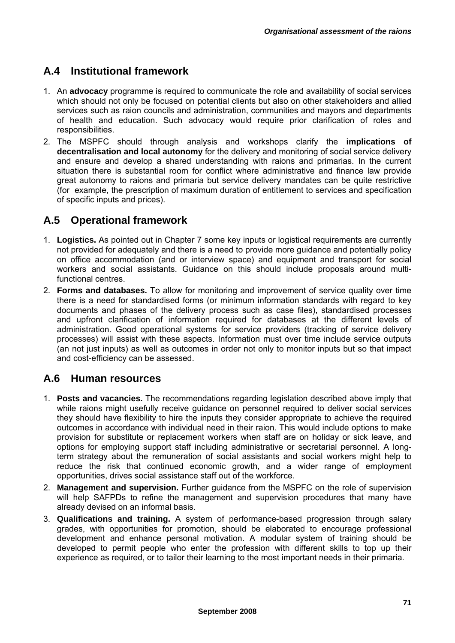## **A.4 Institutional framework**

- 1. An **advocacy** programme is required to communicate the role and availability of social services which should not only be focused on potential clients but also on other stakeholders and allied services such as raion councils and administration, communities and mayors and departments of health and education. Such advocacy would require prior clarification of roles and responsibilities.
- 2. The MSPFC should through analysis and workshops clarify the **implications of decentralisation and local autonomy** for the delivery and monitoring of social service delivery and ensure and develop a shared understanding with raions and primarias. In the current situation there is substantial room for conflict where administrative and finance law provide great autonomy to raions and primaria but service delivery mandates can be quite restrictive (for example, the prescription of maximum duration of entitlement to services and specification of specific inputs and prices).

## **A.5 Operational framework**

- 1. **Logistics.** As pointed out in Chapter 7 some key inputs or logistical requirements are currently not provided for adequately and there is a need to provide more guidance and potentially policy on office accommodation (and or interview space) and equipment and transport for social workers and social assistants. Guidance on this should include proposals around multifunctional centres.
- 2. **Forms and databases.** To allow for monitoring and improvement of service quality over time there is a need for standardised forms (or minimum information standards with regard to key documents and phases of the delivery process such as case files), standardised processes and upfront clarification of information required for databases at the different levels of administration. Good operational systems for service providers (tracking of service delivery processes) will assist with these aspects. Information must over time include service outputs (an not just inputs) as well as outcomes in order not only to monitor inputs but so that impact and cost-efficiency can be assessed.

## **A.6 Human resources**

- 1. **Posts and vacancies.** The recommendations regarding legislation described above imply that while raions might usefully receive guidance on personnel required to deliver social services they should have flexibility to hire the inputs they consider appropriate to achieve the required outcomes in accordance with individual need in their raion. This would include options to make provision for substitute or replacement workers when staff are on holiday or sick leave, and options for employing support staff including administrative or secretarial personnel. A longterm strategy about the remuneration of social assistants and social workers might help to reduce the risk that continued economic growth, and a wider range of employment opportunities, drives social assistance staff out of the workforce.
- 2. **Management and supervision.** Further guidance from the MSPFC on the role of supervision will help SAFPDs to refine the management and supervision procedures that many have already devised on an informal basis.
- 3. **Qualifications and training.** A system of performance-based progression through salary grades, with opportunities for promotion, should be elaborated to encourage professional development and enhance personal motivation. A modular system of training should be developed to permit people who enter the profession with different skills to top up their experience as required, or to tailor their learning to the most important needs in their primaria.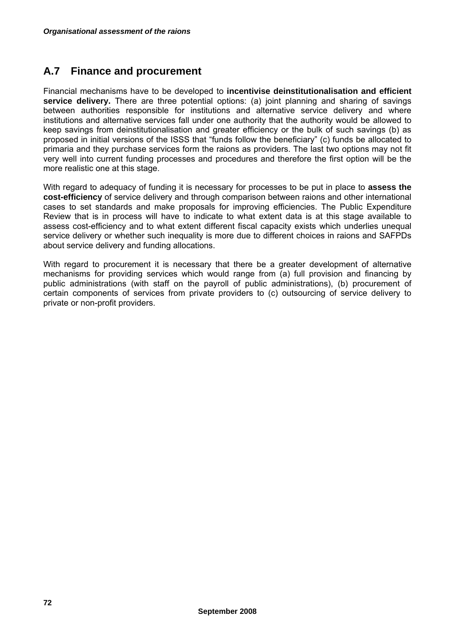## **A.7 Finance and procurement**

Financial mechanisms have to be developed to **incentivise deinstitutionalisation and efficient service delivery.** There are three potential options: (a) joint planning and sharing of savings between authorities responsible for institutions and alternative service delivery and where institutions and alternative services fall under one authority that the authority would be allowed to keep savings from deinstitutionalisation and greater efficiency or the bulk of such savings (b) as proposed in initial versions of the ISSS that "funds follow the beneficiary" (c) funds be allocated to primaria and they purchase services form the raions as providers. The last two options may not fit very well into current funding processes and procedures and therefore the first option will be the more realistic one at this stage.

With regard to adequacy of funding it is necessary for processes to be put in place to **assess the cost-efficiency** of service delivery and through comparison between raions and other international cases to set standards and make proposals for improving efficiencies. The Public Expenditure Review that is in process will have to indicate to what extent data is at this stage available to assess cost-efficiency and to what extent different fiscal capacity exists which underlies unequal service delivery or whether such inequality is more due to different choices in raions and SAFPDs about service delivery and funding allocations.

With regard to procurement it is necessary that there be a greater development of alternative mechanisms for providing services which would range from (a) full provision and financing by public administrations (with staff on the payroll of public administrations), (b) procurement of certain components of services from private providers to (c) outsourcing of service delivery to private or non-profit providers.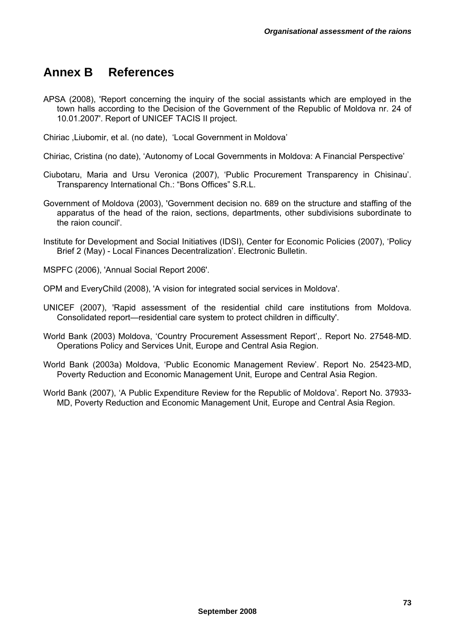## **Annex B References**

APSA (2008), 'Report concerning the inquiry of the social assistants which are employed in the town halls according to the Decision of the Government of the Republic of Moldova nr. 24 of 10.01.2007'. Report of UNICEF TACIS II project.

Chiriac ,Liubomir, et al. (no date), 'Local Government in Moldova'

Chiriac, Cristina (no date), 'Autonomy of Local Governments in Moldova: A Financial Perspective'

- Ciubotaru, Maria and Ursu Veronica (2007), 'Public Procurement Transparency in Chisinau'. Transparency International Ch.: "Bons Offices" S.R.L.
- Government of Moldova (2003), 'Government decision no. 689 on the structure and staffing of the apparatus of the head of the raion, sections, departments, other subdivisions subordinate to the raion council'.

Institute for Development and Social Initiatives (IDSI), Center for Economic Policies (2007), 'Policy Brief 2 (May) - Local Finances Decentralization'. Electronic Bulletin.

MSPFC (2006), 'Annual Social Report 2006'.

OPM and EveryChild (2008), 'A vision for integrated social services in Moldova'.

- UNICEF (2007), 'Rapid assessment of the residential child care institutions from Moldova. Consolidated report—residential care system to protect children in difficulty'.
- World Bank (2003) Moldova, 'Country Procurement Assessment Report',. Report No. 27548-MD. Operations Policy and Services Unit, Europe and Central Asia Region.
- World Bank (2003a) Moldova, 'Public Economic Management Review'. Report No. 25423-MD, Poverty Reduction and Economic Management Unit, Europe and Central Asia Region.

World Bank (2007), 'A Public Expenditure Review for the Republic of Moldova'. Report No. 37933- MD, Poverty Reduction and Economic Management Unit, Europe and Central Asia Region.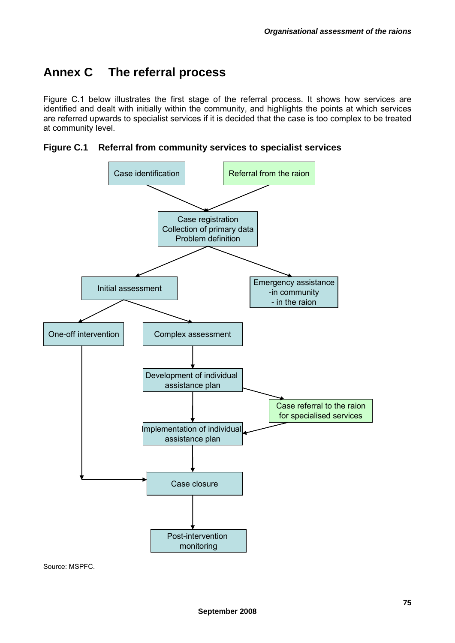# **Annex C The referral process**

Figure C.1 below illustrates the first stage of the referral process. It shows how services are identified and dealt with initially within the community, and highlights the points at which services are referred upwards to specialist services if it is decided that the case is too complex to be treated at community level.

**Figure C.1 Referral from community services to specialist services** 



Source: MSPFC.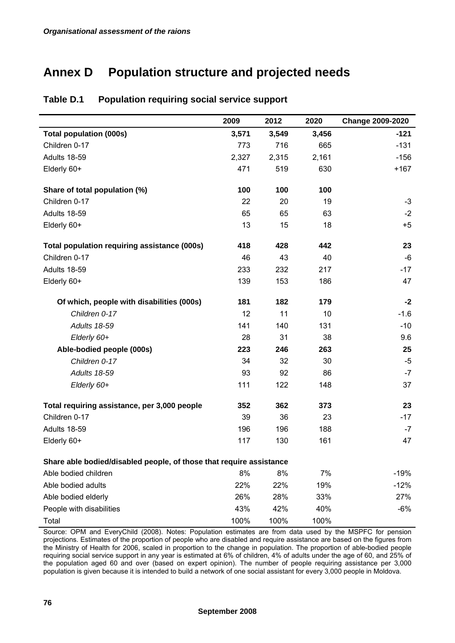# **Annex D Population structure and projected needs**

|                                                                     | 2009  | 2012  | 2020  | <b>Change 2009-2020</b> |
|---------------------------------------------------------------------|-------|-------|-------|-------------------------|
| <b>Total population (000s)</b>                                      | 3,571 | 3,549 | 3,456 | $-121$                  |
| Children 0-17                                                       | 773   | 716   | 665   | $-131$                  |
| Adults 18-59                                                        | 2,327 | 2,315 | 2,161 | $-156$                  |
| Elderly 60+                                                         | 471   | 519   | 630   | $+167$                  |
| Share of total population (%)                                       | 100   | 100   | 100   |                         |
| Children 0-17                                                       | 22    | 20    | 19    | $-3$                    |
| Adults 18-59                                                        | 65    | 65    | 63    | $-2$                    |
| Elderly 60+                                                         | 13    | 15    | 18    | $+5$                    |
| Total population requiring assistance (000s)                        | 418   | 428   | 442   | 23                      |
| Children 0-17                                                       | 46    | 43    | 40    | -6                      |
| Adults 18-59                                                        | 233   | 232   | 217   | $-17$                   |
| Elderly 60+                                                         | 139   | 153   | 186   | 47                      |
| Of which, people with disabilities (000s)                           | 181   | 182   | 179   | $-2$                    |
| Children 0-17                                                       | 12    | 11    | 10    | $-1.6$                  |
| <b>Adults 18-59</b>                                                 | 141   | 140   | 131   | $-10$                   |
| Elderly 60+                                                         | 28    | 31    | 38    | 9.6                     |
| Able-bodied people (000s)                                           | 223   | 246   | 263   | 25                      |
| Children 0-17                                                       | 34    | 32    | 30    | $-5$                    |
| <b>Adults 18-59</b>                                                 | 93    | 92    | 86    | $-7$                    |
| Elderly 60+                                                         | 111   | 122   | 148   | 37                      |
| Total requiring assistance, per 3,000 people                        | 352   | 362   | 373   | 23                      |
| Children 0-17                                                       | 39    | 36    | 23    | $-17$                   |
| Adults 18-59                                                        | 196   | 196   | 188   | $-7$                    |
| Elderly 60+                                                         | 117   | 130   | 161   | 47                      |
| Share able bodied/disabled people, of those that require assistance |       |       |       |                         |
| Able bodied children                                                | 8%    | 8%    | 7%    | $-19%$                  |
| Able bodied adults                                                  | 22%   | 22%   | 19%   | $-12%$                  |
| Able bodied elderly                                                 | 26%   | 28%   | 33%   | 27%                     |
| People with disabilities                                            | 43%   | 42%   | 40%   | $-6%$                   |
| Total                                                               | 100%  | 100%  | 100%  |                         |

#### **Table D.1 Population requiring social service support**

Source: OPM and EveryChild (2008). Notes: Population estimates are from data used by the MSPFC for pension projections. Estimates of the proportion of people who are disabled and require assistance are based on the figures from the Ministry of Health for 2006, scaled in proportion to the change in population. The proportion of able-bodied people requiring social service support in any year is estimated at 6% of children, 4% of adults under the age of 60, and 25% of the population aged 60 and over (based on expert opinion). The number of people requiring assistance per 3,000 population is given because it is intended to build a network of one social assistant for every 3,000 people in Moldova.